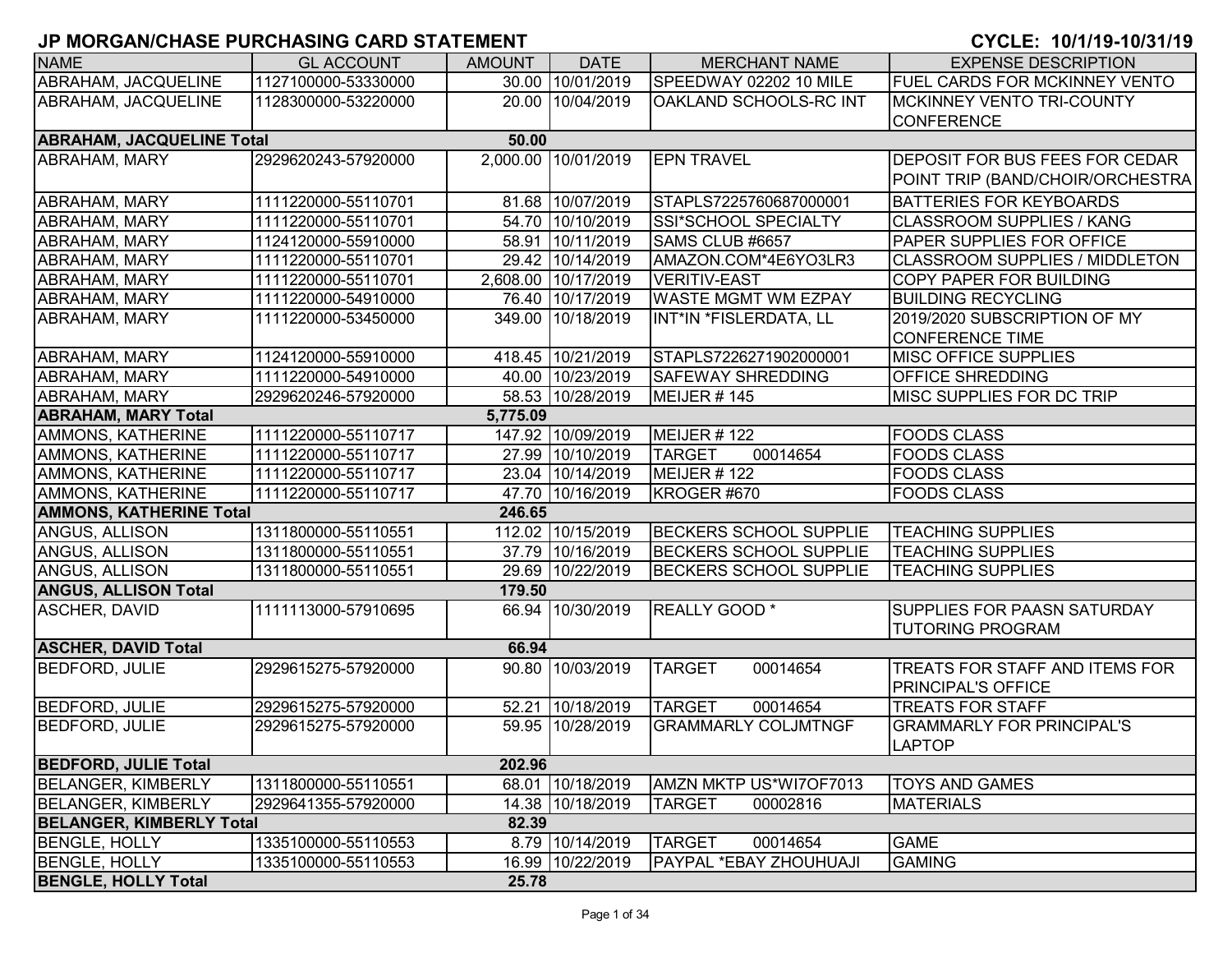| <b>NAME</b>                      | <b>GL ACCOUNT</b>   | <b>AMOUNT</b> | <b>DATE</b>         | <b>MERCHANT NAME</b>          | <b>EXPENSE DESCRIPTION</b>                                  |
|----------------------------------|---------------------|---------------|---------------------|-------------------------------|-------------------------------------------------------------|
| ABRAHAM, JACQUELINE              | 1127100000-53330000 |               | 30.00 10/01/2019    | SPEEDWAY 02202 10 MILE        | FUEL CARDS FOR MCKINNEY VENTO                               |
| ABRAHAM, JACQUELINE              | 1128300000-53220000 |               | 20.00 10/04/2019    | IOAKLAND SCHOOLS-RC INT       | <b>MCKINNEY VENTO TRI-COUNTY</b>                            |
|                                  |                     |               |                     |                               | <b>CONFERENCE</b>                                           |
| <b>ABRAHAM, JACQUELINE Total</b> |                     | 50.00         |                     |                               |                                                             |
| ABRAHAM, MARY                    | 2929620243-57920000 |               | 2,000.00 10/01/2019 | <b>EPN TRAVEL</b>             | DEPOSIT FOR BUS FEES FOR CEDAR                              |
|                                  |                     |               |                     |                               | POINT TRIP (BAND/CHOIR/ORCHESTRA                            |
| <b>ABRAHAM, MARY</b>             | 1111220000-55110701 |               | 81.68 10/07/2019    | STAPLS7225760687000001        | <b>BATTERIES FOR KEYBOARDS</b>                              |
| <b>ABRAHAM, MARY</b>             | 1111220000-55110701 |               | 54.70 10/10/2019    | SSI*SCHOOL SPECIALTY          | <b>CLASSROOM SUPPLIES / KANG</b>                            |
| <b>ABRAHAM, MARY</b>             | 1124120000-55910000 |               | 58.91 10/11/2019    | SAMS CLUB #6657               | PAPER SUPPLIES FOR OFFICE                                   |
| ABRAHAM, MARY                    | 1111220000-55110701 |               | 29.42 10/14/2019    | AMAZON.COM*4E6YO3LR3          | <b>CLASSROOM SUPPLIES / MIDDLETON</b>                       |
| <b>ABRAHAM, MARY</b>             | 1111220000-55110701 |               | 2,608.00 10/17/2019 | <b>VERITIV-EAST</b>           | <b>COPY PAPER FOR BUILDING</b>                              |
| ABRAHAM, MARY                    | 1111220000-54910000 |               | 76.40 10/17/2019    | <b>WASTE MGMT WM EZPAY</b>    | <b>BUILDING RECYCLING</b>                                   |
| ABRAHAM, MARY                    | 1111220000-53450000 |               | 349.00 10/18/2019   | INT*IN *FISLERDATA, LL        | 2019/2020 SUBSCRIPTION OF MY                                |
|                                  |                     |               |                     |                               | <b>CONFERENCE TIME</b>                                      |
| ABRAHAM, MARY                    | 1124120000-55910000 |               | 418.45 10/21/2019   | STAPLS7226271902000001        | <b>MISC OFFICE SUPPLIES</b>                                 |
| <b>ABRAHAM, MARY</b>             | 1111220000-54910000 |               | 40.00 10/23/2019    | <b>SAFEWAY SHREDDING</b>      | <b>OFFICE SHREDDING</b>                                     |
| <b>ABRAHAM, MARY</b>             | 2929620246-57920000 |               | 58.53 10/28/2019    | MEIJER #145                   | MISC SUPPLIES FOR DC TRIP                                   |
| <b>ABRAHAM, MARY Total</b>       |                     | 5,775.09      |                     |                               |                                                             |
| <b>AMMONS, KATHERINE</b>         | 1111220000-55110717 |               | 147.92 10/09/2019   | MEIJER #122                   | <b>FOODS CLASS</b>                                          |
| AMMONS, KATHERINE                | 1111220000-55110717 |               | 27.99 10/10/2019    | 00014654<br><b>TARGET</b>     | <b>FOODS CLASS</b>                                          |
| AMMONS, KATHERINE                | 1111220000-55110717 |               | 23.04 10/14/2019    | MEIJER #122                   | <b>FOODS CLASS</b>                                          |
| AMMONS, KATHERINE                | 1111220000-55110717 |               | 47.70 10/16/2019    | KROGER #670                   | <b>FOODS CLASS</b>                                          |
| <b>AMMONS, KATHERINE Total</b>   |                     | 246.65        |                     |                               |                                                             |
| ANGUS, ALLISON                   | 1311800000-55110551 |               | 112.02 10/15/2019   | <b>BECKERS SCHOOL SUPPLIE</b> | <b>TEACHING SUPPLIES</b>                                    |
| ANGUS, ALLISON                   | 1311800000-55110551 |               | 37.79 10/16/2019    | <b>BECKERS SCHOOL SUPPLIE</b> | <b>TEACHING SUPPLIES</b>                                    |
| ANGUS, ALLISON                   | 1311800000-55110551 |               | 29.69 10/22/2019    | <b>BECKERS SCHOOL SUPPLIE</b> | <b>TEACHING SUPPLIES</b>                                    |
| <b>ANGUS, ALLISON Total</b>      |                     | 179.50        |                     |                               |                                                             |
| ASCHER, DAVID                    | 1111113000-57910695 |               | 66.94 10/30/2019    | REALLY GOOD *                 | <b>SUPPLIES FOR PAASN SATURDAY</b>                          |
|                                  |                     |               |                     |                               | <b>TUTORING PROGRAM</b>                                     |
| <b>ASCHER, DAVID Total</b>       |                     | 66.94         |                     |                               |                                                             |
| <b>BEDFORD, JULIE</b>            | 2929615275-57920000 |               | 90.80 10/03/2019    | <b>TARGET</b><br>00014654     | TREATS FOR STAFF AND ITEMS FOR<br><b>PRINCIPAL'S OFFICE</b> |
| <b>BEDFORD, JULIE</b>            | 2929615275-57920000 |               | 52.21 10/18/2019    | <b>TARGET</b><br>00014654     | <b>TREATS FOR STAFF</b>                                     |
| <b>BEDFORD, JULIE</b>            | 2929615275-57920000 |               | 59.95 10/28/2019    | <b>GRAMMARLY COLJMTNGF</b>    | <b>GRAMMARLY FOR PRINCIPAL'S</b>                            |
|                                  |                     |               |                     |                               | <b>LAPTOP</b>                                               |
| <b>BEDFORD, JULIE Total</b>      |                     | 202.96        |                     |                               |                                                             |
| <b>BELANGER, KIMBERLY</b>        | 1311800000-55110551 |               | 68.01 10/18/2019    | AMZN MKTP US*WI7OF7013        | <b>TOYS AND GAMES</b>                                       |
| <b>BELANGER, KIMBERLY</b>        | 2929641355-57920000 |               | 14.38 10/18/2019    | <b>TARGET</b><br>00002816     | <b>MATERIALS</b>                                            |
| <b>BELANGER, KIMBERLY Total</b>  |                     | 82.39         |                     |                               |                                                             |
| <b>BENGLE, HOLLY</b>             | 1335100000-55110553 |               | 8.79 10/14/2019     | <b>TARGET</b><br>00014654     | <b>GAME</b>                                                 |
| <b>BENGLE, HOLLY</b>             | 1335100000-55110553 |               | 16.99 10/22/2019    | PAYPAL *EBAY ZHOUHUAJI        | <b>GAMING</b>                                               |
| <b>BENGLE, HOLLY Total</b>       |                     | 25.78         |                     |                               |                                                             |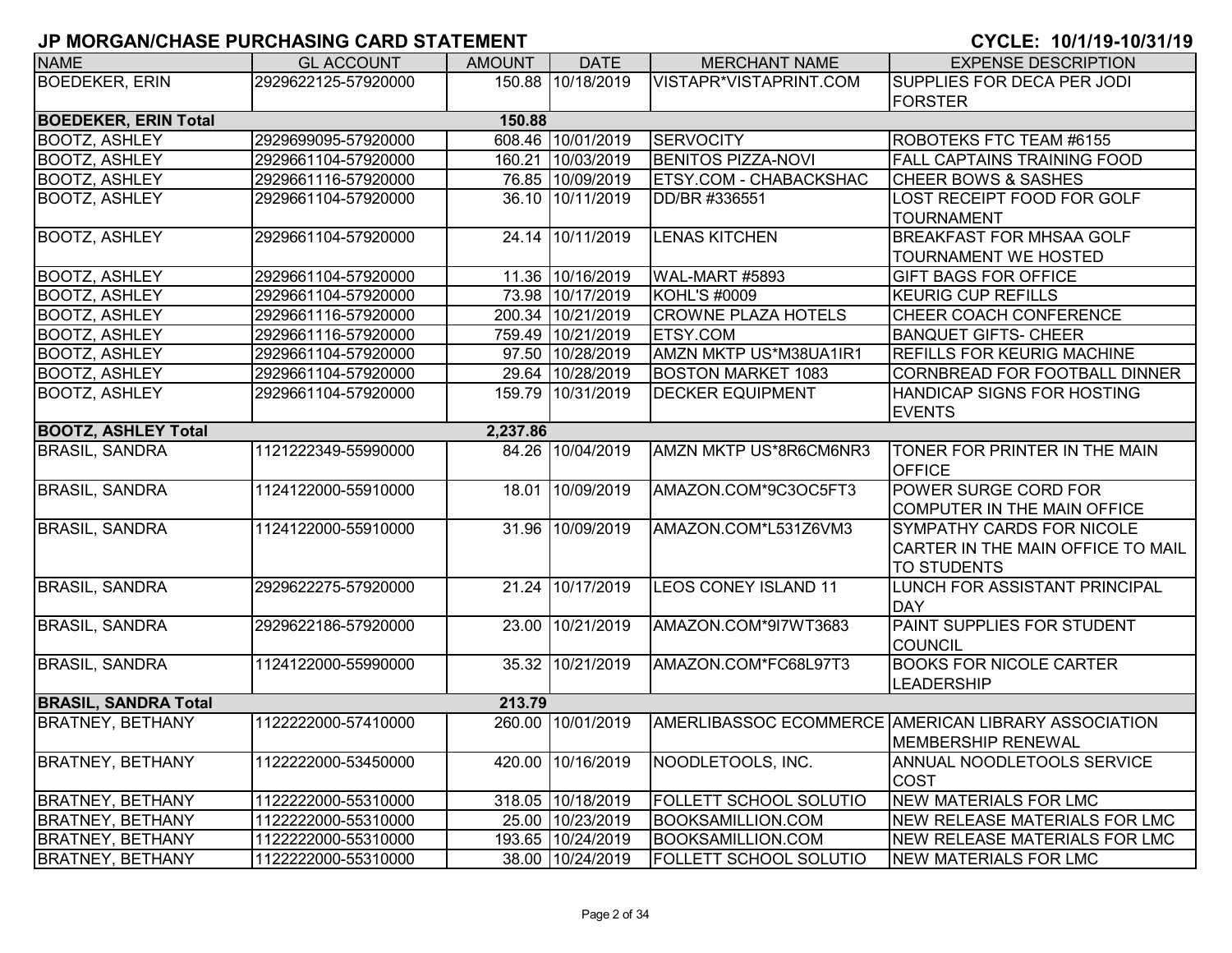| <b>NAME</b>                 | <b>GL ACCOUNT</b>   | <b>AMOUNT</b> | <b>DATE</b>       | <b>MERCHANT NAME</b>          | <b>EXPENSE DESCRIPTION</b>                                                           |
|-----------------------------|---------------------|---------------|-------------------|-------------------------------|--------------------------------------------------------------------------------------|
| <b>BOEDEKER, ERIN</b>       | 2929622125-57920000 |               | 150.88 10/18/2019 | VISTAPR*VISTAPRINT.COM        | SUPPLIES FOR DECA PER JODI                                                           |
|                             |                     |               |                   |                               | <b>FORSTER</b>                                                                       |
| <b>BOEDEKER, ERIN Total</b> |                     | 150.88        |                   |                               |                                                                                      |
| <b>BOOTZ, ASHLEY</b>        | 2929699095-57920000 |               | 608.46 10/01/2019 | <b>SERVOCITY</b>              | ROBOTEKS FTC TEAM #6155                                                              |
| <b>BOOTZ, ASHLEY</b>        | 2929661104-57920000 |               | 160.21 10/03/2019 | <b>BENITOS PIZZA-NOVI</b>     | <b>FALL CAPTAINS TRAINING FOOD</b>                                                   |
| <b>BOOTZ, ASHLEY</b>        | 2929661116-57920000 |               | 76.85 10/09/2019  | ETSY.COM - CHABACKSHAC        | <b>CHEER BOWS &amp; SASHES</b>                                                       |
| <b>BOOTZ, ASHLEY</b>        | 2929661104-57920000 |               | 36.10 10/11/2019  | DD/BR #336551                 | LOST RECEIPT FOOD FOR GOLF<br><b>TOURNAMENT</b>                                      |
| <b>BOOTZ, ASHLEY</b>        | 2929661104-57920000 |               | 24.14 10/11/2019  | <b>LENAS KITCHEN</b>          | <b>BREAKFAST FOR MHSAA GOLF</b><br><b>TOURNAMENT WE HOSTED</b>                       |
| <b>BOOTZ, ASHLEY</b>        | 2929661104-57920000 |               | 11.36 10/16/2019  | WAL-MART #5893                | <b>GIFT BAGS FOR OFFICE</b>                                                          |
| <b>BOOTZ, ASHLEY</b>        | 2929661104-57920000 |               | 73.98 10/17/2019  | <b>KOHL'S #0009</b>           | <b>KEURIG CUP REFILLS</b>                                                            |
| <b>BOOTZ, ASHLEY</b>        | 2929661116-57920000 | 200.34        | 10/21/2019        | <b>CROWNE PLAZA HOTELS</b>    | CHEER COACH CONFERENCE                                                               |
| <b>BOOTZ, ASHLEY</b>        | 2929661116-57920000 |               | 759.49 10/21/2019 | <b>ETSY.COM</b>               | <b>BANQUET GIFTS- CHEER</b>                                                          |
| <b>BOOTZ, ASHLEY</b>        | 2929661104-57920000 |               | 97.50 10/28/2019  | AMZN MKTP US*M38UA1IR1        | <b>REFILLS FOR KEURIG MACHINE</b>                                                    |
| <b>BOOTZ, ASHLEY</b>        | 2929661104-57920000 |               | 29.64 10/28/2019  | <b>BOSTON MARKET 1083</b>     | CORNBREAD FOR FOOTBALL DINNER                                                        |
| <b>BOOTZ, ASHLEY</b>        | 2929661104-57920000 |               | 159.79 10/31/2019 | <b>DECKER EQUIPMENT</b>       | HANDICAP SIGNS FOR HOSTING<br><b>EVENTS</b>                                          |
| <b>BOOTZ, ASHLEY Total</b>  |                     | 2,237.86      |                   |                               |                                                                                      |
| <b>BRASIL, SANDRA</b>       | 1121222349-55990000 |               | 84.26 10/04/2019  | AMZN MKTP US*8R6CM6NR3        | TONER FOR PRINTER IN THE MAIN<br><b>OFFICE</b>                                       |
| <b>BRASIL, SANDRA</b>       | 1124122000-55910000 |               | 18.01 10/09/2019  | AMAZON.COM*9C3OC5FT3          | POWER SURGE CORD FOR<br>COMPUTER IN THE MAIN OFFICE                                  |
| <b>BRASIL, SANDRA</b>       | 1124122000-55910000 |               | 31.96 10/09/2019  | AMAZON.COM*L531Z6VM3          | SYMPATHY CARDS FOR NICOLE<br>CARTER IN THE MAIN OFFICE TO MAIL<br><b>TO STUDENTS</b> |
| <b>BRASIL, SANDRA</b>       | 2929622275-57920000 |               | 21.24 10/17/2019  | <b>LEOS CONEY ISLAND 11</b>   | LUNCH FOR ASSISTANT PRINCIPAL<br><b>DAY</b>                                          |
| <b>BRASIL, SANDRA</b>       | 2929622186-57920000 |               | 23.00 10/21/2019  | AMAZON.COM*9I7WT3683          | PAINT SUPPLIES FOR STUDENT<br><b>COUNCIL</b>                                         |
| <b>BRASIL, SANDRA</b>       | 1124122000-55990000 |               | 35.32 10/21/2019  | AMAZON.COM*FC68L97T3          | <b>BOOKS FOR NICOLE CARTER</b><br><b>LEADERSHIP</b>                                  |
| <b>BRASIL, SANDRA Total</b> |                     | 213.79        |                   |                               |                                                                                      |
| <b>BRATNEY, BETHANY</b>     | 1122222000-57410000 |               | 260.00 10/01/2019 |                               | AMERLIBASSOC ECOMMERCE AMERICAN LIBRARY ASSOCIATION<br>MEMBERSHIP RENEWAL            |
| <b>BRATNEY, BETHANY</b>     | 1122222000-53450000 |               | 420.00 10/16/2019 | NOODLETOOLS, INC.             | ANNUAL NOODLETOOLS SERVICE<br><b>COST</b>                                            |
| <b>BRATNEY, BETHANY</b>     | 1122222000-55310000 |               | 318.05 10/18/2019 | FOLLETT SCHOOL SOLUTIO        | <b>NEW MATERIALS FOR LMC</b>                                                         |
| <b>BRATNEY, BETHANY</b>     | 1122222000-55310000 |               | 25.00 10/23/2019  | <b>BOOKSAMILLION.COM</b>      | NEW RELEASE MATERIALS FOR LMC                                                        |
| <b>BRATNEY, BETHANY</b>     | 1122222000-55310000 |               | 193.65 10/24/2019 | <b>BOOKSAMILLION.COM</b>      | NEW RELEASE MATERIALS FOR LMC                                                        |
| <b>BRATNEY, BETHANY</b>     | 1122222000-55310000 |               | 38.00 10/24/2019  | <b>FOLLETT SCHOOL SOLUTIO</b> | NEW MATERIALS FOR LMC                                                                |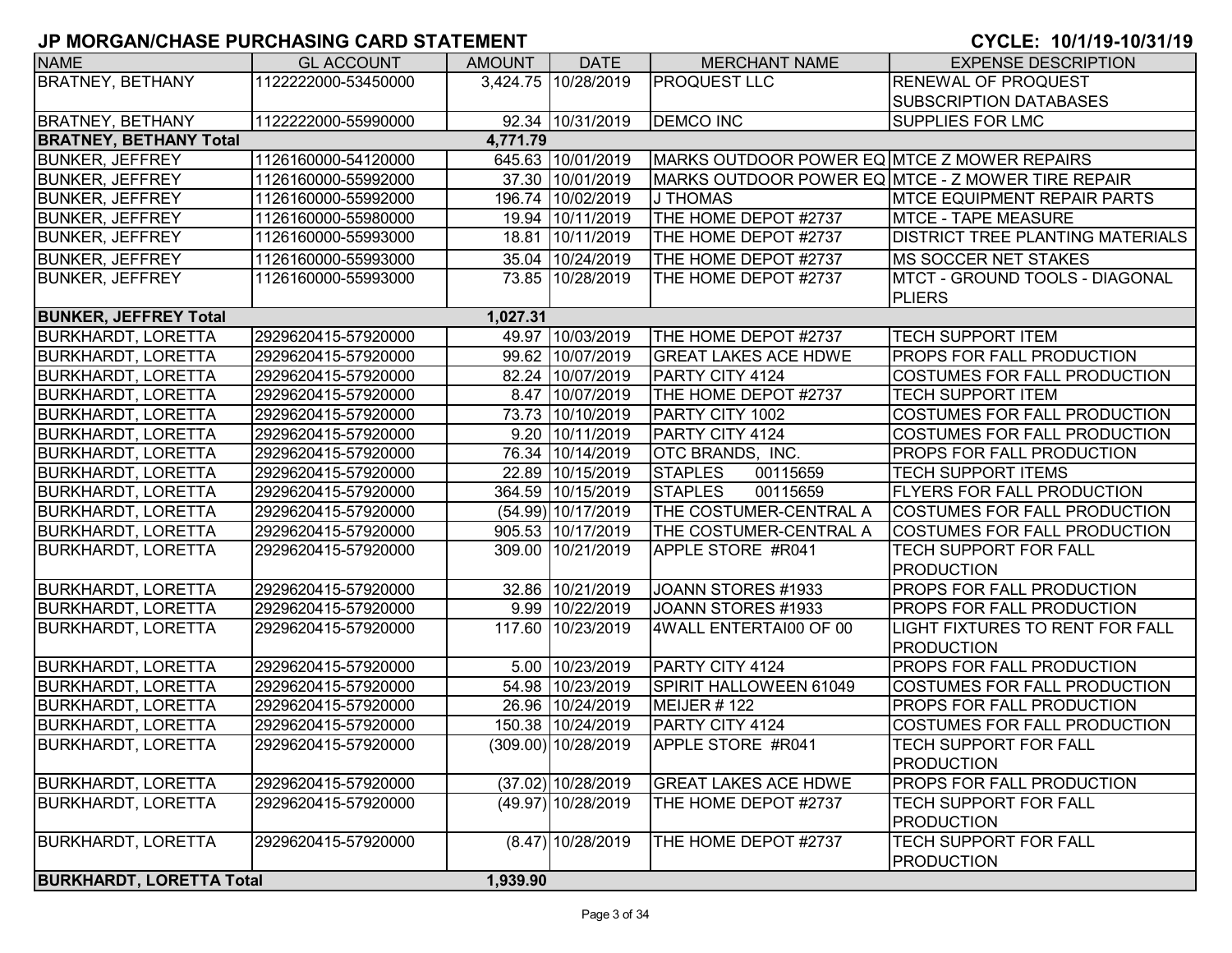| <b>NAME</b>                     | <b>GL ACCOUNT</b>   | <b>AMOUNT</b> | <b>DATE</b>          | <b>MERCHANT NAME</b>                        | <b>EXPENSE DESCRIPTION</b>                        |
|---------------------------------|---------------------|---------------|----------------------|---------------------------------------------|---------------------------------------------------|
| <b>BRATNEY, BETHANY</b>         | 1122222000-53450000 |               | 3,424.75 10/28/2019  | <b>PROQUEST LLC</b>                         | <b>RENEWAL OF PROQUEST</b>                        |
|                                 |                     |               |                      |                                             | <b>SUBSCRIPTION DATABASES</b>                     |
| <b>BRATNEY, BETHANY</b>         | 1122222000-55990000 |               | 92.34 10/31/2019     | <b>DEMCO INC</b>                            | <b>SUPPLIES FOR LMC</b>                           |
| <b>BRATNEY, BETHANY Total</b>   |                     | 4,771.79      |                      |                                             |                                                   |
| <b>BUNKER, JEFFREY</b>          | 1126160000-54120000 |               | 645.63 10/01/2019    | MARKS OUTDOOR POWER EQ MTCE Z MOWER REPAIRS |                                                   |
| <b>BUNKER, JEFFREY</b>          | 1126160000-55992000 |               | 37.30 10/01/2019     |                                             | MARKS OUTDOOR POWER EQ MTCE - Z MOWER TIRE REPAIR |
| <b>BUNKER, JEFFREY</b>          | 1126160000-55992000 |               | 196.74 10/02/2019    | J THOMAS                                    | <b>IMTCE EQUIPMENT REPAIR PARTS</b>               |
| <b>BUNKER, JEFFREY</b>          | 1126160000-55980000 |               | 19.94 10/11/2019     | THE HOME DEPOT #2737                        | MTCE - TAPE MEASURE                               |
| <b>BUNKER, JEFFREY</b>          | 1126160000-55993000 |               | 18.81 10/11/2019     | THE HOME DEPOT #2737                        | <b>DISTRICT TREE PLANTING MATERIALS</b>           |
| <b>BUNKER, JEFFREY</b>          | 1126160000-55993000 |               | 35.04 10/24/2019     | THE HOME DEPOT #2737                        | <b>MS SOCCER NET STAKES</b>                       |
| <b>BUNKER, JEFFREY</b>          | 1126160000-55993000 |               | 73.85 10/28/2019     | THE HOME DEPOT #2737                        | IMTCT - GROUND TOOLS - DIAGONAL                   |
|                                 |                     |               |                      |                                             | <b>PLIERS</b>                                     |
| <b>BUNKER, JEFFREY Total</b>    |                     | 1,027.31      |                      |                                             |                                                   |
| <b>BURKHARDT, LORETTA</b>       | 2929620415-57920000 |               | 49.97 10/03/2019     | THE HOME DEPOT #2737                        | <b>TECH SUPPORT ITEM</b>                          |
| <b>BURKHARDT, LORETTA</b>       | 2929620415-57920000 |               | 99.62 10/07/2019     | <b>GREAT LAKES ACE HDWE</b>                 | <b>PROPS FOR FALL PRODUCTION</b>                  |
| <b>BURKHARDT, LORETTA</b>       | 2929620415-57920000 |               | 82.24 10/07/2019     | PARTY CITY 4124                             | COSTUMES FOR FALL PRODUCTION                      |
| <b>BURKHARDT, LORETTA</b>       | 2929620415-57920000 |               | 8.47 10/07/2019      | THE HOME DEPOT #2737                        | <b>TECH SUPPORT ITEM</b>                          |
| <b>BURKHARDT, LORETTA</b>       | 2929620415-57920000 |               | 73.73 10/10/2019     | PARTY CITY 1002                             | COSTUMES FOR FALL PRODUCTION                      |
| <b>BURKHARDT, LORETTA</b>       | 2929620415-57920000 |               | 9.20 10/11/2019      | PARTY CITY 4124                             | COSTUMES FOR FALL PRODUCTION                      |
| <b>BURKHARDT, LORETTA</b>       | 2929620415-57920000 |               | 76.34 10/14/2019     | OTC BRANDS, INC.                            | <b>PROPS FOR FALL PRODUCTION</b>                  |
| <b>BURKHARDT, LORETTA</b>       | 2929620415-57920000 |               | 22.89 10/15/2019     | <b>STAPLES</b><br>00115659                  | <b>TECH SUPPORT ITEMS</b>                         |
| <b>BURKHARDT, LORETTA</b>       | 2929620415-57920000 |               | 364.59 10/15/2019    | 00115659<br><b>STAPLES</b>                  | <b>FLYERS FOR FALL PRODUCTION</b>                 |
| BURKHARDT, LORETTA              | 2929620415-57920000 |               | (54.99) 10/17/2019   | THE COSTUMER-CENTRAL A                      | COSTUMES FOR FALL PRODUCTION                      |
| BURKHARDT, LORETTA              | 2929620415-57920000 |               | 905.53 10/17/2019    | THE COSTUMER-CENTRAL A                      | <b>COSTUMES FOR FALL PRODUCTION</b>               |
| <b>BURKHARDT, LORETTA</b>       | 2929620415-57920000 |               | 309.00 10/21/2019    | APPLE STORE #R041                           | <b>TECH SUPPORT FOR FALL</b>                      |
|                                 |                     |               |                      |                                             | <b>PRODUCTION</b>                                 |
| <b>BURKHARDT, LORETTA</b>       | 2929620415-57920000 |               | 32.86 10/21/2019     | JOANN STORES #1933                          | <b>PROPS FOR FALL PRODUCTION</b>                  |
| <b>BURKHARDT, LORETTA</b>       | 2929620415-57920000 |               | 9.99 10/22/2019      | JOANN STORES #1933                          | <b>PROPS FOR FALL PRODUCTION</b>                  |
| BURKHARDT, LORETTA              | 2929620415-57920000 |               | 117.60 10/23/2019    | 4WALL ENTERTAI00 OF 00                      | <b>LIGHT FIXTURES TO RENT FOR FALL</b>            |
|                                 |                     |               |                      |                                             | <b>PRODUCTION</b>                                 |
| <b>BURKHARDT, LORETTA</b>       | 2929620415-57920000 |               | 5.00 10/23/2019      | PARTY CITY 4124                             | <b>PROPS FOR FALL PRODUCTION</b>                  |
| <b>BURKHARDT, LORETTA</b>       | 2929620415-57920000 |               | 54.98 10/23/2019     | SPIRIT HALLOWEEN 61049                      | COSTUMES FOR FALL PRODUCTION                      |
| <b>BURKHARDT, LORETTA</b>       | 2929620415-57920000 |               | 26.96 10/24/2019     | MEIJER #122                                 | <b>PROPS FOR FALL PRODUCTION</b>                  |
| <b>BURKHARDT, LORETTA</b>       | 2929620415-57920000 |               | 150.38 10/24/2019    | PARTY CITY 4124                             | COSTUMES FOR FALL PRODUCTION                      |
| <b>BURKHARDT, LORETTA</b>       | 2929620415-57920000 |               | (309.00) 10/28/2019  | APPLE STORE #R041                           | <b>TECH SUPPORT FOR FALL</b>                      |
|                                 |                     |               |                      |                                             | <b>PRODUCTION</b>                                 |
| <b>BURKHARDT, LORETTA</b>       | 2929620415-57920000 |               | $(37.02)$ 10/28/2019 | <b>GREAT LAKES ACE HDWE</b>                 | <b>PROPS FOR FALL PRODUCTION</b>                  |
| <b>BURKHARDT, LORETTA</b>       | 2929620415-57920000 |               | (49.97) 10/28/2019   | THE HOME DEPOT #2737                        | <b>TECH SUPPORT FOR FALL</b>                      |
|                                 |                     |               |                      |                                             | <b>PRODUCTION</b>                                 |
| <b>BURKHARDT, LORETTA</b>       | 2929620415-57920000 |               | $(8.47)$ 10/28/2019  | THE HOME DEPOT #2737                        | <b>TECH SUPPORT FOR FALL</b>                      |
|                                 |                     |               |                      |                                             | <b>PRODUCTION</b>                                 |
| <b>BURKHARDT, LORETTA Total</b> |                     | 1,939.90      |                      |                                             |                                                   |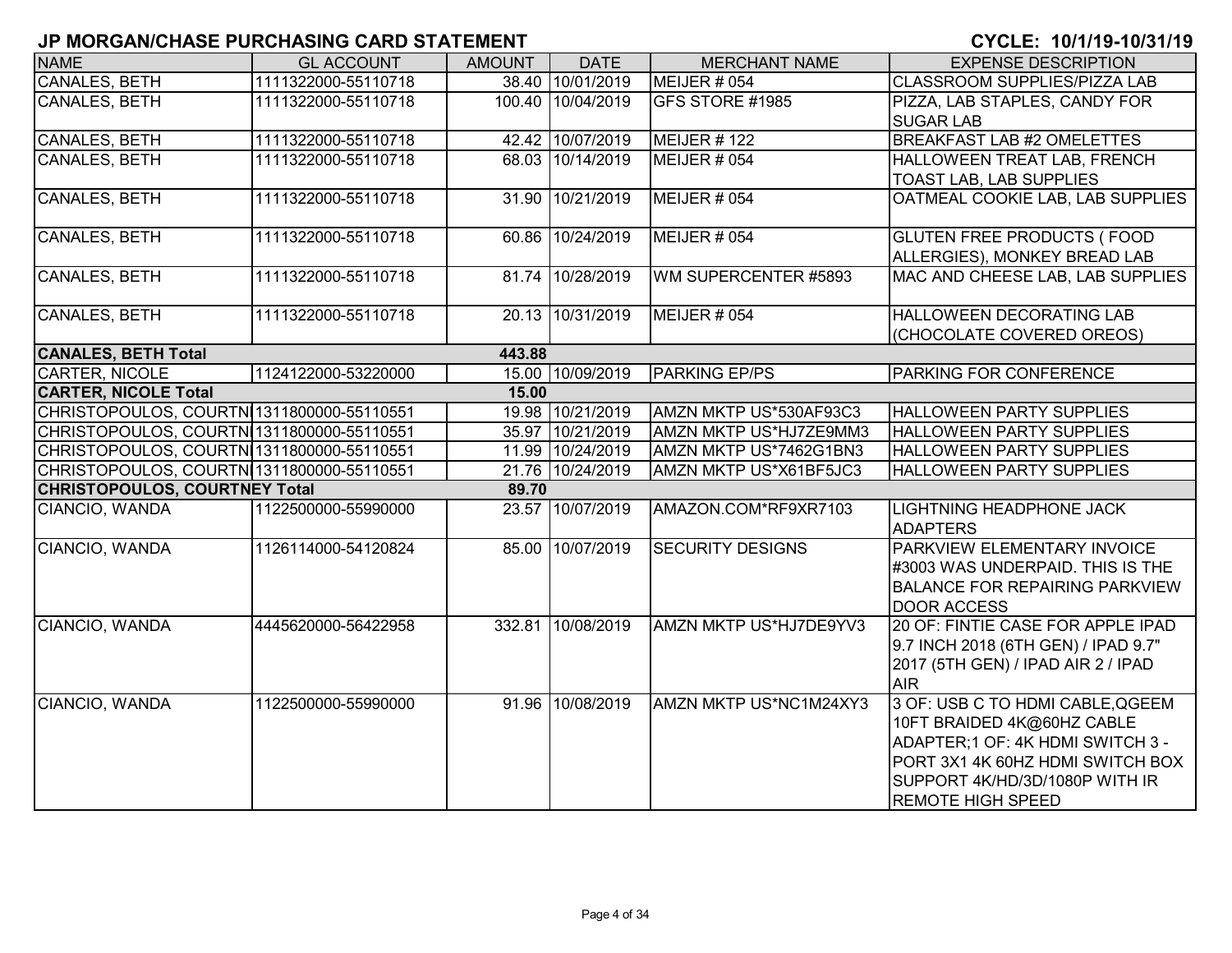| <b>NAME</b>                               | <b>GL ACCOUNT</b>   | <b>AMOUNT</b> | <b>DATE</b>       | <b>MERCHANT NAME</b>    | <b>EXPENSE DESCRIPTION</b>                                       |
|-------------------------------------------|---------------------|---------------|-------------------|-------------------------|------------------------------------------------------------------|
| CANALES, BETH                             | 1111322000-55110718 |               | 38.40 10/01/2019  | <b>MEIJER # 054</b>     | CLASSROOM SUPPLIES/PIZZA LAB                                     |
| <b>CANALES, BETH</b>                      | 1111322000-55110718 |               | 100.40 10/04/2019 | GFS STORE #1985         | PIZZA, LAB STAPLES, CANDY FOR                                    |
|                                           |                     |               |                   |                         | <b>SUGAR LAB</b>                                                 |
| <b>CANALES, BETH</b>                      | 1111322000-55110718 |               | 42.42 10/07/2019  | MEIJER #122             | <b>BREAKFAST LAB #2 OMELETTES</b>                                |
| <b>CANALES, BETH</b>                      | 1111322000-55110718 |               | 68.03 10/14/2019  | <b>MEIJER # 054</b>     | HALLOWEEN TREAT LAB, FRENCH                                      |
|                                           |                     |               |                   |                         | TOAST LAB, LAB SUPPLIES                                          |
| <b>CANALES, BETH</b>                      | 1111322000-55110718 |               | 31.90 10/21/2019  | MEIJER # 054            | OATMEAL COOKIE LAB, LAB SUPPLIES                                 |
|                                           |                     |               |                   |                         |                                                                  |
| CANALES, BETH                             | 1111322000-55110718 |               | 60.86 10/24/2019  | MEIJER # 054            | <b>GLUTEN FREE PRODUCTS (FOOD</b>                                |
| <b>CANALES, BETH</b>                      | 1111322000-55110718 |               | 81.74 10/28/2019  | WM SUPERCENTER #5893    | ALLERGIES), MONKEY BREAD LAB<br>MAC AND CHEESE LAB, LAB SUPPLIES |
|                                           |                     |               |                   |                         |                                                                  |
| <b>CANALES, BETH</b>                      | 1111322000-55110718 |               | 20.13 10/31/2019  | MEIJER $#054$           | <b>HALLOWEEN DECORATING LAB</b>                                  |
|                                           |                     |               |                   |                         | (CHOCOLATE COVERED OREOS)                                        |
| <b>CANALES, BETH Total</b>                |                     | 443.88        |                   |                         |                                                                  |
| <b>CARTER, NICOLE</b>                     | 1124122000-53220000 |               | 15.00 10/09/2019  | <b>PARKING EP/PS</b>    | <b>PARKING FOR CONFERENCE</b>                                    |
| <b>CARTER, NICOLE Total</b>               |                     | 15.00         |                   |                         |                                                                  |
| CHRISTOPOULOS, COURTN 1311800000-55110551 |                     |               | 19.98 10/21/2019  | AMZN MKTP US*530AF93C3  | <b>HALLOWEEN PARTY SUPPLIES</b>                                  |
| CHRISTOPOULOS, COURTN 1311800000-55110551 |                     |               | 35.97 10/21/2019  | AMZN MKTP US*HJ7ZE9MM3  | <b>HALLOWEEN PARTY SUPPLIES</b>                                  |
| CHRISTOPOULOS, COURTN 1311800000-55110551 |                     |               | 11.99 10/24/2019  | AMZN MKTP US*7462G1BN3  | <b>HALLOWEEN PARTY SUPPLIES</b>                                  |
| CHRISTOPOULOS, COURTN 1311800000-55110551 |                     |               | 21.76 10/24/2019  | AMZN MKTP US*X61BF5JC3  | <b>HALLOWEEN PARTY SUPPLIES</b>                                  |
| <b>CHRISTOPOULOS, COURTNEY Total</b>      |                     | 89.70         |                   |                         |                                                                  |
| CIANCIO, WANDA                            | 1122500000-55990000 |               | 23.57 10/07/2019  | AMAZON.COM*RF9XR7103    | <b>LIGHTNING HEADPHONE JACK</b><br><b>ADAPTERS</b>               |
| CIANCIO, WANDA                            | 1126114000-54120824 |               | 85.00 10/07/2019  | <b>SECURITY DESIGNS</b> | PARKVIEW ELEMENTARY INVOICE                                      |
|                                           |                     |               |                   |                         | #3003 WAS UNDERPAID. THIS IS THE                                 |
|                                           |                     |               |                   |                         | <b>BALANCE FOR REPAIRING PARKVIEW</b>                            |
|                                           |                     |               |                   |                         | <b>DOOR ACCESS</b>                                               |
| CIANCIO, WANDA                            | 4445620000-56422958 |               | 332.81 10/08/2019 | AMZN MKTP US*HJ7DE9YV3  | 20 OF: FINTIE CASE FOR APPLE IPAD                                |
|                                           |                     |               |                   |                         | 9.7 INCH 2018 (6TH GEN) / IPAD 9.7"                              |
|                                           |                     |               |                   |                         | 2017 (5TH GEN) / IPAD AIR 2 / IPAD                               |
|                                           |                     |               |                   |                         | <b>AIR</b>                                                       |
| CIANCIO, WANDA                            | 1122500000-55990000 |               | 91.96 10/08/2019  | AMZN MKTP US*NC1M24XY3  | 3 OF: USB C TO HDMI CABLE, QGEEM                                 |
|                                           |                     |               |                   |                         | 10FT BRAIDED 4K@60HZ CABLE                                       |
|                                           |                     |               |                   |                         | ADAPTER; 1 OF: 4K HDMI SWITCH 3 -                                |
|                                           |                     |               |                   |                         | PORT 3X1 4K 60HZ HDMI SWITCH BOX                                 |
|                                           |                     |               |                   |                         | SUPPORT 4K/HD/3D/1080P WITH IR                                   |
|                                           |                     |               |                   |                         | <b>REMOTE HIGH SPEED</b>                                         |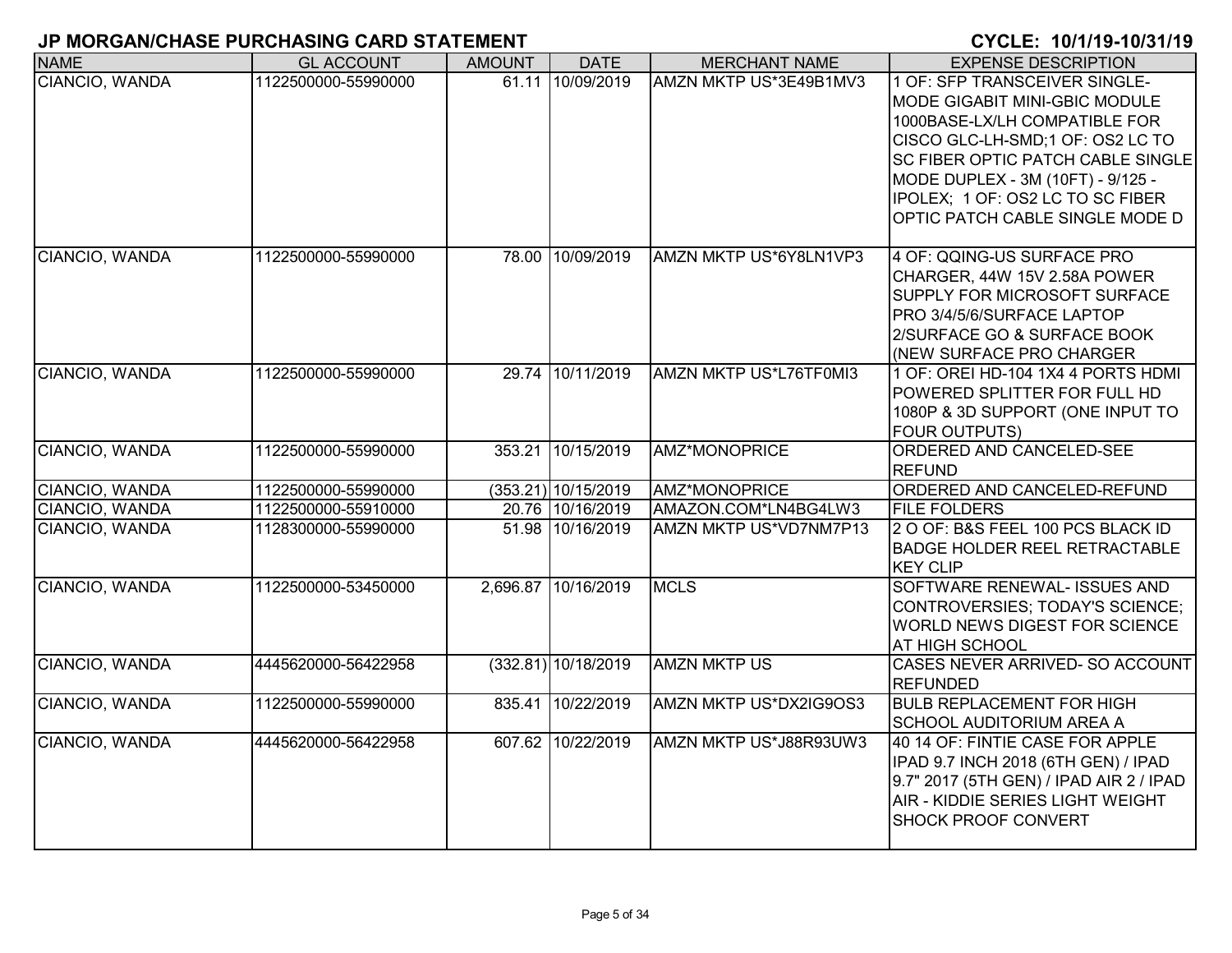| <b>NAME</b>    | <b>GL ACCOUNT</b>   | <b>AMOUNT</b> | <b>DATE</b>           | <b>MERCHANT NAME</b>   | <b>EXPENSE DESCRIPTION</b>                                                                                                                                                                 |
|----------------|---------------------|---------------|-----------------------|------------------------|--------------------------------------------------------------------------------------------------------------------------------------------------------------------------------------------|
| CIANCIO, WANDA | 1122500000-55990000 |               | 61.11 10/09/2019      | AMZN MKTP US*3E49B1MV3 | 1 OF: SFP TRANSCEIVER SINGLE-<br>MODE GIGABIT MINI-GBIC MODULE<br>1000BASE-LX/LH COMPATIBLE FOR                                                                                            |
|                |                     |               |                       |                        | CISCO GLC-LH-SMD;1 OF: OS2 LC TO                                                                                                                                                           |
|                |                     |               |                       |                        | <b>SC FIBER OPTIC PATCH CABLE SINGLE</b><br>MODE DUPLEX - 3M (10FT) - 9/125 -                                                                                                              |
|                |                     |               |                       |                        | IPOLEX; 1 OF: OS2 LC TO SC FIBER                                                                                                                                                           |
|                |                     |               |                       |                        | OPTIC PATCH CABLE SINGLE MODE D                                                                                                                                                            |
| CIANCIO, WANDA | 1122500000-55990000 |               | 78.00 10/09/2019      | AMZN MKTP US*6Y8LN1VP3 | 4 OF: QQING-US SURFACE PRO<br>CHARGER, 44W 15V 2.58A POWER<br><b>SUPPLY FOR MICROSOFT SURFACE</b><br>PRO 3/4/5/6/SURFACE LAPTOP<br>2/SURFACE GO & SURFACE BOOK<br>(NEW SURFACE PRO CHARGER |
| CIANCIO, WANDA | 1122500000-55990000 |               | 29.74 10/11/2019      | AMZN MKTP US*L76TF0MI3 | 1 OF: OREI HD-104 1X4 4 PORTS HDMI                                                                                                                                                         |
|                |                     |               |                       |                        | POWERED SPLITTER FOR FULL HD<br>1080P & 3D SUPPORT (ONE INPUT TO<br><b>FOUR OUTPUTS)</b>                                                                                                   |
| CIANCIO, WANDA | 1122500000-55990000 |               | 353.21 10/15/2019     | AMZ*MONOPRICE          | ORDERED AND CANCELED-SEE<br><b>REFUND</b>                                                                                                                                                  |
| CIANCIO, WANDA | 1122500000-55990000 |               | $(353.21)$ 10/15/2019 | <b>AMZ*MONOPRICE</b>   | ORDERED AND CANCELED-REFUND                                                                                                                                                                |
| CIANCIO, WANDA | 1122500000-55910000 |               | 20.76 10/16/2019      | AMAZON.COM*LN4BG4LW3   | <b>FILE FOLDERS</b>                                                                                                                                                                        |
| CIANCIO, WANDA | 1128300000-55990000 |               | 51.98 10/16/2019      | AMZN MKTP US*VD7NM7P13 | 2 O OF: B&S FEEL 100 PCS BLACK ID<br><b>BADGE HOLDER REEL RETRACTABLE</b><br><b>KEY CLIP</b>                                                                                               |
| CIANCIO, WANDA | 1122500000-53450000 |               | 2,696.87 10/16/2019   | <b>MCLS</b>            | SOFTWARE RENEWAL- ISSUES AND<br>CONTROVERSIES; TODAY'S SCIENCE;<br>WORLD NEWS DIGEST FOR SCIENCE<br>AT HIGH SCHOOL                                                                         |
| CIANCIO, WANDA | 4445620000-56422958 |               | (332.81) 10/18/2019   | <b>AMZN MKTP US</b>    | CASES NEVER ARRIVED- SO ACCOUNT<br><b>REFUNDED</b>                                                                                                                                         |
| CIANCIO, WANDA | 1122500000-55990000 |               | 835.41 10/22/2019     | AMZN MKTP US*DX2IG9OS3 | <b>BULB REPLACEMENT FOR HIGH</b><br><b>SCHOOL AUDITORIUM AREA A</b>                                                                                                                        |
| CIANCIO, WANDA | 4445620000-56422958 |               | 607.62 10/22/2019     | AMZN MKTP US*J88R93UW3 | 40 14 OF: FINTIE CASE FOR APPLE<br>IPAD 9.7 INCH 2018 (6TH GEN) / IPAD<br>9.7" 2017 (5TH GEN) / IPAD AIR 2 / IPAD<br>AIR - KIDDIE SERIES LIGHT WEIGHT<br><b>SHOCK PROOF CONVERT</b>        |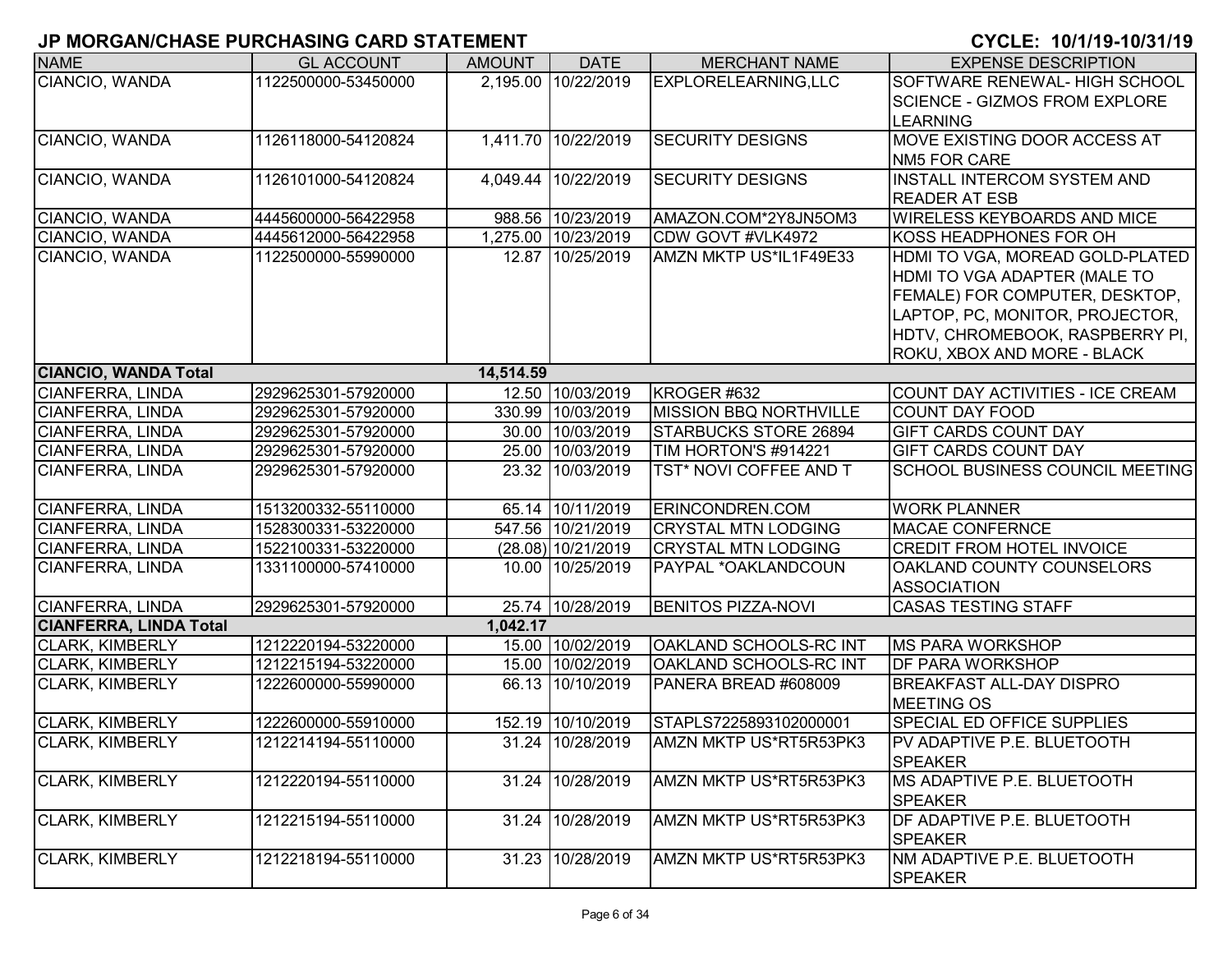| <b>NAME</b>                   | <b>GL ACCOUNT</b>   | <b>AMOUNT</b> | <b>DATE</b>         | <b>MERCHANT NAME</b>          | <b>EXPENSE DESCRIPTION</b>           |
|-------------------------------|---------------------|---------------|---------------------|-------------------------------|--------------------------------------|
| CIANCIO, WANDA                | 1122500000-53450000 |               | 2,195.00 10/22/2019 | EXPLORELEARNING, LLC          | SOFTWARE RENEWAL- HIGH SCHOOL        |
|                               |                     |               |                     |                               | <b>SCIENCE - GIZMOS FROM EXPLORE</b> |
|                               |                     |               |                     |                               | <b>LEARNING</b>                      |
| CIANCIO, WANDA                | 1126118000-54120824 |               | 1,411.70 10/22/2019 | <b>SECURITY DESIGNS</b>       | <b>MOVE EXISTING DOOR ACCESS AT</b>  |
|                               |                     |               |                     |                               | <b>NM5 FOR CARE</b>                  |
| CIANCIO, WANDA                | 1126101000-54120824 |               | 4,049.44 10/22/2019 | <b>SECURITY DESIGNS</b>       | <b>INSTALL INTERCOM SYSTEM AND</b>   |
|                               |                     |               |                     |                               | <b>READER AT ESB</b>                 |
| CIANCIO, WANDA                | 4445600000-56422958 |               | 988.56 10/23/2019   | AMAZON.COM*2Y8JN5OM3          | <b>WIRELESS KEYBOARDS AND MICE</b>   |
| CIANCIO, WANDA                | 4445612000-56422958 |               | 1,275.00 10/23/2019 | CDW GOVT #VLK4972             | KOSS HEADPHONES FOR OH               |
| CIANCIO, WANDA                | 1122500000-55990000 |               | 12.87 10/25/2019    | AMZN MKTP US*IL1F49E33        | HDMI TO VGA, MOREAD GOLD-PLATED      |
|                               |                     |               |                     |                               | HDMI TO VGA ADAPTER (MALE TO         |
|                               |                     |               |                     |                               | FEMALE) FOR COMPUTER, DESKTOP,       |
|                               |                     |               |                     |                               | LAPTOP, PC, MONITOR, PROJECTOR,      |
|                               |                     |               |                     |                               | HDTV, CHROMEBOOK, RASPBERRY PI,      |
|                               |                     |               |                     |                               | ROKU, XBOX AND MORE - BLACK          |
| <b>CIANCIO, WANDA Total</b>   |                     | 14,514.59     |                     |                               |                                      |
| CIANFERRA, LINDA              | 2929625301-57920000 |               | 12.50 10/03/2019    | KROGER #632                   | COUNT DAY ACTIVITIES - ICE CREAM     |
| CIANFERRA, LINDA              | 2929625301-57920000 |               | 330.99 10/03/2019   | <b>MISSION BBQ NORTHVILLE</b> | <b>COUNT DAY FOOD</b>                |
| <b>CIANFERRA, LINDA</b>       | 2929625301-57920000 |               | 30.00 10/03/2019    | <b>STARBUCKS STORE 26894</b>  | <b>GIFT CARDS COUNT DAY</b>          |
| CIANFERRA, LINDA              | 2929625301-57920000 |               | 25.00 10/03/2019    | TIM HORTON'S #914221          | <b>GIFT CARDS COUNT DAY</b>          |
| <b>CIANFERRA, LINDA</b>       | 2929625301-57920000 |               | 23.32 10/03/2019    | TST* NOVI COFFEE AND T        | SCHOOL BUSINESS COUNCIL MEETING      |
| CIANFERRA, LINDA              | 1513200332-55110000 |               | 65.14 10/11/2019    | <b>ERINCONDREN.COM</b>        | <b>WORK PLANNER</b>                  |
| <b>CIANFERRA, LINDA</b>       | 1528300331-53220000 |               | 547.56 10/21/2019   | <b>CRYSTAL MTN LODGING</b>    | <b>MACAE CONFERNCE</b>               |
| <b>CIANFERRA, LINDA</b>       | 1522100331-53220000 |               | (28.08) 10/21/2019  | <b>CRYSTAL MTN LODGING</b>    | CREDIT FROM HOTEL INVOICE            |
| CIANFERRA, LINDA              | 1331100000-57410000 |               | 10.00 10/25/2019    | PAYPAL *OAKLANDCOUN           | OAKLAND COUNTY COUNSELORS            |
|                               |                     |               |                     |                               | <b>ASSOCIATION</b>                   |
| CIANFERRA, LINDA              | 2929625301-57920000 |               | 25.74 10/28/2019    | <b>BENITOS PIZZA-NOVI</b>     | <b>CASAS TESTING STAFF</b>           |
| <b>CIANFERRA, LINDA Total</b> |                     | 1,042.17      |                     |                               |                                      |
| <b>CLARK, KIMBERLY</b>        | 1212220194-53220000 |               | 15.00 10/02/2019    | OAKLAND SCHOOLS-RC INT        | <b>MS PARA WORKSHOP</b>              |
| CLARK, KIMBERLY               | 1212215194-53220000 |               | 15.00 10/02/2019    | OAKLAND SCHOOLS-RC INT        | DF PARA WORKSHOP                     |
| <b>CLARK, KIMBERLY</b>        | 1222600000-55990000 |               | 66.13 10/10/2019    | PANERA BREAD #608009          | <b>BREAKFAST ALL-DAY DISPRO</b>      |
|                               |                     |               |                     |                               | <b>MEETING OS</b>                    |
| <b>CLARK, KIMBERLY</b>        | 1222600000-55910000 |               | 152.19 10/10/2019   | STAPLS7225893102000001        | SPECIAL ED OFFICE SUPPLIES           |
| <b>CLARK, KIMBERLY</b>        | 1212214194-55110000 |               | 31.24 10/28/2019    | AMZN MKTP US*RT5R53PK3        | <b>PV ADAPTIVE P.E. BLUETOOTH</b>    |
|                               |                     |               |                     |                               | <b>SPEAKER</b>                       |
| <b>CLARK, KIMBERLY</b>        | 1212220194-55110000 |               | 31.24 10/28/2019    | AMZN MKTP US*RT5R53PK3        | MS ADAPTIVE P.E. BLUETOOTH           |
|                               |                     |               |                     |                               | <b>SPEAKER</b>                       |
| <b>CLARK, KIMBERLY</b>        | 1212215194-55110000 |               | 31.24 10/28/2019    | AMZN MKTP US*RT5R53PK3        | DF ADAPTIVE P.E. BLUETOOTH           |
|                               |                     |               |                     |                               | <b>SPEAKER</b>                       |
| <b>CLARK, KIMBERLY</b>        | 1212218194-55110000 | 31.23         | 10/28/2019          | AMZN MKTP US*RT5R53PK3        | NM ADAPTIVE P.E. BLUETOOTH           |
|                               |                     |               |                     |                               | <b>SPEAKER</b>                       |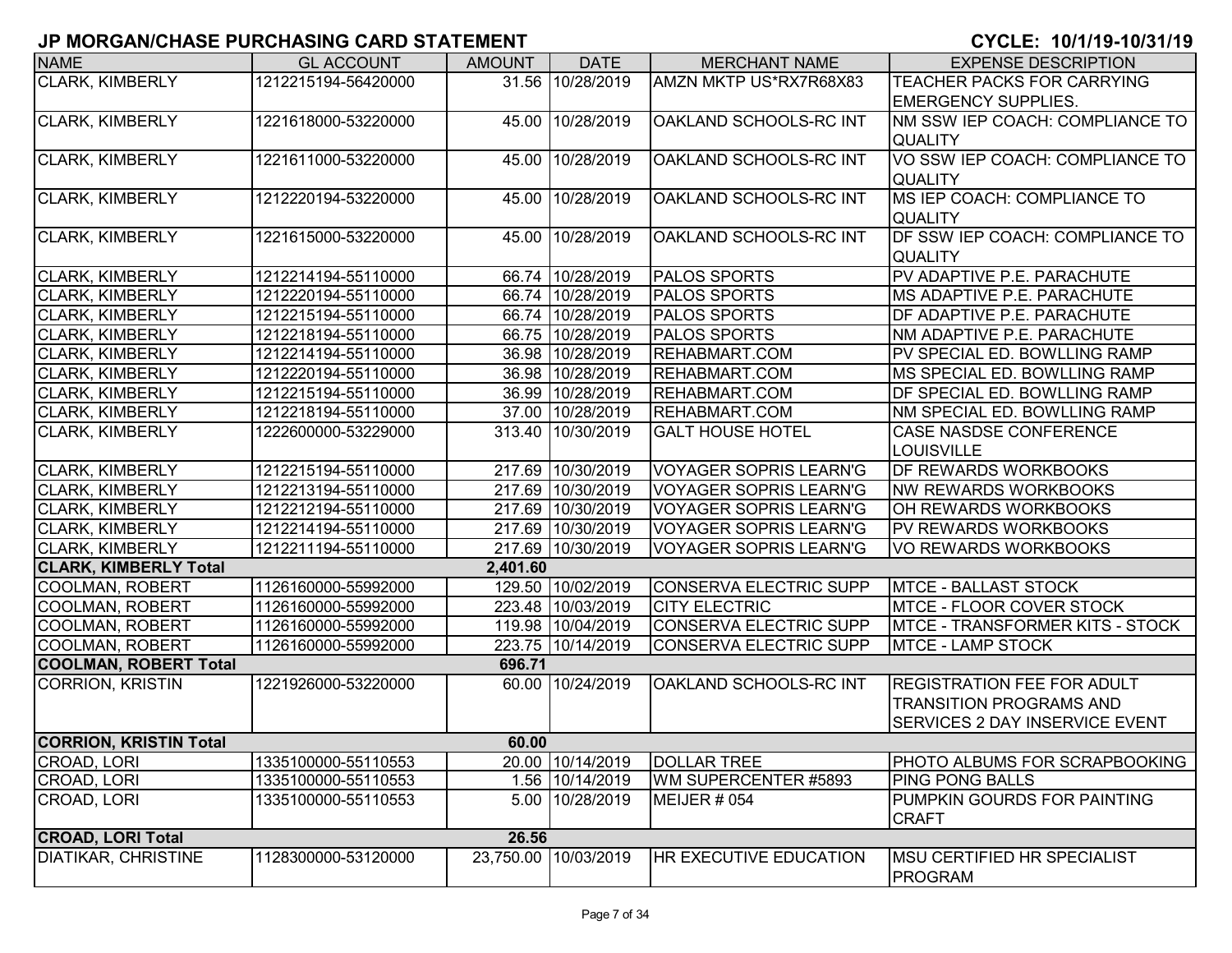| <b>NAME</b>                   | <b>GL ACCOUNT</b>   | <b>AMOUNT</b> | <b>DATE</b>          | <b>MERCHANT NAME</b>          | <b>EXPENSE DESCRIPTION</b>              |
|-------------------------------|---------------------|---------------|----------------------|-------------------------------|-----------------------------------------|
| <b>CLARK, KIMBERLY</b>        | 1212215194-56420000 |               | 31.56 10/28/2019     | AMZN MKTP US*RX7R68X83        | TEACHER PACKS FOR CARRYING              |
|                               |                     |               |                      |                               | <b>EMERGENCY SUPPLIES.</b>              |
| <b>CLARK, KIMBERLY</b>        | 1221618000-53220000 |               | 45.00 10/28/2019     | OAKLAND SCHOOLS-RC INT        | NM SSW IEP COACH: COMPLIANCE TO         |
|                               |                     |               |                      |                               | <b>QUALITY</b>                          |
| CLARK, KIMBERLY               | 1221611000-53220000 |               | 45.00 10/28/2019     | OAKLAND SCHOOLS-RC INT        | VO SSW IEP COACH: COMPLIANCE TO         |
|                               |                     |               |                      |                               | <b>QUALITY</b>                          |
| <b>CLARK, KIMBERLY</b>        | 1212220194-53220000 |               | 45.00 10/28/2019     | OAKLAND SCHOOLS-RC INT        | MS IEP COACH: COMPLIANCE TO             |
|                               |                     |               |                      |                               | <b>QUALITY</b>                          |
| <b>CLARK, KIMBERLY</b>        | 1221615000-53220000 |               | 45.00 10/28/2019     | OAKLAND SCHOOLS-RC INT        | DF SSW IEP COACH: COMPLIANCE TO         |
|                               |                     |               |                      |                               | <b>QUALITY</b>                          |
| <b>CLARK, KIMBERLY</b>        | 1212214194-55110000 |               | 66.74 10/28/2019     | <b>PALOS SPORTS</b>           | PV ADAPTIVE P.E. PARACHUTE              |
| <b>CLARK, KIMBERLY</b>        | 1212220194-55110000 |               | 66.74 10/28/2019     | <b>PALOS SPORTS</b>           | <b>MS ADAPTIVE P.E. PARACHUTE</b>       |
| <b>CLARK, KIMBERLY</b>        | 1212215194-55110000 |               | 66.74 10/28/2019     | <b>PALOS SPORTS</b>           | <b>DF ADAPTIVE P.E. PARACHUTE</b>       |
| <b>CLARK, KIMBERLY</b>        | 1212218194-55110000 |               | 66.75 10/28/2019     | <b>PALOS SPORTS</b>           | <b>NM ADAPTIVE P.E. PARACHUTE</b>       |
| <b>CLARK, KIMBERLY</b>        | 1212214194-55110000 |               | 36.98 10/28/2019     | <b>REHABMART.COM</b>          | PV SPECIAL ED. BOWLLING RAMP            |
| <b>CLARK, KIMBERLY</b>        | 1212220194-55110000 |               | 36.98 10/28/2019     | <b>REHABMART.COM</b>          | MS SPECIAL ED. BOWLLING RAMP            |
| <b>CLARK, KIMBERLY</b>        | 1212215194-55110000 |               | 36.99 10/28/2019     | <b>REHABMART.COM</b>          | DF SPECIAL ED. BOWLLING RAMP            |
| <b>CLARK, KIMBERLY</b>        | 1212218194-55110000 |               | 37.00 10/28/2019     | <b>REHABMART.COM</b>          | NM SPECIAL ED. BOWLLING RAMP            |
| <b>CLARK, KIMBERLY</b>        | 1222600000-53229000 |               | 313.40 10/30/2019    | <b>GALT HOUSE HOTEL</b>       | <b>CASE NASDSE CONFERENCE</b>           |
|                               |                     |               |                      |                               | <b>LOUISVILLE</b>                       |
| <b>CLARK, KIMBERLY</b>        | 1212215194-55110000 |               | 217.69 10/30/2019    | <b>VOYAGER SOPRIS LEARN'G</b> | DF REWARDS WORKBOOKS                    |
| <b>CLARK, KIMBERLY</b>        | 1212213194-55110000 |               | 217.69 10/30/2019    | <b>VOYAGER SOPRIS LEARN'G</b> | <b>NW REWARDS WORKBOOKS</b>             |
| <b>CLARK, KIMBERLY</b>        | 1212212194-55110000 |               | 217.69 10/30/2019    | <b>VOYAGER SOPRIS LEARN'G</b> | OH REWARDS WORKBOOKS                    |
| <b>CLARK, KIMBERLY</b>        | 1212214194-55110000 |               | 217.69 10/30/2019    | <b>VOYAGER SOPRIS LEARN'G</b> | <b>PV REWARDS WORKBOOKS</b>             |
| <b>CLARK, KIMBERLY</b>        | 1212211194-55110000 |               | 217.69 10/30/2019    | <b>VOYAGER SOPRIS LEARN'G</b> | VO REWARDS WORKBOOKS                    |
| <b>CLARK, KIMBERLY Total</b>  |                     | 2,401.60      |                      |                               |                                         |
| <b>COOLMAN, ROBERT</b>        | 1126160000-55992000 |               | 129.50 10/02/2019    | <b>CONSERVA ELECTRIC SUPP</b> | <b>MTCE - BALLAST STOCK</b>             |
| <b>COOLMAN, ROBERT</b>        | 1126160000-55992000 |               | 223.48 10/03/2019    | <b>CITY ELECTRIC</b>          | <b>IMTCE - FLOOR COVER STOCK</b>        |
| <b>COOLMAN, ROBERT</b>        | 1126160000-55992000 |               | 119.98 10/04/2019    | <b>CONSERVA ELECTRIC SUPP</b> | <b>IMTCE - TRANSFORMER KITS - STOCK</b> |
| <b>COOLMAN, ROBERT</b>        | 1126160000-55992000 |               | 223.75 10/14/2019    | <b>CONSERVA ELECTRIC SUPP</b> | <b>MTCE - LAMP STOCK</b>                |
| <b>COOLMAN, ROBERT Total</b>  |                     | 696.71        |                      |                               |                                         |
| <b>CORRION, KRISTIN</b>       | 1221926000-53220000 |               | 60.00 10/24/2019     | OAKLAND SCHOOLS-RC INT        | <b>REGISTRATION FEE FOR ADULT</b>       |
|                               |                     |               |                      |                               | <b>TRANSITION PROGRAMS AND</b>          |
|                               |                     |               |                      |                               | <b>SERVICES 2 DAY INSERVICE EVENT</b>   |
| <b>CORRION, KRISTIN Total</b> |                     | 60.00         |                      |                               |                                         |
| <b>CROAD, LORI</b>            | 1335100000-55110553 |               | 20.00 10/14/2019     | <b>DOLLAR TREE</b>            | <b>PHOTO ALBUMS FOR SCRAPBOOKING</b>    |
| CROAD, LORI                   | 1335100000-55110553 |               | 1.56 10/14/2019      | WM SUPERCENTER #5893          | <b>PING PONG BALLS</b>                  |
| CROAD, LORI                   | 1335100000-55110553 |               | 5.00 10/28/2019      | <b>MEIJER # 054</b>           | PUMPKIN GOURDS FOR PAINTING             |
|                               |                     |               |                      |                               | <b>CRAFT</b>                            |
| <b>CROAD, LORI Total</b>      |                     | 26.56         |                      |                               |                                         |
| <b>DIATIKAR, CHRISTINE</b>    | 1128300000-53120000 |               | 23,750.00 10/03/2019 | HR EXECUTIVE EDUCATION        | <b>MSU CERTIFIED HR SPECIALIST</b>      |
|                               |                     |               |                      |                               | <b>PROGRAM</b>                          |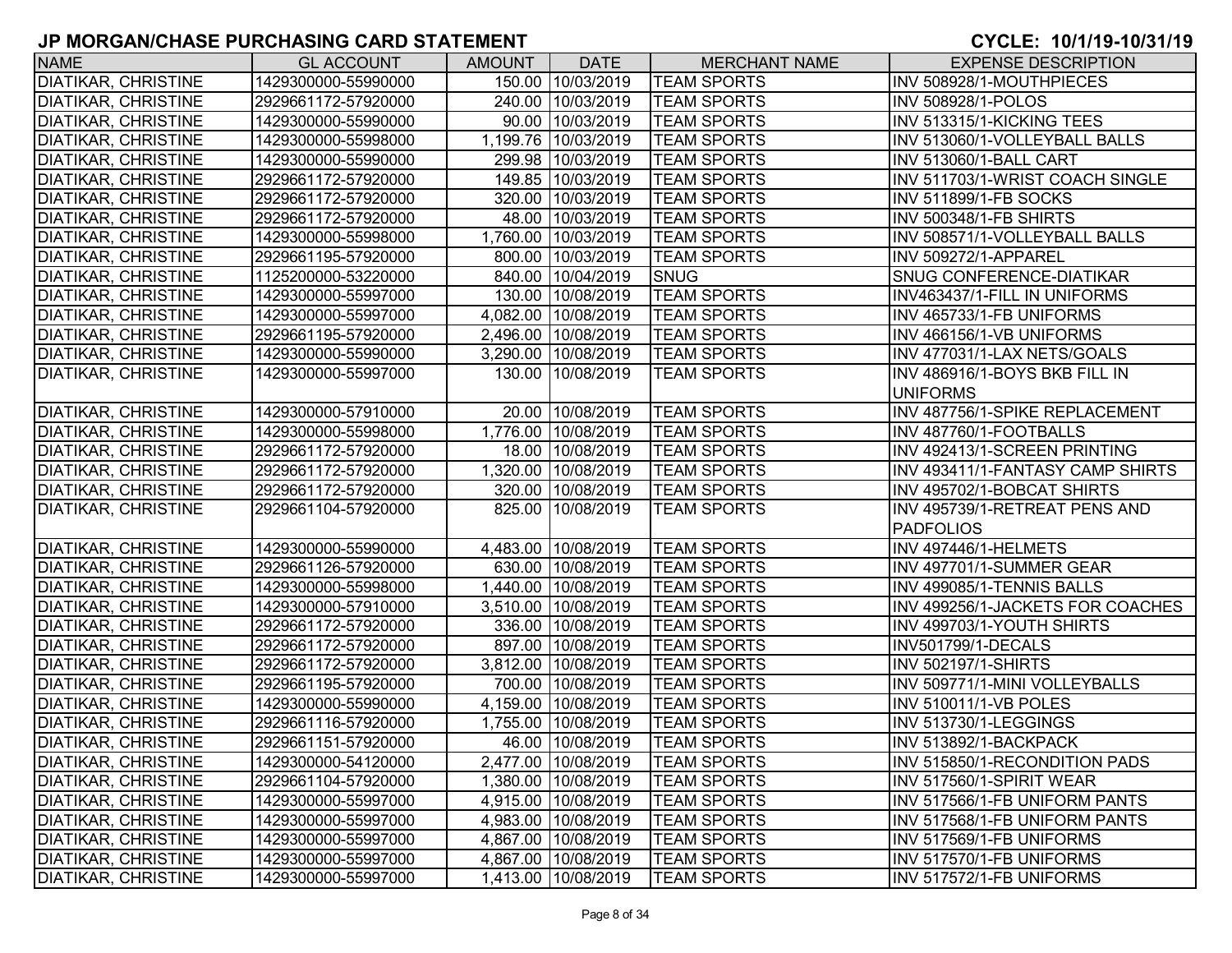| <b>NAME</b>                | <b>GL ACCOUNT</b>   | <b>AMOUNT</b> | <b>DATE</b>         | <b>MERCHANT NAME</b> | <b>EXPENSE DESCRIPTION</b>       |
|----------------------------|---------------------|---------------|---------------------|----------------------|----------------------------------|
| <b>DIATIKAR, CHRISTINE</b> | 1429300000-55990000 |               | 150.00 10/03/2019   | <b>TEAM SPORTS</b>   | INV 508928/1-MOUTHPIECES         |
| <b>DIATIKAR, CHRISTINE</b> | 2929661172-57920000 |               | 240.00 10/03/2019   | <b>TEAM SPORTS</b>   | <b>INV 508928/1-POLOS</b>        |
| <b>DIATIKAR, CHRISTINE</b> | 1429300000-55990000 |               | 90.00 10/03/2019    | <b>TEAM SPORTS</b>   | INV 513315/1-KICKING TEES        |
| <b>DIATIKAR, CHRISTINE</b> | 1429300000-55998000 |               | 1,199.76 10/03/2019 | <b>TEAM SPORTS</b>   | INV 513060/1-VOLLEYBALL BALLS    |
| <b>DIATIKAR, CHRISTINE</b> | 1429300000-55990000 |               | 299.98 10/03/2019   | <b>TEAM SPORTS</b>   | INV 513060/1-BALL CART           |
| <b>DIATIKAR, CHRISTINE</b> | 2929661172-57920000 |               | 149.85 10/03/2019   | <b>TEAM SPORTS</b>   | INV 511703/1-WRIST COACH SINGLE  |
| <b>DIATIKAR, CHRISTINE</b> | 2929661172-57920000 |               | 320.00 10/03/2019   | <b>TEAM SPORTS</b>   | <b>INV 511899/1-FB SOCKS</b>     |
| <b>DIATIKAR, CHRISTINE</b> | 2929661172-57920000 |               | 48.00 10/03/2019    | <b>TEAM SPORTS</b>   | INV 500348/1-FB SHIRTS           |
| <b>DIATIKAR, CHRISTINE</b> | 1429300000-55998000 |               | 1,760.00 10/03/2019 | <b>TEAM SPORTS</b>   | INV 508571/1-VOLLEYBALL BALLS    |
| <b>DIATIKAR, CHRISTINE</b> | 2929661195-57920000 |               | 800.00 10/03/2019   | <b>TEAM SPORTS</b>   | INV 509272/1-APPAREL             |
| DIATIKAR, CHRISTINE        | 1125200000-53220000 |               | 840.00 10/04/2019   | <b>SNUG</b>          | SNUG CONFERENCE-DIATIKAR         |
| DIATIKAR, CHRISTINE        | 1429300000-55997000 |               | 130.00 10/08/2019   | <b>TEAM SPORTS</b>   | INV463437/1-FILL IN UNIFORMS     |
| <b>DIATIKAR, CHRISTINE</b> | 1429300000-55997000 |               | 4,082.00 10/08/2019 | <b>TEAM SPORTS</b>   | INV 465733/1-FB UNIFORMS         |
| <b>DIATIKAR, CHRISTINE</b> | 2929661195-57920000 |               | 2,496.00 10/08/2019 | <b>TEAM SPORTS</b>   | INV 466156/1-VB UNIFORMS         |
| <b>DIATIKAR, CHRISTINE</b> | 1429300000-55990000 |               | 3,290.00 10/08/2019 | <b>TEAM SPORTS</b>   | INV 477031/1-LAX NETS/GOALS      |
| <b>DIATIKAR, CHRISTINE</b> | 1429300000-55997000 |               | 130.00 10/08/2019   | <b>TEAM SPORTS</b>   | INV 486916/1-BOYS BKB FILL IN    |
|                            |                     |               |                     |                      | <b>UNIFORMS</b>                  |
| <b>DIATIKAR, CHRISTINE</b> | 1429300000-57910000 |               | 20.00 10/08/2019    | <b>TEAM SPORTS</b>   | INV 487756/1-SPIKE REPLACEMENT   |
| <b>DIATIKAR, CHRISTINE</b> | 1429300000-55998000 | 1.776.00      | 10/08/2019          | <b>TEAM SPORTS</b>   | INV 487760/1-FOOTBALLS           |
| <b>DIATIKAR, CHRISTINE</b> | 2929661172-57920000 |               | 18.00 10/08/2019    | <b>TEAM SPORTS</b>   | INV 492413/1-SCREEN PRINTING     |
| <b>DIATIKAR, CHRISTINE</b> | 2929661172-57920000 |               | 1,320.00 10/08/2019 | <b>TEAM SPORTS</b>   | INV 493411/1-FANTASY CAMP SHIRTS |
| DIATIKAR, CHRISTINE        | 2929661172-57920000 |               | 320.00 10/08/2019   | <b>TEAM SPORTS</b>   | INV 495702/1-BOBCAT SHIRTS       |
| DIATIKAR, CHRISTINE        | 2929661104-57920000 |               | 825.00 10/08/2019   | <b>TEAM SPORTS</b>   | INV 495739/1-RETREAT PENS AND    |
|                            |                     |               |                     |                      | <b>PADFOLIOS</b>                 |
| <b>DIATIKAR, CHRISTINE</b> | 1429300000-55990000 |               | 4,483.00 10/08/2019 | <b>TEAM SPORTS</b>   | INV 497446/1-HELMETS             |
| <b>DIATIKAR, CHRISTINE</b> | 2929661126-57920000 |               | 630.00 10/08/2019   | <b>TEAM SPORTS</b>   | INV 497701/1-SUMMER GEAR         |
| <b>DIATIKAR, CHRISTINE</b> | 1429300000-55998000 |               | 1,440.00 10/08/2019 | <b>TEAM SPORTS</b>   | INV 499085/1-TENNIS BALLS        |
| <b>DIATIKAR, CHRISTINE</b> | 1429300000-57910000 |               | 3,510.00 10/08/2019 | <b>TEAM SPORTS</b>   | INV 499256/1-JACKETS FOR COACHES |
| <b>DIATIKAR, CHRISTINE</b> | 2929661172-57920000 |               | 336.00 10/08/2019   | <b>TEAM SPORTS</b>   | INV 499703/1-YOUTH SHIRTS        |
| <b>DIATIKAR, CHRISTINE</b> | 2929661172-57920000 |               | 897.00 10/08/2019   | <b>TEAM SPORTS</b>   | INV501799/1-DECALS               |
| <b>DIATIKAR, CHRISTINE</b> | 2929661172-57920000 |               | 3,812.00 10/08/2019 | <b>TEAM SPORTS</b>   | <b>INV 502197/1-SHIRTS</b>       |
| <b>DIATIKAR, CHRISTINE</b> | 2929661195-57920000 |               | 700.00 10/08/2019   | <b>TEAM SPORTS</b>   | INV 509771/1-MINI VOLLEYBALLS    |
| <b>DIATIKAR, CHRISTINE</b> | 1429300000-55990000 |               | 4,159.00 10/08/2019 | <b>TEAM SPORTS</b>   | INV 510011/1-VB POLES            |
| <b>DIATIKAR, CHRISTINE</b> | 2929661116-57920000 |               | 1,755.00 10/08/2019 | <b>TEAM SPORTS</b>   | INV 513730/1-LEGGINGS            |
| <b>DIATIKAR, CHRISTINE</b> | 2929661151-57920000 |               | 46.00 10/08/2019    | <b>TEAM SPORTS</b>   | INV 513892/1-BACKPACK            |
| <b>DIATIKAR, CHRISTINE</b> | 1429300000-54120000 |               | 2,477.00 10/08/2019 | <b>TEAM SPORTS</b>   | INV 515850/1-RECONDITION PADS    |
| <b>DIATIKAR, CHRISTINE</b> | 2929661104-57920000 |               | 1,380.00 10/08/2019 | <b>TEAM SPORTS</b>   | INV 517560/1-SPIRIT WEAR         |
| <b>DIATIKAR, CHRISTINE</b> | 1429300000-55997000 |               | 4,915.00 10/08/2019 | <b>TEAM SPORTS</b>   | INV 517566/1-FB UNIFORM PANTS    |
| DIATIKAR, CHRISTINE        | 1429300000-55997000 |               | 4,983.00 10/08/2019 | <b>TEAM SPORTS</b>   | INV 517568/1-FB UNIFORM PANTS    |
| DIATIKAR, CHRISTINE        | 1429300000-55997000 |               | 4,867.00 10/08/2019 | <b>TEAM SPORTS</b>   | INV 517569/1-FB UNIFORMS         |
| DIATIKAR, CHRISTINE        | 1429300000-55997000 |               | 4,867.00 10/08/2019 | <b>TEAM SPORTS</b>   | INV 517570/1-FB UNIFORMS         |
| <b>DIATIKAR, CHRISTINE</b> | 1429300000-55997000 |               | 1,413.00 10/08/2019 | <b>TEAM SPORTS</b>   | INV 517572/1-FB UNIFORMS         |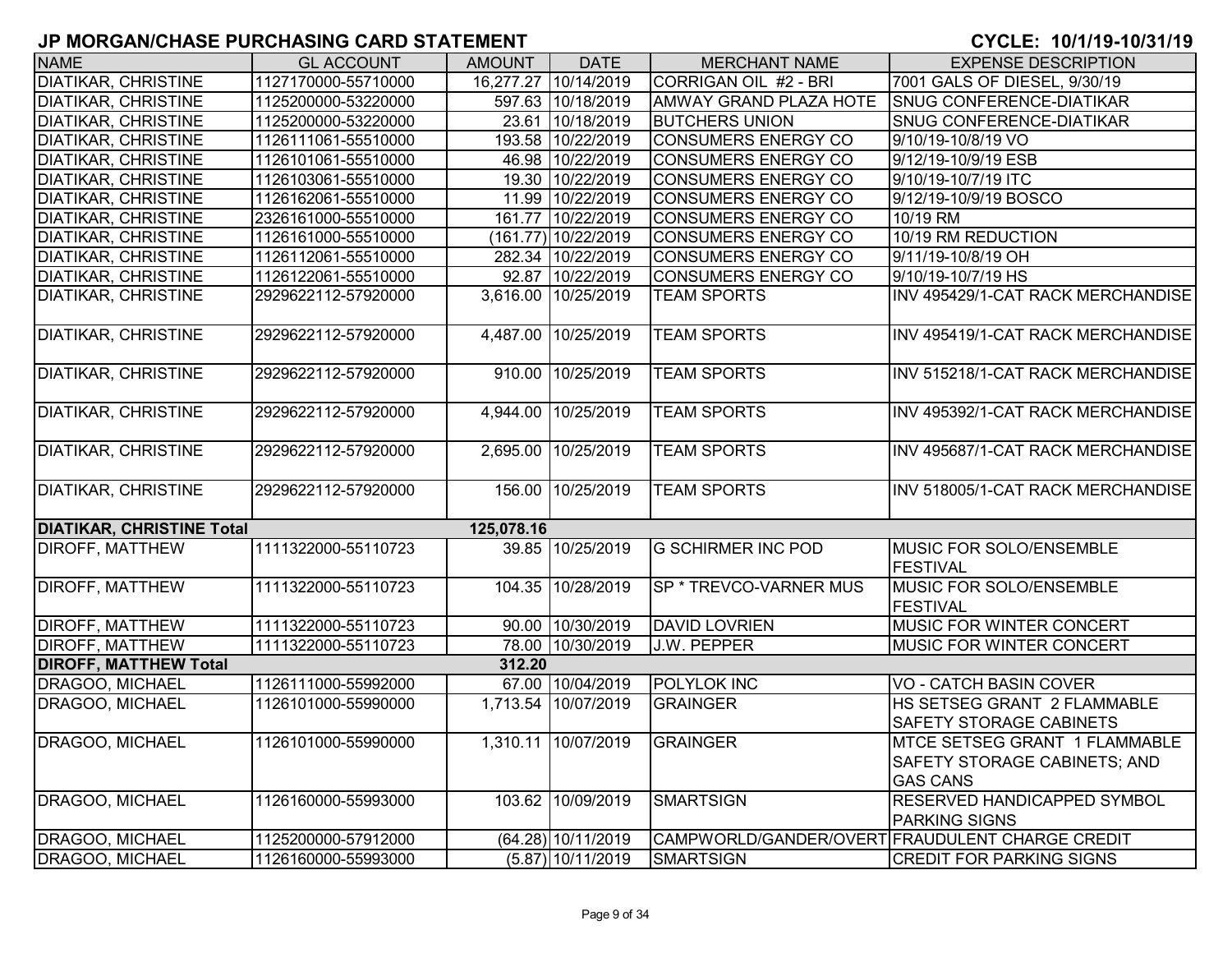| <b>NAME</b>                      | <b>GL ACCOUNT</b>   | <b>AMOUNT</b>     | <b>DATE</b>          | <b>MERCHANT NAME</b>          | <b>EXPENSE DESCRIPTION</b>                      |
|----------------------------------|---------------------|-------------------|----------------------|-------------------------------|-------------------------------------------------|
| <b>DIATIKAR, CHRISTINE</b>       | 1127170000-55710000 |                   | 16,277.27 10/14/2019 | CORRIGAN OIL #2 - BRI         | 7001 GALS OF DIESEL, 9/30/19                    |
| <b>DIATIKAR, CHRISTINE</b>       | 1125200000-53220000 |                   | 597.63 10/18/2019    | <b>AMWAY GRAND PLAZA HOTE</b> | <b>SNUG CONFERENCE-DIATIKAR</b>                 |
| <b>DIATIKAR, CHRISTINE</b>       | 1125200000-53220000 |                   | 23.61 10/18/2019     | <b>BUTCHERS UNION</b>         | <b>SNUG CONFERENCE-DIATIKAR</b>                 |
| <b>DIATIKAR, CHRISTINE</b>       | 1126111061-55510000 |                   | 193.58 10/22/2019    | CONSUMERS ENERGY CO           | 9/10/19-10/8/19 VO                              |
| <b>DIATIKAR, CHRISTINE</b>       | 1126101061-55510000 |                   | 46.98 10/22/2019     | <b>CONSUMERS ENERGY CO</b>    | 9/12/19-10/9/19 ESB                             |
| <b>DIATIKAR, CHRISTINE</b>       | 1126103061-55510000 |                   | 19.30 10/22/2019     | CONSUMERS ENERGY CO           | 9/10/19-10/7/19 ITC                             |
| <b>DIATIKAR, CHRISTINE</b>       | 1126162061-55510000 |                   | 11.99 10/22/2019     | CONSUMERS ENERGY CO           | 9/12/19-10/9/19 BOSCO                           |
| <b>DIATIKAR, CHRISTINE</b>       | 2326161000-55510000 |                   | 161.77 10/22/2019    | <b>CONSUMERS ENERGY CO</b>    | 10/19 RM                                        |
| <b>DIATIKAR, CHRISTINE</b>       | 1126161000-55510000 |                   | (161.77) 10/22/2019  | <b>CONSUMERS ENERGY CO</b>    | 10/19 RM REDUCTION                              |
| <b>DIATIKAR, CHRISTINE</b>       | 1126112061-55510000 |                   | 282.34 10/22/2019    | <b>CONSUMERS ENERGY CO</b>    | 9/11/19-10/8/19 OH                              |
| <b>DIATIKAR, CHRISTINE</b>       | 1126122061-55510000 |                   | 92.87 10/22/2019     | <b>CONSUMERS ENERGY CO</b>    | 9/10/19-10/7/19 HS                              |
| <b>DIATIKAR, CHRISTINE</b>       | 2929622112-57920000 |                   | 3,616.00 10/25/2019  | <b>TEAM SPORTS</b>            | INV 495429/1-CAT RACK MERCHANDISE               |
|                                  |                     |                   |                      |                               |                                                 |
| <b>DIATIKAR, CHRISTINE</b>       | 2929622112-57920000 | 4,487.00          | 10/25/2019           | <b>TEAM SPORTS</b>            | INV 495419/1-CAT RACK MERCHANDISE               |
|                                  |                     |                   |                      |                               |                                                 |
| <b>DIATIKAR, CHRISTINE</b>       | 2929622112-57920000 |                   | 910.00 10/25/2019    | <b>TEAM SPORTS</b>            | INV 515218/1-CAT RACK MERCHANDISE               |
|                                  |                     |                   |                      |                               |                                                 |
| <b>DIATIKAR, CHRISTINE</b>       | 2929622112-57920000 | $\sqrt{4,944.00}$ | 10/25/2019           | <b>TEAM SPORTS</b>            | INV 495392/1-CAT RACK MERCHANDISE               |
|                                  |                     |                   |                      |                               |                                                 |
| <b>DIATIKAR, CHRISTINE</b>       | 2929622112-57920000 | 2,695.00          | 10/25/2019           | <b>TEAM SPORTS</b>            | INV 495687/1-CAT RACK MERCHANDISE               |
|                                  |                     |                   |                      |                               |                                                 |
| <b>DIATIKAR, CHRISTINE</b>       | 2929622112-57920000 |                   | 156.00 10/25/2019    | <b>TEAM SPORTS</b>            | INV 518005/1-CAT RACK MERCHANDISE               |
|                                  |                     |                   |                      |                               |                                                 |
| <b>DIATIKAR, CHRISTINE Total</b> |                     | 125,078.16        |                      |                               |                                                 |
| <b>DIROFF, MATTHEW</b>           | 1111322000-55110723 |                   | 39.85 10/25/2019     | <b>G SCHIRMER INC POD</b>     | <b>MUSIC FOR SOLO/ENSEMBLE</b>                  |
|                                  |                     |                   |                      |                               | <b>FESTIVAL</b>                                 |
| <b>DIROFF, MATTHEW</b>           | 1111322000-55110723 |                   | 104.35 10/28/2019    | SP * TREVCO-VARNER MUS        | MUSIC FOR SOLO/ENSEMBLE                         |
|                                  |                     |                   |                      |                               | <b>FESTIVAL</b>                                 |
| <b>DIROFF, MATTHEW</b>           | 1111322000-55110723 |                   | 90.00 10/30/2019     | <b>DAVID LOVRIEN</b>          | <b>MUSIC FOR WINTER CONCERT</b>                 |
| <b>DIROFF, MATTHEW</b>           | 1111322000-55110723 |                   | 78.00 10/30/2019     | J.W. PEPPER                   | <b>MUSIC FOR WINTER CONCERT</b>                 |
| <b>DIROFF, MATTHEW Total</b>     |                     | 312.20            |                      |                               |                                                 |
| <b>DRAGOO, MICHAEL</b>           | 1126111000-55992000 | 67.00             | 10/04/2019           | <b>POLYLOK INC</b>            | <b>VO - CATCH BASIN COVER</b>                   |
| DRAGOO, MICHAEL                  | 1126101000-55990000 |                   | 1,713.54 10/07/2019  | <b>GRAINGER</b>               | HS SETSEG GRANT 2 FLAMMABLE                     |
|                                  |                     |                   |                      |                               | <b>SAFETY STORAGE CABINETS</b>                  |
| DRAGOO, MICHAEL                  | 1126101000-55990000 |                   | 1,310.11 10/07/2019  | <b>GRAINGER</b>               | MTCE SETSEG GRANT 1 FLAMMABLE                   |
|                                  |                     |                   |                      |                               | SAFETY STORAGE CABINETS; AND                    |
|                                  |                     |                   |                      |                               | <b>GAS CANS</b>                                 |
| <b>DRAGOO, MICHAEL</b>           | 1126160000-55993000 |                   | 103.62 10/09/2019    | <b>SMARTSIGN</b>              | <b>RESERVED HANDICAPPED SYMBOL</b>              |
|                                  |                     |                   |                      |                               | <b>PARKING SIGNS</b>                            |
| DRAGOO, MICHAEL                  | 1125200000-57912000 |                   | (64.28) 10/11/2019   |                               | CAMPWORLD/GANDER/OVERT FRAUDULENT CHARGE CREDIT |
| DRAGOO, MICHAEL                  | 1126160000-55993000 |                   | $(5.87)$ 10/11/2019  | <b>SMARTSIGN</b>              | <b>CREDIT FOR PARKING SIGNS</b>                 |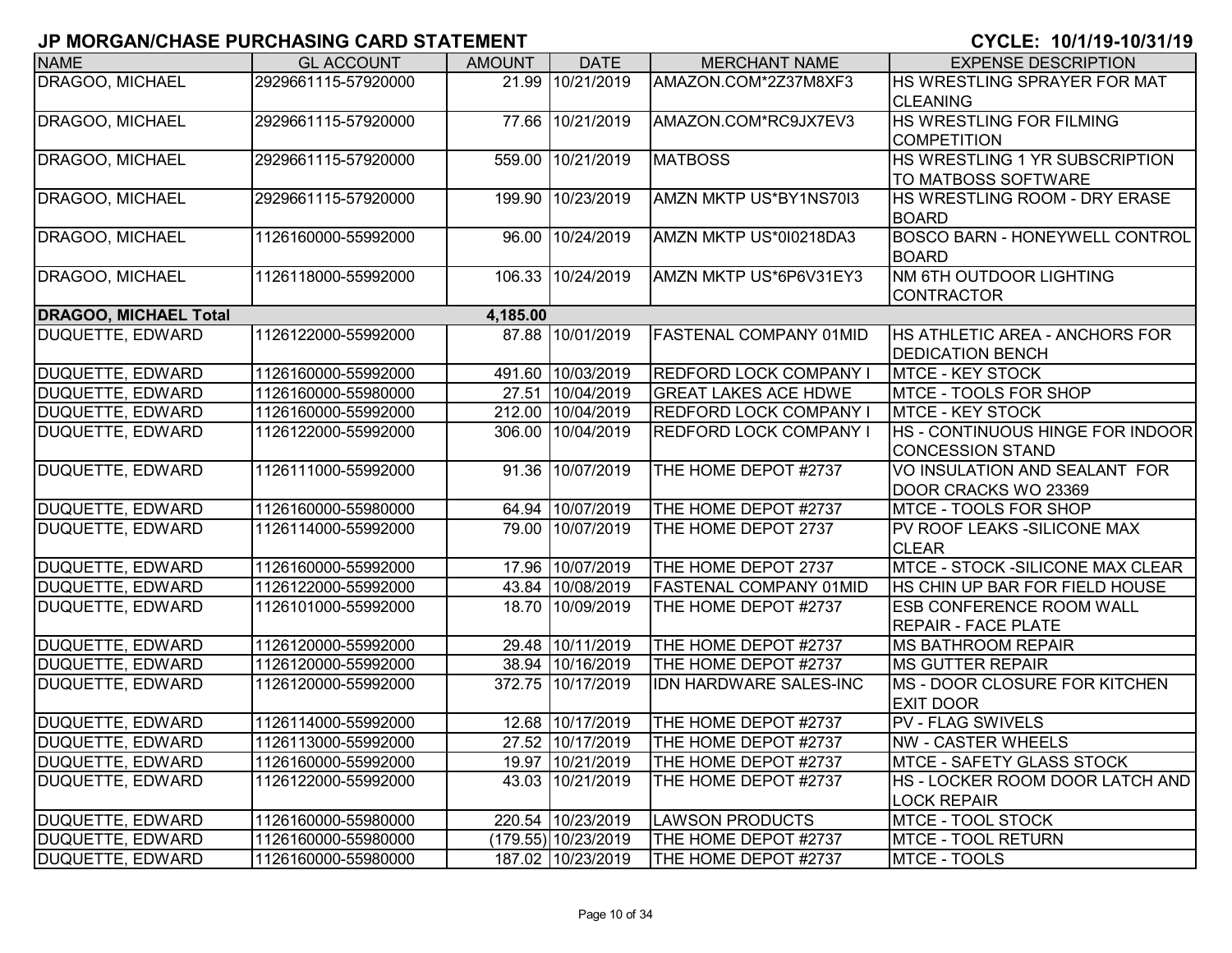| <b>NAME</b>                  | <b>GL ACCOUNT</b>   | <b>AMOUNT</b> | <b>DATE</b>         | <b>MERCHANT NAME</b>          | <b>EXPENSE DESCRIPTION</b>              |
|------------------------------|---------------------|---------------|---------------------|-------------------------------|-----------------------------------------|
| DRAGOO, MICHAEL              | 2929661115-57920000 |               | 21.99 10/21/2019    | AMAZON.COM*2Z37M8XF3          | HS WRESTLING SPRAYER FOR MAT            |
|                              |                     |               |                     |                               | <b>CLEANING</b>                         |
| <b>DRAGOO, MICHAEL</b>       | 2929661115-57920000 |               | 77.66 10/21/2019    | AMAZON.COM*RC9JX7EV3          | <b>HS WRESTLING FOR FILMING</b>         |
|                              |                     |               |                     |                               | <b>COMPETITION</b>                      |
| DRAGOO, MICHAEL              | 2929661115-57920000 |               | 559.00 10/21/2019   | <b>MATBOSS</b>                | HS WRESTLING 1 YR SUBSCRIPTION          |
|                              |                     |               |                     |                               | TO MATBOSS SOFTWARE                     |
| DRAGOO, MICHAEL              | 2929661115-57920000 |               | 199.90 10/23/2019   | AMZN MKTP US*BY1NS70I3        | <b>HS WRESTLING ROOM - DRY ERASE</b>    |
|                              |                     |               |                     |                               | <b>BOARD</b>                            |
| DRAGOO, MICHAEL              | 1126160000-55992000 |               | 96.00 10/24/2019    | AMZN MKTP US*010218DA3        | <b>BOSCO BARN - HONEYWELL CONTROL</b>   |
|                              |                     |               |                     |                               | <b>BOARD</b>                            |
| DRAGOO, MICHAEL              | 1126118000-55992000 | 106.33        | 10/24/2019          | AMZN MKTP US*6P6V31EY3        | NM 6TH OUTDOOR LIGHTING                 |
|                              |                     |               |                     |                               | <b>CONTRACTOR</b>                       |
| <b>DRAGOO, MICHAEL Total</b> |                     | 4,185.00      |                     |                               |                                         |
| <b>DUQUETTE, EDWARD</b>      | 1126122000-55992000 |               | 87.88 10/01/2019    | <b>FASTENAL COMPANY 01MID</b> | <b>HS ATHLETIC AREA - ANCHORS FOR</b>   |
|                              |                     |               |                     |                               | <b>DEDICATION BENCH</b>                 |
| <b>DUQUETTE, EDWARD</b>      | 1126160000-55992000 |               | 491.60 10/03/2019   | REDFORD LOCK COMPANY I        | <b>MTCE - KEY STOCK</b>                 |
| <b>DUQUETTE, EDWARD</b>      | 1126160000-55980000 |               | 27.51 10/04/2019    | <b>GREAT LAKES ACE HDWE</b>   | MTCE - TOOLS FOR SHOP                   |
| <b>DUQUETTE, EDWARD</b>      | 1126160000-55992000 |               | 212.00 10/04/2019   | <b>REDFORD LOCK COMPANY I</b> | <b>MTCE - KEY STOCK</b>                 |
| <b>DUQUETTE, EDWARD</b>      | 1126122000-55992000 |               | 306.00 10/04/2019   | <b>REDFORD LOCK COMPANY I</b> | HS - CONTINUOUS HINGE FOR INDOOR        |
|                              |                     |               |                     |                               | <b>CONCESSION STAND</b>                 |
| <b>DUQUETTE, EDWARD</b>      | 1126111000-55992000 |               | 91.36 10/07/2019    | THE HOME DEPOT #2737          | VO INSULATION AND SEALANT FOR           |
|                              |                     |               |                     |                               | DOOR CRACKS WO 23369                    |
| <b>DUQUETTE, EDWARD</b>      | 1126160000-55980000 |               | 64.94 10/07/2019    | THE HOME DEPOT #2737          | MTCE - TOOLS FOR SHOP                   |
| <b>DUQUETTE, EDWARD</b>      | 1126114000-55992000 |               | 79.00 10/07/2019    | THE HOME DEPOT 2737           | PV ROOF LEAKS - SILICONE MAX            |
|                              |                     |               |                     |                               | <b>CLEAR</b>                            |
| <b>DUQUETTE, EDWARD</b>      | 1126160000-55992000 |               | 17.96 10/07/2019    | THE HOME DEPOT 2737           | <b>MTCE - STOCK -SILICONE MAX CLEAR</b> |
| <b>DUQUETTE, EDWARD</b>      | 1126122000-55992000 |               | 43.84 10/08/2019    | <b>FASTENAL COMPANY 01MID</b> | HS CHIN UP BAR FOR FIELD HOUSE          |
| <b>DUQUETTE, EDWARD</b>      | 1126101000-55992000 |               | 18.70 10/09/2019    | THE HOME DEPOT #2737          | <b>ESB CONFERENCE ROOM WALL</b>         |
|                              |                     |               |                     |                               | <b>REPAIR - FACE PLATE</b>              |
| <b>DUQUETTE, EDWARD</b>      | 1126120000-55992000 |               | 29.48 10/11/2019    | THE HOME DEPOT #2737          | <b>MS BATHROOM REPAIR</b>               |
| <b>DUQUETTE, EDWARD</b>      | 1126120000-55992000 |               | 38.94 10/16/2019    | THE HOME DEPOT #2737          | <b>MS GUTTER REPAIR</b>                 |
| DUQUETTE, EDWARD             | 1126120000-55992000 |               | 372.75 10/17/2019   | IDN HARDWARE SALES-INC        | <b>IMS - DOOR CLOSURE FOR KITCHEN</b>   |
|                              |                     |               |                     |                               | <b>EXIT DOOR</b>                        |
| <b>DUQUETTE, EDWARD</b>      | 1126114000-55992000 |               | 12.68 10/17/2019    | THE HOME DEPOT #2737          | <b>PV - FLAG SWIVELS</b>                |
| DUQUETTE, EDWARD             | 1126113000-55992000 |               | 27.52 10/17/2019    | THE HOME DEPOT #2737          | <b>NW - CASTER WHEELS</b>               |
| <b>DUQUETTE, EDWARD</b>      | 1126160000-55992000 |               | 19.97 10/21/2019    | THE HOME DEPOT #2737          | <b>IMTCE - SAFETY GLASS STOCK</b>       |
| DUQUETTE, EDWARD             | 1126122000-55992000 |               | 43.03 10/21/2019    | THE HOME DEPOT #2737          | HS - LOCKER ROOM DOOR LATCH AND         |
|                              |                     |               |                     |                               | <b>LOCK REPAIR</b>                      |
| DUQUETTE, EDWARD             | 1126160000-55980000 |               | 220.54 10/23/2019   | <b>LAWSON PRODUCTS</b>        | MTCE - TOOL STOCK                       |
| <b>DUQUETTE, EDWARD</b>      | 1126160000-55980000 |               | (179.55) 10/23/2019 | THE HOME DEPOT #2737          | <b>MTCE - TOOL RETURN</b>               |
| DUQUETTE, EDWARD             | 1126160000-55980000 |               | 187.02 10/23/2019   | THE HOME DEPOT #2737          | MTCE - TOOLS                            |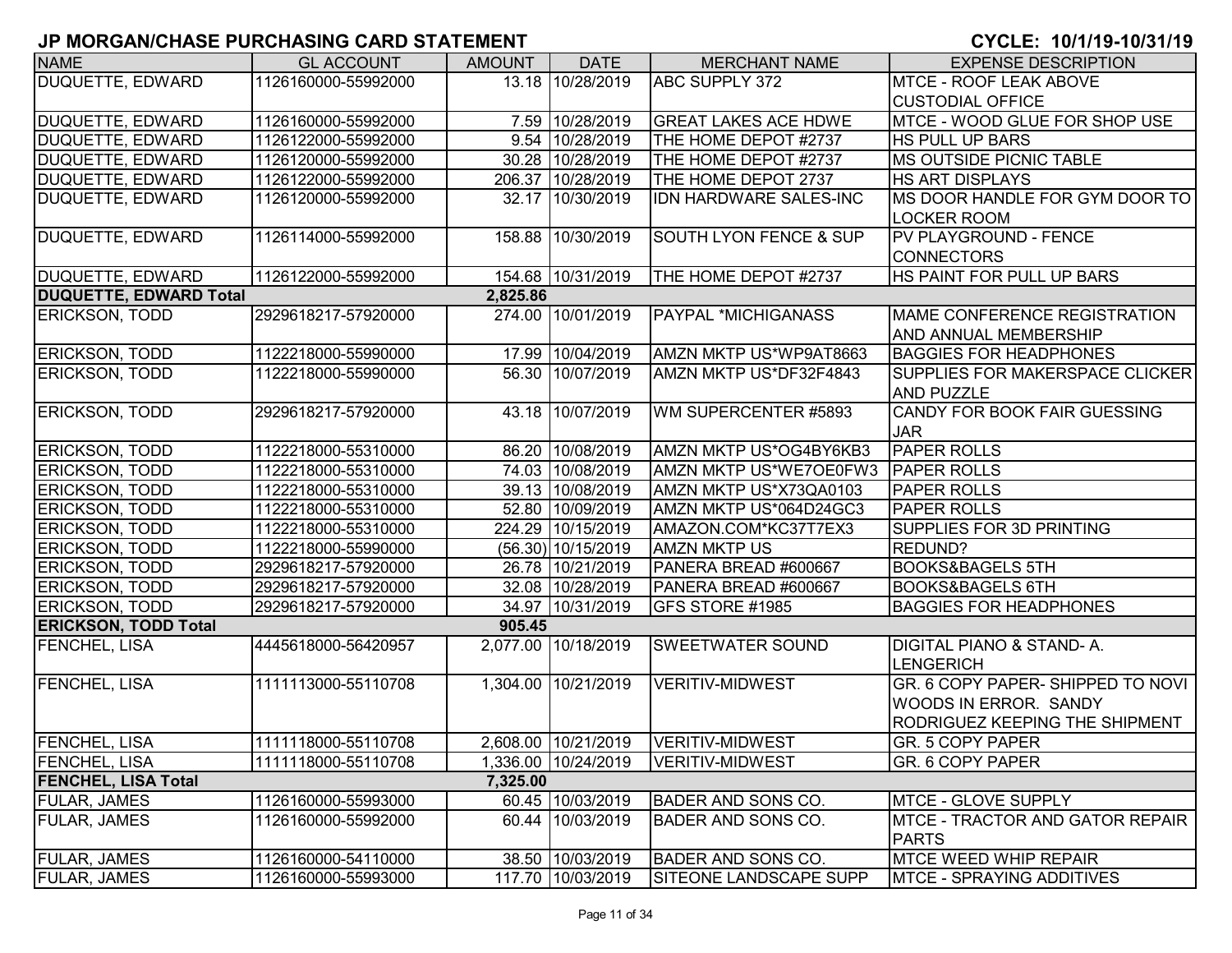| <b>NAME</b>                   | <b>GL ACCOUNT</b>   | <b>AMOUNT</b> | <b>DATE</b>         | <b>MERCHANT NAME</b>              | <b>EXPENSE DESCRIPTION</b>                                                                          |
|-------------------------------|---------------------|---------------|---------------------|-----------------------------------|-----------------------------------------------------------------------------------------------------|
| <b>DUQUETTE, EDWARD</b>       | 1126160000-55992000 |               | 13.18 10/28/2019    | ABC SUPPLY 372                    | <b>MTCE - ROOF LEAK ABOVE</b>                                                                       |
|                               |                     |               |                     |                                   | <b>CUSTODIAL OFFICE</b>                                                                             |
| DUQUETTE, EDWARD              | 1126160000-55992000 |               | 7.59 10/28/2019     | <b>GREAT LAKES ACE HDWE</b>       | MTCE - WOOD GLUE FOR SHOP USE                                                                       |
| <b>DUQUETTE, EDWARD</b>       | 1126122000-55992000 |               | 9.54 10/28/2019     | THE HOME DEPOT #2737              | <b>HS PULL UP BARS</b>                                                                              |
| <b>DUQUETTE, EDWARD</b>       | 1126120000-55992000 |               | 30.28 10/28/2019    | THE HOME DEPOT #2737              | <b>MS OUTSIDE PICNIC TABLE</b>                                                                      |
| <b>DUQUETTE, EDWARD</b>       | 1126122000-55992000 |               | 206.37 10/28/2019   | THE HOME DEPOT 2737               | <b>HS ART DISPLAYS</b>                                                                              |
| DUQUETTE, EDWARD              | 1126120000-55992000 |               | 32.17 10/30/2019    | IDN HARDWARE SALES-INC            | MS DOOR HANDLE FOR GYM DOOR TO<br><b>LOCKER ROOM</b>                                                |
| <b>DUQUETTE, EDWARD</b>       | 1126114000-55992000 |               | 158.88 10/30/2019   | <b>SOUTH LYON FENCE &amp; SUP</b> | PV PLAYGROUND - FENCE<br><b>CONNECTORS</b>                                                          |
| <b>DUQUETTE, EDWARD</b>       | 1126122000-55992000 |               | 154.68 10/31/2019   | THE HOME DEPOT #2737              | HS PAINT FOR PULL UP BARS                                                                           |
| <b>DUQUETTE, EDWARD Total</b> |                     | 2,825.86      |                     |                                   |                                                                                                     |
| <b>ERICKSON, TODD</b>         | 2929618217-57920000 |               | 274.00 10/01/2019   | <b>PAYPAL *MICHIGANASS</b>        | MAME CONFERENCE REGISTRATION                                                                        |
|                               |                     |               |                     |                                   | <b>AND ANNUAL MEMBERSHIP</b>                                                                        |
| <b>ERICKSON, TODD</b>         | 1122218000-55990000 |               | 17.99 10/04/2019    | AMZN MKTP US*WP9AT8663            | <b>BAGGIES FOR HEADPHONES</b>                                                                       |
| <b>ERICKSON, TODD</b>         | 1122218000-55990000 |               | 56.30 10/07/2019    | AMZN MKTP US*DF32F4843            | <b>SUPPLIES FOR MAKERSPACE CLICKER</b><br><b>AND PUZZLE</b>                                         |
| <b>ERICKSON, TODD</b>         | 2929618217-57920000 |               | 43.18 10/07/2019    | WM SUPERCENTER #5893              | CANDY FOR BOOK FAIR GUESSING<br><b>JAR</b>                                                          |
| <b>ERICKSON, TODD</b>         | 1122218000-55310000 |               | 86.20 10/08/2019    | AMZN MKTP US*OG4BY6KB3            | <b>PAPER ROLLS</b>                                                                                  |
| <b>ERICKSON, TODD</b>         | 1122218000-55310000 |               | 74.03 10/08/2019    | AMZN MKTP US*WE7OE0FW3            | <b>PAPER ROLLS</b>                                                                                  |
| <b>ERICKSON, TODD</b>         | 1122218000-55310000 |               | 39.13 10/08/2019    | AMZN MKTP US*X73QA0103            | <b>PAPER ROLLS</b>                                                                                  |
| <b>ERICKSON, TODD</b>         | 1122218000-55310000 |               | 52.80 10/09/2019    | AMZN MKTP US*064D24GC3            | <b>PAPER ROLLS</b>                                                                                  |
| <b>ERICKSON, TODD</b>         | 1122218000-55310000 |               | 224.29 10/15/2019   | AMAZON.COM*KC37T7EX3              | SUPPLIES FOR 3D PRINTING                                                                            |
| <b>ERICKSON, TODD</b>         | 1122218000-55990000 |               | (56.30) 10/15/2019  | <b>AMZN MKTP US</b>               | REDUND?                                                                                             |
| <b>ERICKSON, TODD</b>         | 2929618217-57920000 |               | 26.78 10/21/2019    | PANERA BREAD #600667              | <b>BOOKS&amp;BAGELS 5TH</b>                                                                         |
| <b>ERICKSON, TODD</b>         | 2929618217-57920000 |               | 32.08 10/28/2019    | PANERA BREAD #600667              | <b>BOOKS&amp;BAGELS 6TH</b>                                                                         |
| <b>ERICKSON, TODD</b>         | 2929618217-57920000 |               | 34.97 10/31/2019    | <b>GFS STORE #1985</b>            | <b>BAGGIES FOR HEADPHONES</b>                                                                       |
| <b>ERICKSON, TODD Total</b>   |                     | 905.45        |                     |                                   |                                                                                                     |
| <b>FENCHEL, LISA</b>          | 4445618000-56420957 |               | 2,077.00 10/18/2019 | SWEETWATER SOUND                  | <b>DIGITAL PIANO &amp; STAND-A.</b><br><b>LENGERICH</b>                                             |
| <b>FENCHEL, LISA</b>          | 1111113000-55110708 |               | 1,304.00 10/21/2019 | <b>VERITIV-MIDWEST</b>            | GR. 6 COPY PAPER- SHIPPED TO NOVI<br><b>WOODS IN ERROR. SANDY</b><br>RODRIGUEZ KEEPING THE SHIPMENT |
| <b>FENCHEL, LISA</b>          | 1111118000-55110708 |               | 2,608.00 10/21/2019 | VERITIV-MIDWEST                   | <b>GR. 5 COPY PAPER</b>                                                                             |
| <b>FENCHEL, LISA</b>          | 1111118000-55110708 |               | 1,336.00 10/24/2019 | VERITIV-MIDWEST                   | GR. 6 COPY PAPER                                                                                    |
| <b>FENCHEL, LISA Total</b>    |                     | 7,325.00      |                     |                                   |                                                                                                     |
| <b>FULAR, JAMES</b>           | 1126160000-55993000 |               | 60.45 10/03/2019    | <b>BADER AND SONS CO.</b>         | MTCE - GLOVE SUPPLY                                                                                 |
| <b>FULAR, JAMES</b>           | 1126160000-55992000 |               | 60.44 10/03/2019    | <b>BADER AND SONS CO.</b>         | <b>MTCE - TRACTOR AND GATOR REPAIR</b><br><b>PARTS</b>                                              |
| <b>FULAR, JAMES</b>           | 1126160000-54110000 |               | 38.50 10/03/2019    | <b>BADER AND SONS CO.</b>         | <b>MTCE WEED WHIP REPAIR</b>                                                                        |
| <b>FULAR, JAMES</b>           | 1126160000-55993000 |               | 117.70 10/03/2019   | SITEONE LANDSCAPE SUPP            | <b>MTCE - SPRAYING ADDITIVES</b>                                                                    |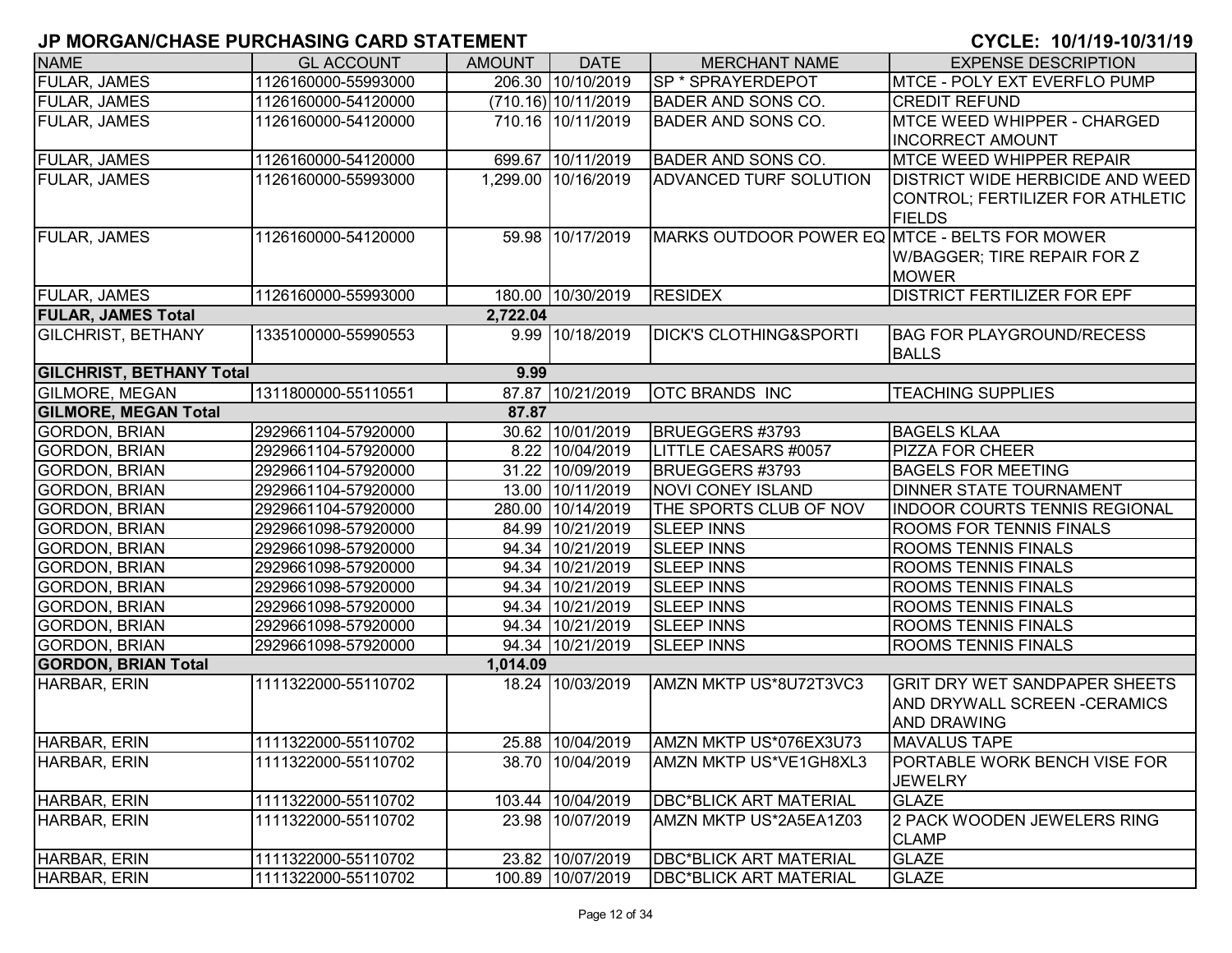| <b>NAME</b>                     | <b>GL ACCOUNT</b>   | <b>AMOUNT</b> | <b>DATE</b>         | <b>MERCHANT NAME</b>                          | <b>EXPENSE DESCRIPTION</b>              |
|---------------------------------|---------------------|---------------|---------------------|-----------------------------------------------|-----------------------------------------|
| <b>FULAR, JAMES</b>             | 1126160000-55993000 |               | 206.30 10/10/2019   | <b>SP * SPRAYERDEPOT</b>                      | <b>IMTCE - POLY EXT EVERFLO PUMP</b>    |
| <b>FULAR, JAMES</b>             | 1126160000-54120000 |               | (710.16) 10/11/2019 | <b>BADER AND SONS CO.</b>                     | <b>CREDIT REFUND</b>                    |
| <b>FULAR, JAMES</b>             | 1126160000-54120000 |               | 710.16 10/11/2019   | <b>BADER AND SONS CO.</b>                     | MTCE WEED WHIPPER - CHARGED             |
|                                 |                     |               |                     |                                               | <b>INCORRECT AMOUNT</b>                 |
| FULAR, JAMES                    | 1126160000-54120000 |               | 699.67 10/11/2019   | <b>BADER AND SONS CO.</b>                     | <b>MTCE WEED WHIPPER REPAIR</b>         |
| <b>FULAR, JAMES</b>             | 1126160000-55993000 |               | 1,299.00 10/16/2019 | <b>ADVANCED TURF SOLUTION</b>                 | <b>DISTRICT WIDE HERBICIDE AND WEED</b> |
|                                 |                     |               |                     |                                               | CONTROL; FERTILIZER FOR ATHLETIC        |
|                                 |                     |               |                     |                                               | <b>FIELDS</b>                           |
| <b>FULAR, JAMES</b>             | 1126160000-54120000 |               | 59.98 10/17/2019    | MARKS OUTDOOR POWER EQ MTCE - BELTS FOR MOWER |                                         |
|                                 |                     |               |                     |                                               | W/BAGGER; TIRE REPAIR FOR Z             |
|                                 |                     |               |                     |                                               | <b>MOWER</b>                            |
| <b>FULAR, JAMES</b>             | 1126160000-55993000 |               | 180.00 10/30/2019   | <b>RESIDEX</b>                                | <b>DISTRICT FERTILIZER FOR EPF</b>      |
| <b>FULAR, JAMES Total</b>       |                     | 2,722.04      |                     |                                               |                                         |
| <b>GILCHRIST, BETHANY</b>       | 1335100000-55990553 |               | 9.99 10/18/2019     | <b>DICK'S CLOTHING&amp;SPORTI</b>             | <b>BAG FOR PLAYGROUND/RECESS</b>        |
|                                 |                     |               |                     |                                               | <b>BALLS</b>                            |
| <b>GILCHRIST, BETHANY Total</b> |                     | 9.99          |                     |                                               |                                         |
| <b>GILMORE, MEGAN</b>           | 1311800000-55110551 |               | 87.87 10/21/2019    | <b>OTC BRANDS INC</b>                         | <b>TEACHING SUPPLIES</b>                |
| <b>GILMORE, MEGAN Total</b>     |                     | 87.87         |                     |                                               |                                         |
| <b>GORDON, BRIAN</b>            | 2929661104-57920000 |               | 30.62 10/01/2019    | BRUEGGERS #3793                               | <b>BAGELS KLAA</b>                      |
| <b>GORDON, BRIAN</b>            | 2929661104-57920000 |               | 8.22 10/04/2019     | LITTLE CAESARS #0057                          | <b>PIZZA FOR CHEER</b>                  |
| <b>GORDON, BRIAN</b>            | 2929661104-57920000 |               | 31.22 10/09/2019    | BRUEGGERS #3793                               | <b>BAGELS FOR MEETING</b>               |
| <b>GORDON, BRIAN</b>            | 2929661104-57920000 |               | 13.00 10/11/2019    | <b>NOVI CONEY ISLAND</b>                      | <b>DINNER STATE TOURNAMENT</b>          |
| <b>GORDON, BRIAN</b>            | 2929661104-57920000 |               | 280.00 10/14/2019   | THE SPORTS CLUB OF NOV                        | <b>INDOOR COURTS TENNIS REGIONAL</b>    |
| <b>GORDON, BRIAN</b>            | 2929661098-57920000 |               | 84.99 10/21/2019    | <b>SLEEP INNS</b>                             | <b>ROOMS FOR TENNIS FINALS</b>          |
| <b>GORDON, BRIAN</b>            | 2929661098-57920000 |               | 94.34 10/21/2019    | <b>SLEEP INNS</b>                             | <b>ROOMS TENNIS FINALS</b>              |
| <b>GORDON, BRIAN</b>            | 2929661098-57920000 |               | 94.34 10/21/2019    | <b>SLEEP INNS</b>                             | <b>ROOMS TENNIS FINALS</b>              |
| <b>GORDON, BRIAN</b>            | 2929661098-57920000 |               | 94.34 10/21/2019    | <b>SLEEP INNS</b>                             | <b>ROOMS TENNIS FINALS</b>              |
| <b>GORDON, BRIAN</b>            | 2929661098-57920000 |               | 94.34 10/21/2019    | <b>SLEEP INNS</b>                             | <b>ROOMS TENNIS FINALS</b>              |
| <b>GORDON, BRIAN</b>            | 2929661098-57920000 |               | 94.34 10/21/2019    | <b>SLEEP INNS</b>                             | <b>ROOMS TENNIS FINALS</b>              |
| <b>GORDON, BRIAN</b>            | 2929661098-57920000 |               | 94.34 10/21/2019    | <b>SLEEP INNS</b>                             | <b>ROOMS TENNIS FINALS</b>              |
| <b>GORDON, BRIAN Total</b>      |                     | 1,014.09      |                     |                                               |                                         |
| HARBAR, ERIN                    | 1111322000-55110702 |               | 18.24 10/03/2019    | AMZN MKTP US*8U72T3VC3                        | <b>GRIT DRY WET SANDPAPER SHEETS</b>    |
|                                 |                     |               |                     |                                               | AND DRYWALL SCREEN - CERAMICS           |
|                                 |                     |               |                     |                                               | AND DRAWING                             |
| HARBAR, ERIN                    | 1111322000-55110702 |               | 25.88 10/04/2019    | AMZN MKTP US*076EX3U73                        | <b>MAVALUS TAPE</b>                     |
| HARBAR, ERIN                    | 1111322000-55110702 |               | 38.70 10/04/2019    | AMZN MKTP US*VE1GH8XL3                        | PORTABLE WORK BENCH VISE FOR            |
|                                 |                     |               |                     |                                               | <b>JEWELRY</b>                          |
| HARBAR, ERIN                    | 1111322000-55110702 |               | 103.44 10/04/2019   | <b>DBC*BLICK ART MATERIAL</b>                 | <b>GLAZE</b>                            |
| HARBAR, ERIN                    | 1111322000-55110702 |               | 23.98 10/07/2019    | AMZN MKTP US*2A5EA1Z03                        | 2 PACK WOODEN JEWELERS RING             |
|                                 |                     |               |                     |                                               | <b>CLAMP</b>                            |
| HARBAR, ERIN                    | 1111322000-55110702 |               | 23.82 10/07/2019    | <b>DBC*BLICK ART MATERIAL</b>                 | <b>GLAZE</b>                            |
| HARBAR, ERIN                    | 1111322000-55110702 |               | 100.89 10/07/2019   | <b>DBC*BLICK ART MATERIAL</b>                 | <b>GLAZE</b>                            |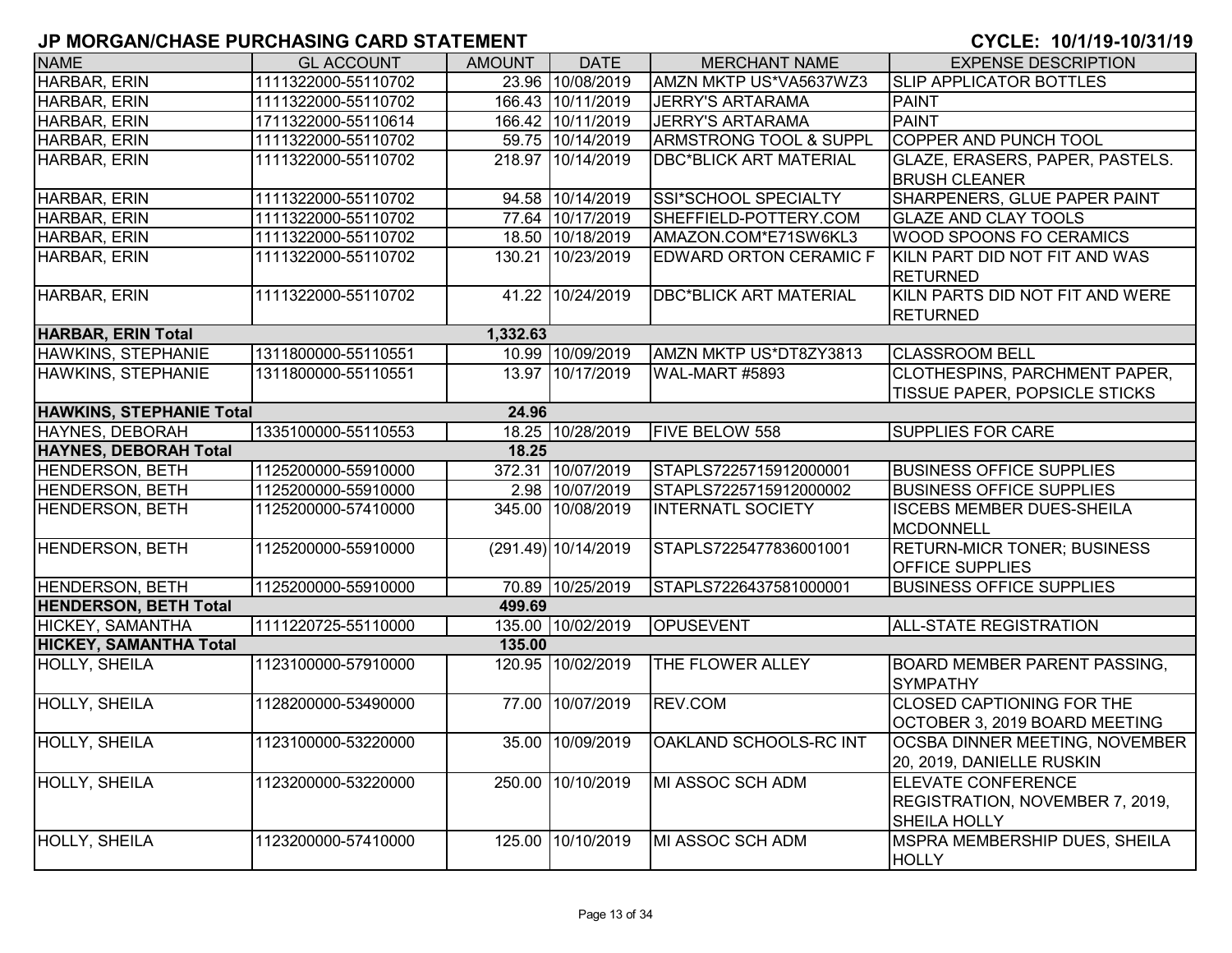| <b>NAME</b>                     | <b>GL ACCOUNT</b>   | <b>AMOUNT</b> | <b>DATE</b>         | <b>MERCHANT NAME</b>              | <b>EXPENSE DESCRIPTION</b>                                                          |
|---------------------------------|---------------------|---------------|---------------------|-----------------------------------|-------------------------------------------------------------------------------------|
| HARBAR, ERIN                    | 1111322000-55110702 |               | 23.96 10/08/2019    | AMZN MKTP US*VA5637WZ3            | <b>SLIP APPLICATOR BOTTLES</b>                                                      |
| HARBAR, ERIN                    | 1111322000-55110702 |               | 166.43 10/11/2019   | <b>JERRY'S ARTARAMA</b>           | <b>PAINT</b>                                                                        |
| HARBAR, ERIN                    | 1711322000-55110614 |               | 166.42 10/11/2019   | <b>JERRY'S ARTARAMA</b>           | <b>PAINT</b>                                                                        |
| HARBAR, ERIN                    | 1111322000-55110702 |               | 59.75 10/14/2019    | <b>ARMSTRONG TOOL &amp; SUPPL</b> | <b>COPPER AND PUNCH TOOL</b>                                                        |
| HARBAR, ERIN                    | 1111322000-55110702 |               | 218.97 10/14/2019   | <b>DBC*BLICK ART MATERIAL</b>     | GLAZE, ERASERS, PAPER, PASTELS.<br><b>BRUSH CLEANER</b>                             |
| HARBAR, ERIN                    | 1111322000-55110702 |               | 94.58 10/14/2019    | SSI*SCHOOL SPECIALTY              | SHARPENERS, GLUE PAPER PAINT                                                        |
| HARBAR, ERIN                    | 1111322000-55110702 |               | 77.64 10/17/2019    | SHEFFIELD-POTTERY.COM             | <b>GLAZE AND CLAY TOOLS</b>                                                         |
| HARBAR, ERIN                    | 1111322000-55110702 |               | 18.50 10/18/2019    | AMAZON.COM*E71SW6KL3              | <b>WOOD SPOONS FO CERAMICS</b>                                                      |
| HARBAR, ERIN                    | 1111322000-55110702 |               | 130.21 10/23/2019   | EDWARD ORTON CERAMIC F            | KILN PART DID NOT FIT AND WAS<br><b>RETURNED</b>                                    |
| HARBAR, ERIN                    | 1111322000-55110702 |               | 41.22 10/24/2019    | <b>DBC*BLICK ART MATERIAL</b>     | KILN PARTS DID NOT FIT AND WERE<br><b>RETURNED</b>                                  |
| <b>HARBAR, ERIN Total</b>       |                     | 1,332.63      |                     |                                   |                                                                                     |
| HAWKINS, STEPHANIE              | 1311800000-55110551 |               | 10.99 10/09/2019    | AMZN MKTP US*DT8ZY3813            | <b>CLASSROOM BELL</b>                                                               |
| HAWKINS, STEPHANIE              | 1311800000-55110551 |               | 13.97 10/17/2019    | WAL-MART #5893                    | CLOTHESPINS, PARCHMENT PAPER,<br>TISSUE PAPER, POPSICLE STICKS                      |
| <b>HAWKINS, STEPHANIE Total</b> |                     | 24.96         |                     |                                   |                                                                                     |
| <b>HAYNES, DEBORAH</b>          | 1335100000-55110553 |               | 18.25 10/28/2019    | <b>FIVE BELOW 558</b>             | <b>SUPPLIES FOR CARE</b>                                                            |
| <b>HAYNES, DEBORAH Total</b>    |                     | 18.25         |                     |                                   |                                                                                     |
| <b>HENDERSON, BETH</b>          | 1125200000-55910000 |               | 372.31 10/07/2019   | STAPLS7225715912000001            | <b>BUSINESS OFFICE SUPPLIES</b>                                                     |
| HENDERSON, BETH                 | 1125200000-55910000 |               | 2.98 10/07/2019     | STAPLS7225715912000002            | <b>BUSINESS OFFICE SUPPLIES</b>                                                     |
| <b>HENDERSON, BETH</b>          | 1125200000-57410000 |               | 345.00 10/08/2019   | <b>INTERNATL SOCIETY</b>          | <b>ISCEBS MEMBER DUES-SHEILA</b><br><b>MCDONNELL</b>                                |
| <b>HENDERSON, BETH</b>          | 1125200000-55910000 |               | (291.49) 10/14/2019 | STAPLS7225477836001001            | <b>RETURN-MICR TONER; BUSINESS</b><br><b>OFFICE SUPPLIES</b>                        |
| <b>HENDERSON, BETH</b>          | 1125200000-55910000 |               | 70.89 10/25/2019    | STAPLS7226437581000001            | <b>BUSINESS OFFICE SUPPLIES</b>                                                     |
| <b>HENDERSON, BETH Total</b>    |                     | 499.69        |                     |                                   |                                                                                     |
| HICKEY, SAMANTHA                | 1111220725-55110000 |               | 135.00 10/02/2019   | <b>OPUSEVENT</b>                  | ALL-STATE REGISTRATION                                                              |
| <b>HICKEY, SAMANTHA Total</b>   |                     | 135.00        |                     |                                   |                                                                                     |
| <b>HOLLY, SHEILA</b>            | 1123100000-57910000 |               | 120.95 10/02/2019   | THE FLOWER ALLEY                  | <b>BOARD MEMBER PARENT PASSING,</b><br><b>SYMPATHY</b>                              |
| <b>HOLLY, SHEILA</b>            | 1128200000-53490000 |               | 77.00 10/07/2019    | REV.COM                           | <b>CLOSED CAPTIONING FOR THE</b><br>OCTOBER 3, 2019 BOARD MEETING                   |
| <b>HOLLY, SHEILA</b>            | 1123100000-53220000 |               | 35.00 10/09/2019    | <b>OAKLAND SCHOOLS-RC INT</b>     | <b>OCSBA DINNER MEETING, NOVEMBER</b><br>20, 2019, DANIELLE RUSKIN                  |
| <b>HOLLY, SHEILA</b>            | 1123200000-53220000 |               | 250.00 10/10/2019   | MI ASSOC SCH ADM                  | <b>ELEVATE CONFERENCE</b><br>REGISTRATION, NOVEMBER 7, 2019,<br><b>SHEILA HOLLY</b> |
| <b>HOLLY, SHEILA</b>            | 1123200000-57410000 |               | 125.00 10/10/2019   | MI ASSOC SCH ADM                  | MSPRA MEMBERSHIP DUES, SHEILA<br><b>HOLLY</b>                                       |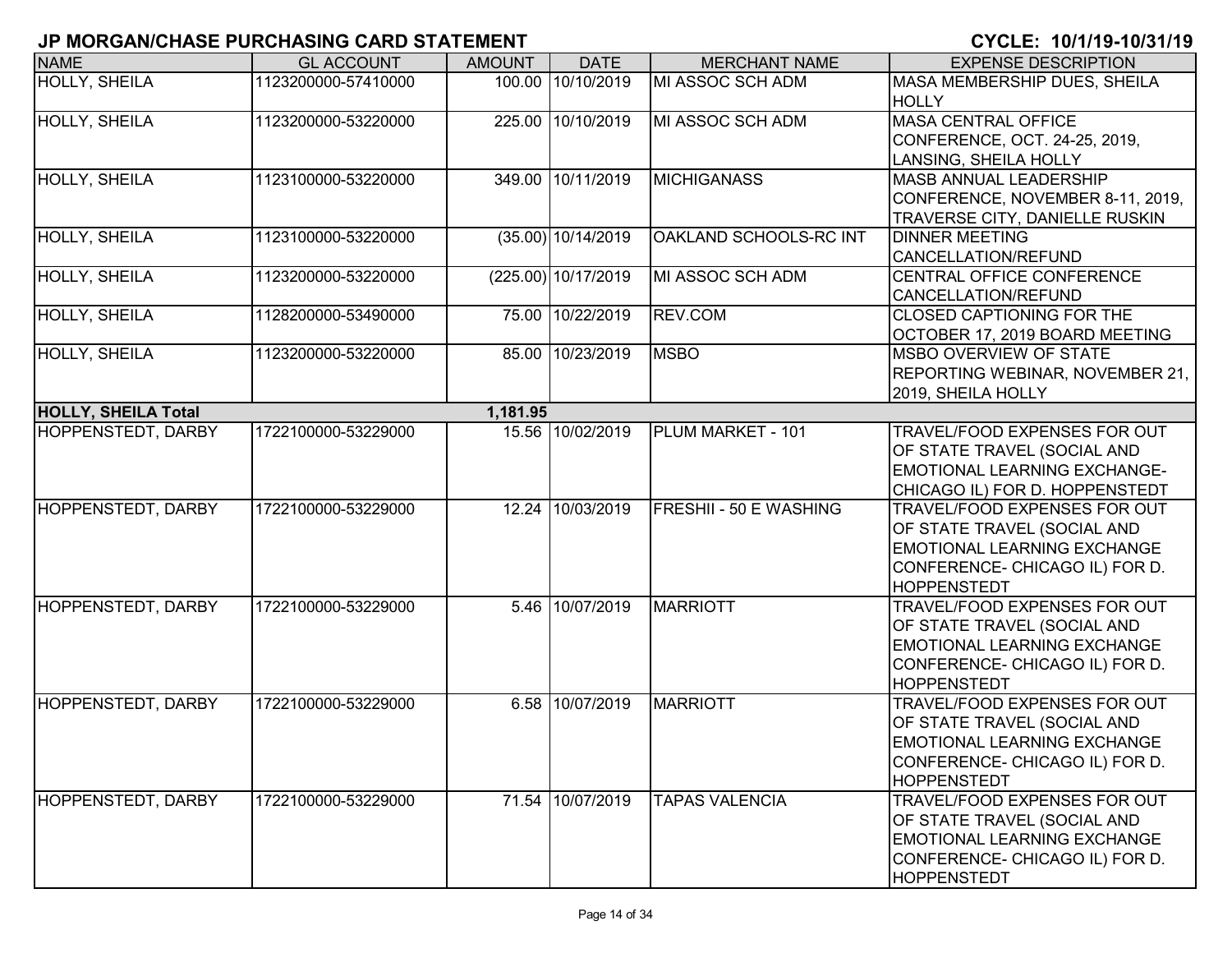| <b>NAME</b>                | <b>GL ACCOUNT</b>   | <b>AMOUNT</b> | <b>DATE</b>          | <b>MERCHANT NAME</b>   | <b>EXPENSE DESCRIPTION</b>          |
|----------------------------|---------------------|---------------|----------------------|------------------------|-------------------------------------|
| <b>HOLLY, SHEILA</b>       | 1123200000-57410000 |               | 100.00 10/10/2019    | MI ASSOC SCH ADM       | MASA MEMBERSHIP DUES, SHEILA        |
|                            |                     |               |                      |                        | <b>HOLLY</b>                        |
| HOLLY, SHEILA              | 1123200000-53220000 |               | 225.00 10/10/2019    | MI ASSOC SCH ADM       | <b>MASA CENTRAL OFFICE</b>          |
|                            |                     |               |                      |                        | CONFERENCE, OCT. 24-25, 2019,       |
|                            |                     |               |                      |                        | LANSING, SHEILA HOLLY               |
| <b>HOLLY, SHEILA</b>       | 1123100000-53220000 |               | 349.00 10/11/2019    | <b>MICHIGANASS</b>     | <b>MASB ANNUAL LEADERSHIP</b>       |
|                            |                     |               |                      |                        | CONFERENCE, NOVEMBER 8-11, 2019,    |
|                            |                     |               |                      |                        | TRAVERSE CITY, DANIELLE RUSKIN      |
| <b>HOLLY, SHEILA</b>       | 1123100000-53220000 |               | $(35.00)$ 10/14/2019 | OAKLAND SCHOOLS-RC INT | <b>DINNER MEETING</b>               |
|                            |                     |               |                      |                        | CANCELLATION/REFUND                 |
| HOLLY, SHEILA              | 1123200000-53220000 |               | (225.00) 10/17/2019  | MI ASSOC SCH ADM       | <b>CENTRAL OFFICE CONFERENCE</b>    |
|                            |                     |               |                      |                        | CANCELLATION/REFUND                 |
| <b>HOLLY, SHEILA</b>       | 1128200000-53490000 |               | 75.00 10/22/2019     | REV.COM                | <b>CLOSED CAPTIONING FOR THE</b>    |
|                            |                     |               |                      |                        | OCTOBER 17, 2019 BOARD MEETING      |
| <b>HOLLY, SHEILA</b>       | 1123200000-53220000 |               | 85.00 10/23/2019     | <b>MSBO</b>            | <b>IMSBO OVERVIEW OF STATE</b>      |
|                            |                     |               |                      |                        | REPORTING WEBINAR, NOVEMBER 21,     |
|                            |                     |               |                      |                        | 2019, SHEILA HOLLY                  |
| <b>HOLLY, SHEILA Total</b> |                     | 1,181.95      |                      |                        |                                     |
| <b>HOPPENSTEDT, DARBY</b>  | 1722100000-53229000 |               | 15.56 10/02/2019     | PLUM MARKET - 101      | <b>TRAVEL/FOOD EXPENSES FOR OUT</b> |
|                            |                     |               |                      |                        | OF STATE TRAVEL (SOCIAL AND         |
|                            |                     |               |                      |                        | <b>EMOTIONAL LEARNING EXCHANGE-</b> |
|                            |                     |               |                      |                        | CHICAGO IL) FOR D. HOPPENSTEDT      |
| <b>HOPPENSTEDT, DARBY</b>  | 1722100000-53229000 |               | 12.24 10/03/2019     | FRESHII - 50 E WASHING | <b>TRAVEL/FOOD EXPENSES FOR OUT</b> |
|                            |                     |               |                      |                        | OF STATE TRAVEL (SOCIAL AND         |
|                            |                     |               |                      |                        | <b>EMOTIONAL LEARNING EXCHANGE</b>  |
|                            |                     |               |                      |                        | CONFERENCE- CHICAGO IL) FOR D.      |
|                            |                     |               |                      |                        | <b>HOPPENSTEDT</b>                  |
| <b>HOPPENSTEDT, DARBY</b>  | 1722100000-53229000 |               | 5.46 10/07/2019      | <b>MARRIOTT</b>        | TRAVEL/FOOD EXPENSES FOR OUT        |
|                            |                     |               |                      |                        | OF STATE TRAVEL (SOCIAL AND         |
|                            |                     |               |                      |                        | <b>EMOTIONAL LEARNING EXCHANGE</b>  |
|                            |                     |               |                      |                        | CONFERENCE- CHICAGO IL) FOR D.      |
|                            |                     |               |                      |                        | <b>HOPPENSTEDT</b>                  |
| HOPPENSTEDT, DARBY         | 1722100000-53229000 |               | 6.58 10/07/2019      | <b>MARRIOTT</b>        | TRAVEL/FOOD EXPENSES FOR OUT        |
|                            |                     |               |                      |                        | OF STATE TRAVEL (SOCIAL AND         |
|                            |                     |               |                      |                        | <b>EMOTIONAL LEARNING EXCHANGE</b>  |
|                            |                     |               |                      |                        | CONFERENCE- CHICAGO IL) FOR D.      |
|                            |                     |               |                      |                        | <b>HOPPENSTEDT</b>                  |
| HOPPENSTEDT, DARBY         | 1722100000-53229000 |               | 71.54 10/07/2019     | <b>TAPAS VALENCIA</b>  | <b>TRAVEL/FOOD EXPENSES FOR OUT</b> |
|                            |                     |               |                      |                        | OF STATE TRAVEL (SOCIAL AND         |
|                            |                     |               |                      |                        | <b>EMOTIONAL LEARNING EXCHANGE</b>  |
|                            |                     |               |                      |                        | CONFERENCE- CHICAGO IL) FOR D.      |
|                            |                     |               |                      |                        | <b>HOPPENSTEDT</b>                  |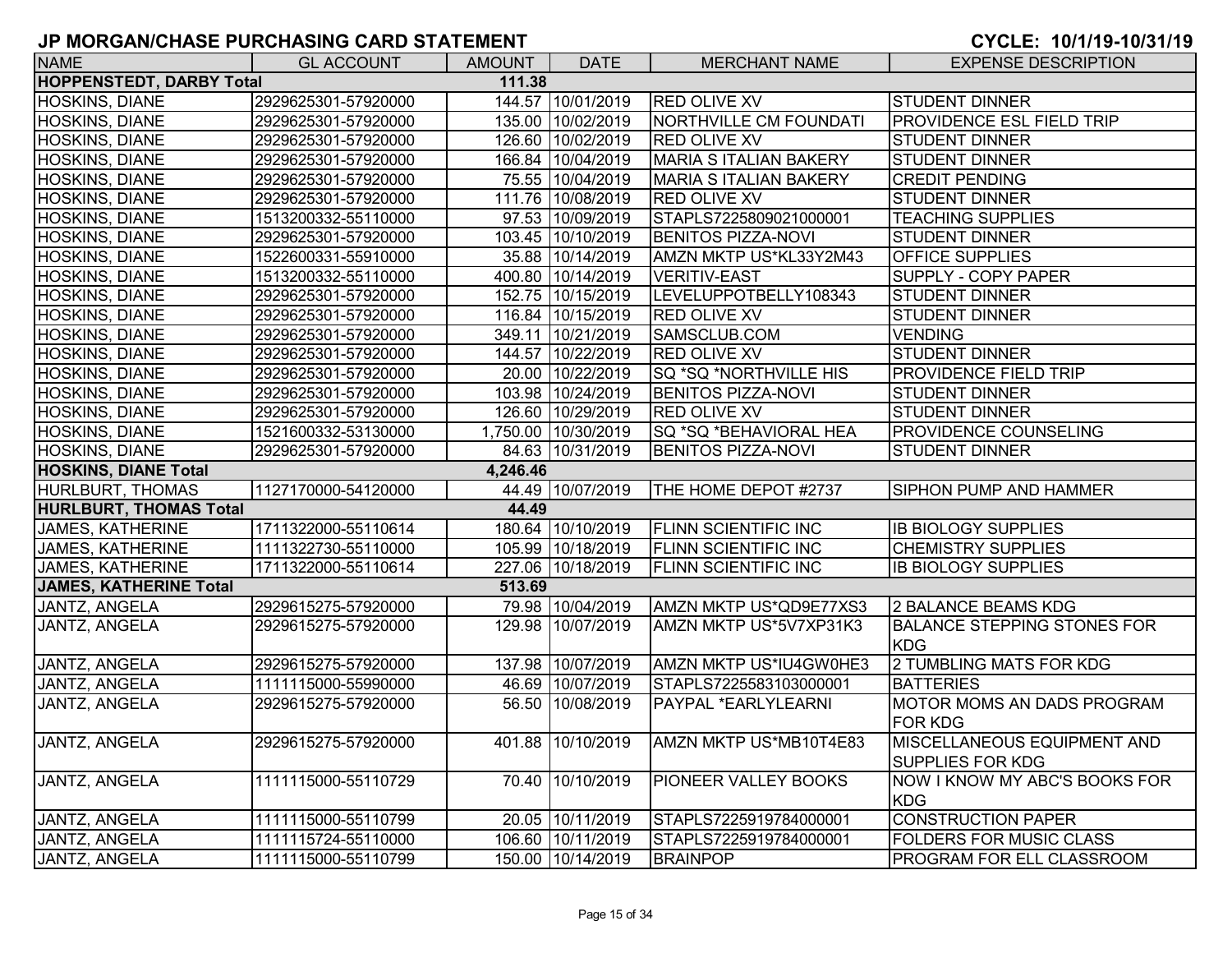| <b>NAME</b>                     | <b>GL ACCOUNT</b>   | <b>AMOUNT</b> | <b>DATE</b>         | <b>MERCHANT NAME</b>          | <b>EXPENSE DESCRIPTION</b>                             |
|---------------------------------|---------------------|---------------|---------------------|-------------------------------|--------------------------------------------------------|
| <b>HOPPENSTEDT, DARBY Total</b> |                     | 111.38        |                     |                               |                                                        |
| <b>HOSKINS, DIANE</b>           | 2929625301-57920000 |               | 144.57 10/01/2019   | <b>RED OLIVE XV</b>           | <b>STUDENT DINNER</b>                                  |
| HOSKINS, DIANE                  | 2929625301-57920000 |               | 135.00 10/02/2019   | <b>NORTHVILLE CM FOUNDATI</b> | <b>PROVIDENCE ESL FIELD TRIP</b>                       |
| <b>HOSKINS, DIANE</b>           | 2929625301-57920000 |               | 126.60 10/02/2019   | <b>RED OLIVE XV</b>           | <b>STUDENT DINNER</b>                                  |
| HOSKINS, DIANE                  | 2929625301-57920000 |               | 166.84 10/04/2019   | <b>MARIA S ITALIAN BAKERY</b> | <b>STUDENT DINNER</b>                                  |
| HOSKINS, DIANE                  | 2929625301-57920000 |               | 75.55 10/04/2019    | MARIA S ITALIAN BAKERY        | <b>CREDIT PENDING</b>                                  |
| <b>HOSKINS, DIANE</b>           | 2929625301-57920000 |               | 111.76 10/08/2019   | RED OLIVE XV                  | <b>STUDENT DINNER</b>                                  |
| HOSKINS, DIANE                  | 1513200332-55110000 |               | 97.53 10/09/2019    | STAPLS7225809021000001        | <b>TEACHING SUPPLIES</b>                               |
| HOSKINS, DIANE                  | 2929625301-57920000 |               | 103.45 10/10/2019   | <b>BENITOS PIZZA-NOVI</b>     | <b>STUDENT DINNER</b>                                  |
| <b>HOSKINS, DIANE</b>           | 1522600331-55910000 |               | 35.88 10/14/2019    | AMZN MKTP US*KL33Y2M43        | OFFICE SUPPLIES                                        |
| HOSKINS, DIANE                  | 1513200332-55110000 |               | 400.80 10/14/2019   | <b>VERITIV-EAST</b>           | SUPPLY - COPY PAPER                                    |
| HOSKINS, DIANE                  | 2929625301-57920000 |               | 152.75 10/15/2019   | LEVELUPPOTBELLY108343         | <b>STUDENT DINNER</b>                                  |
| HOSKINS, DIANE                  | 2929625301-57920000 |               | 116.84 10/15/2019   | <b>RED OLIVE XV</b>           | <b>STUDENT DINNER</b>                                  |
| HOSKINS, DIANE                  | 2929625301-57920000 |               | 349.11 10/21/2019   | SAMSCLUB.COM                  | <b>VENDING</b>                                         |
| <b>HOSKINS, DIANE</b>           | 2929625301-57920000 |               | 144.57 10/22/2019   | <b>RED OLIVE XV</b>           | <b>STUDENT DINNER</b>                                  |
| HOSKINS, DIANE                  | 2929625301-57920000 |               | 20.00 10/22/2019    | SQ *SQ *NORTHVILLE HIS        | <b>PROVIDENCE FIELD TRIP</b>                           |
| HOSKINS, DIANE                  | 2929625301-57920000 |               | 103.98 10/24/2019   | <b>BENITOS PIZZA-NOVI</b>     | <b>STUDENT DINNER</b>                                  |
| HOSKINS, DIANE                  | 2929625301-57920000 |               | 126.60 10/29/2019   | <b>RED OLIVE XV</b>           | <b>STUDENT DINNER</b>                                  |
| <b>HOSKINS, DIANE</b>           | 1521600332-53130000 |               | 1,750.00 10/30/2019 | SQ *SQ *BEHAVIORAL HEA        | <b>PROVIDENCE COUNSELING</b>                           |
| <b>HOSKINS, DIANE</b>           | 2929625301-57920000 |               | 84.63 10/31/2019    | <b>BENITOS PIZZA-NOVI</b>     | <b>STUDENT DINNER</b>                                  |
| <b>HOSKINS, DIANE Total</b>     |                     | 4,246.46      |                     |                               |                                                        |
| HURLBURT, THOMAS                | 1127170000-54120000 |               | 44.49 10/07/2019    | THE HOME DEPOT #2737          | <b>SIPHON PUMP AND HAMMER</b>                          |
| <b>HURLBURT, THOMAS Total</b>   |                     | 44.49         |                     |                               |                                                        |
| <b>JAMES, KATHERINE</b>         | 1711322000-55110614 |               | 180.64 10/10/2019   | <b>FLINN SCIENTIFIC INC</b>   | <b>IB BIOLOGY SUPPLIES</b>                             |
| <b>JAMES, KATHERINE</b>         | 1111322730-55110000 |               | 105.99 10/18/2019   | <b>FLINN SCIENTIFIC INC</b>   | <b>CHEMISTRY SUPPLIES</b>                              |
| <b>JAMES, KATHERINE</b>         | 1711322000-55110614 |               | 227.06 10/18/2019   | FLINN SCIENTIFIC INC          | <b>IB BIOLOGY SUPPLIES</b>                             |
| <b>JAMES, KATHERINE Total</b>   |                     | 513.69        |                     |                               |                                                        |
| JANTZ, ANGELA                   | 2929615275-57920000 |               | 79.98 10/04/2019    | AMZN MKTP US*QD9E77XS3        | 2 BALANCE BEAMS KDG                                    |
| JANTZ, ANGELA                   | 2929615275-57920000 |               | 129.98 10/07/2019   | AMZN MKTP US*5V7XP31K3        | <b>BALANCE STEPPING STONES FOR</b>                     |
|                                 |                     |               |                     |                               | <b>KDG</b>                                             |
| JANTZ, ANGELA                   | 2929615275-57920000 |               | 137.98 10/07/2019   | AMZN MKTP US*IU4GW0HE3        | 2 TUMBLING MATS FOR KDG                                |
| JANTZ, ANGELA                   | 1111115000-55990000 |               | 46.69 10/07/2019    | STAPLS7225583103000001        | <b>BATTERIES</b>                                       |
| <b>JANTZ, ANGELA</b>            | 2929615275-57920000 |               | 56.50 10/08/2019    | PAYPAL *EARLYLEARNI           | MOTOR MOMS AN DADS PROGRAM<br><b>FOR KDG</b>           |
| JANTZ, ANGELA                   | 2929615275-57920000 | 401.88        | 10/10/2019          | AMZN MKTP US*MB10T4E83        | MISCELLANEOUS EQUIPMENT AND<br><b>SUPPLIES FOR KDG</b> |
| JANTZ, ANGELA                   | 1111115000-55110729 |               | 70.40 10/10/2019    | <b>PIONEER VALLEY BOOKS</b>   | NOW I KNOW MY ABC'S BOOKS FOR<br><b>KDG</b>            |
| <b>JANTZ, ANGELA</b>            | 1111115000-55110799 |               | 20.05 10/11/2019    | STAPLS7225919784000001        | <b>CONSTRUCTION PAPER</b>                              |
| <b>JANTZ, ANGELA</b>            |                     |               |                     |                               |                                                        |
|                                 | 1111115724-55110000 |               | 106.60 10/11/2019   | STAPLS7225919784000001        | <b>FOLDERS FOR MUSIC CLASS</b>                         |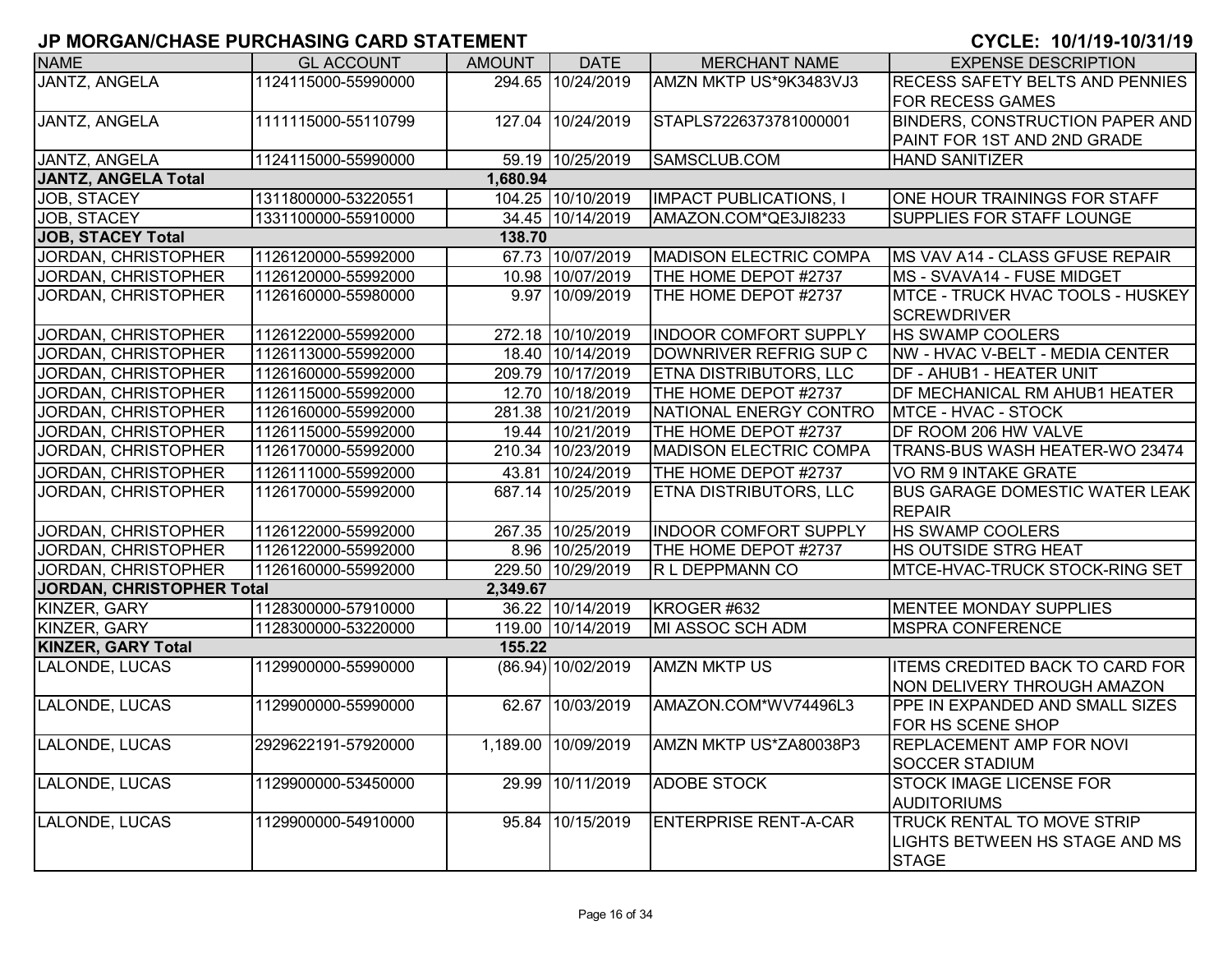| <b>NAME</b><br><b>JANTZ, ANGELA</b> | <b>GL ACCOUNT</b><br>1124115000-55990000 | AMOUNT   | <b>DATE</b>         | <b>MERCHANT NAME</b>          | <b>EXPENSE DESCRIPTION</b>              |
|-------------------------------------|------------------------------------------|----------|---------------------|-------------------------------|-----------------------------------------|
|                                     |                                          |          |                     |                               |                                         |
|                                     |                                          |          | 294.65 10/24/2019   | AMZN MKTP US*9K3483VJ3        | <b>RECESS SAFETY BELTS AND PENNIES</b>  |
|                                     |                                          |          |                     |                               | <b>FOR RECESS GAMES</b>                 |
| JANTZ, ANGELA                       | 1111115000-55110799                      |          | 127.04 10/24/2019   | STAPLS7226373781000001        | <b>BINDERS, CONSTRUCTION PAPER AND</b>  |
|                                     |                                          |          |                     |                               | PAINT FOR 1ST AND 2ND GRADE             |
| JANTZ, ANGELA                       | 1124115000-55990000                      |          | 59.19 10/25/2019    | SAMSCLUB.COM                  | HAND SANITIZER                          |
| JANTZ, ANGELA Total                 |                                          | 1,680.94 |                     |                               |                                         |
| JOB, STACEY                         | 1311800000-53220551                      |          | 104.25 10/10/2019   | <b>IMPACT PUBLICATIONS, I</b> | ONE HOUR TRAININGS FOR STAFF            |
| JOB, STACEY                         | 1331100000-55910000                      |          | 34.45 10/14/2019    | AMAZON.COM*QE3JI8233          | <b>SUPPLIES FOR STAFF LOUNGE</b>        |
| <b>JOB, STACEY Total</b>            |                                          | 138.70   |                     |                               |                                         |
| JORDAN, CHRISTOPHER                 | 1126120000-55992000                      |          | 67.73 10/07/2019    | <b>MADISON ELECTRIC COMPA</b> | <b>IMS VAV A14 - CLASS GFUSE REPAIR</b> |
| JORDAN, CHRISTOPHER                 | 1126120000-55992000                      |          | 10.98 10/07/2019    | THE HOME DEPOT #2737          | MS - SVAVA14 - FUSE MIDGET              |
| JORDAN, CHRISTOPHER                 | 1126160000-55980000                      |          | 9.97 10/09/2019     | THE HOME DEPOT #2737          | MTCE - TRUCK HVAC TOOLS - HUSKEY        |
|                                     |                                          |          |                     |                               | <b>SCREWDRIVER</b>                      |
| JORDAN, CHRISTOPHER                 | 1126122000-55992000                      |          | 272.18 10/10/2019   | <b>INDOOR COMFORT SUPPLY</b>  | <b>HS SWAMP COOLERS</b>                 |
| JORDAN, CHRISTOPHER                 | 1126113000-55992000                      |          | 18.40 10/14/2019    | DOWNRIVER REFRIG SUP C        | <b>NW - HVAC V-BELT - MEDIA CENTER</b>  |
| JORDAN, CHRISTOPHER                 | 1126160000-55992000                      |          | 209.79 10/17/2019   | <b>ETNA DISTRIBUTORS, LLC</b> | <b>DF - AHUB1 - HEATER UNIT</b>         |
| JORDAN, CHRISTOPHER                 | 1126115000-55992000                      |          | 12.70 10/18/2019    | THE HOME DEPOT #2737          | <b>DF MECHANICAL RM AHUB1 HEATER</b>    |
| JORDAN, CHRISTOPHER                 | 1126160000-55992000                      |          | 281.38 10/21/2019   | NATIONAL ENERGY CONTRO        | MTCE - HVAC - STOCK                     |
| JORDAN, CHRISTOPHER                 | 1126115000-55992000                      |          | 19.44 10/21/2019    | THE HOME DEPOT #2737          | DF ROOM 206 HW VALVE                    |
| JORDAN, CHRISTOPHER                 | 1126170000-55992000                      |          | 210.34 10/23/2019   | <b>MADISON ELECTRIC COMPA</b> | TRANS-BUS WASH HEATER-WO 23474          |
| JORDAN, CHRISTOPHER                 | 1126111000-55992000                      |          | 43.81 10/24/2019    | THE HOME DEPOT #2737          | VO RM 9 INTAKE GRATE                    |
| JORDAN, CHRISTOPHER                 | 1126170000-55992000                      |          | 687.14 10/25/2019   | ETNA DISTRIBUTORS, LLC        | <b>BUS GARAGE DOMESTIC WATER LEAK</b>   |
|                                     |                                          |          |                     |                               | <b>REPAIR</b>                           |
| JORDAN, CHRISTOPHER                 | 1126122000-55992000                      |          | 267.35 10/25/2019   | <b>INDOOR COMFORT SUPPLY</b>  | <b>HS SWAMP COOLERS</b>                 |
| JORDAN, CHRISTOPHER                 | 1126122000-55992000                      |          | 8.96 10/25/2019     | THE HOME DEPOT #2737          | <b>HS OUTSIDE STRG HEAT</b>             |
| JORDAN, CHRISTOPHER                 | 1126160000-55992000                      |          | 229.50 10/29/2019   | R L DEPPMANN CO               | MTCE-HVAC-TRUCK STOCK-RING SET          |
| JORDAN, CHRISTOPHER Total           |                                          | 2,349.67 |                     |                               |                                         |
| KINZER, GARY                        | 1128300000-57910000                      |          | 36.22 10/14/2019    | KROGER #632                   | <b>MENTEE MONDAY SUPPLIES</b>           |
| KINZER, GARY                        | 1128300000-53220000                      |          | 119.00 10/14/2019   | MI ASSOC SCH ADM              | <b>MSPRA CONFERENCE</b>                 |
| <b>KINZER, GARY Total</b>           |                                          | 155.22   |                     |                               |                                         |
| <b>LALONDE, LUCAS</b>               | 1129900000-55990000                      |          | (86.94) 10/02/2019  | <b>AMZN MKTP US</b>           | <b>ITEMS CREDITED BACK TO CARD FOR</b>  |
|                                     |                                          |          |                     |                               | NON DELIVERY THROUGH AMAZON             |
| LALONDE, LUCAS                      | 1129900000-55990000                      |          | 62.67 10/03/2019    | AMAZON.COM*WV74496L3          | <b>PPE IN EXPANDED AND SMALL SIZES</b>  |
|                                     |                                          |          |                     |                               | FOR HS SCENE SHOP                       |
| LALONDE, LUCAS                      | 2929622191-57920000                      |          | 1,189.00 10/09/2019 | AMZN MKTP US*ZA80038P3        | IREPLACEMENT AMP FOR NOVI               |
|                                     |                                          |          |                     |                               | <b>SOCCER STADIUM</b>                   |
| <b>LALONDE, LUCAS</b>               | 1129900000-53450000                      |          | 29.99 10/11/2019    | <b>ADOBE STOCK</b>            | <b>STOCK IMAGE LICENSE FOR</b>          |
|                                     |                                          |          |                     |                               | <b>AUDITORIUMS</b>                      |
| LALONDE, LUCAS                      | 1129900000-54910000                      |          | 95.84 10/15/2019    | <b>ENTERPRISE RENT-A-CAR</b>  | TRUCK RENTAL TO MOVE STRIP              |
|                                     |                                          |          |                     |                               | LIGHTS BETWEEN HS STAGE AND MS          |
|                                     |                                          |          |                     |                               | <b>STAGE</b>                            |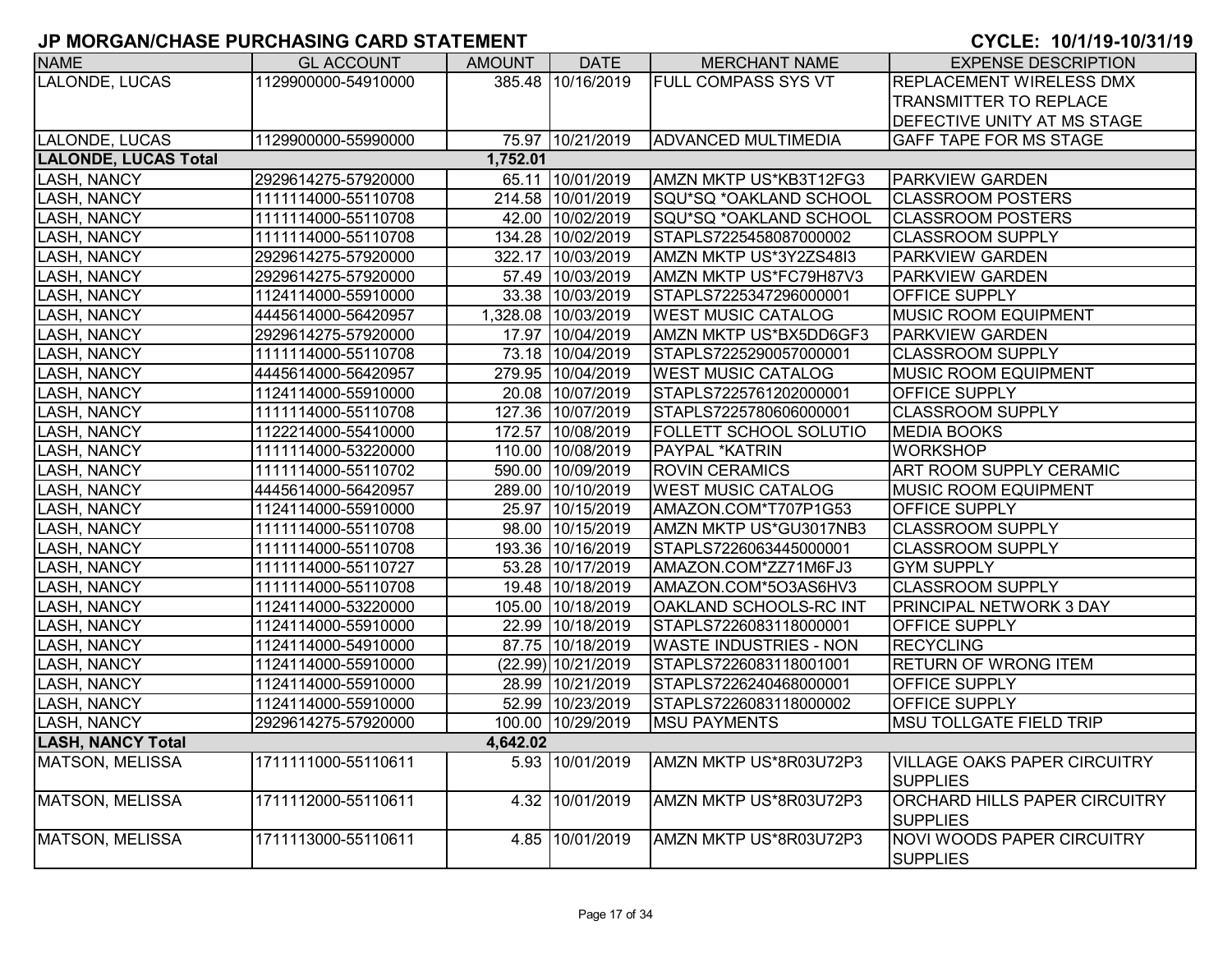| <b>NAME</b>                             | <b>GL ACCOUNT</b>   | <b>AMOUNT</b> | <b>DATE</b>         | <b>MERCHANT NAME</b>          | <b>EXPENSE DESCRIPTION</b>                             |  |  |  |  |  |
|-----------------------------------------|---------------------|---------------|---------------------|-------------------------------|--------------------------------------------------------|--|--|--|--|--|
| <b>LALONDE, LUCAS</b>                   | 1129900000-54910000 |               | 385.48 10/16/2019   | <b>FULL COMPASS SYS VT</b>    | <b>REPLACEMENT WIRELESS DMX</b>                        |  |  |  |  |  |
|                                         |                     |               |                     |                               | TRANSMITTER TO REPLACE                                 |  |  |  |  |  |
|                                         |                     |               |                     |                               | DEFECTIVE UNITY AT MS STAGE                            |  |  |  |  |  |
| <b>LALONDE, LUCAS</b>                   | 1129900000-55990000 |               | 75.97 10/21/2019    | <b>ADVANCED MULTIMEDIA</b>    | GAFF TAPE FOR MS STAGE                                 |  |  |  |  |  |
| <b>LALONDE, LUCAS Total</b><br>1,752.01 |                     |               |                     |                               |                                                        |  |  |  |  |  |
| <b>LASH, NANCY</b>                      | 2929614275-57920000 |               | 65.11 10/01/2019    | AMZN MKTP US*KB3T12FG3        | <b>PARKVIEW GARDEN</b>                                 |  |  |  |  |  |
| <b>LASH, NANCY</b>                      | 1111114000-55110708 |               | 214.58 10/01/2019   | SQU*SQ *OAKLAND SCHOOL        | <b>CLASSROOM POSTERS</b>                               |  |  |  |  |  |
| <b>LASH, NANCY</b>                      | 1111114000-55110708 |               | 42.00 10/02/2019    | SQU*SQ *OAKLAND SCHOOL        | <b>CLASSROOM POSTERS</b>                               |  |  |  |  |  |
| <b>LASH, NANCY</b>                      | 1111114000-55110708 |               | 134.28 10/02/2019   | STAPLS7225458087000002        | <b>CLASSROOM SUPPLY</b>                                |  |  |  |  |  |
| <b>LASH, NANCY</b>                      | 2929614275-57920000 |               | 322.17 10/03/2019   | AMZN MKTP US*3Y2ZS48I3        | PARKVIEW GARDEN                                        |  |  |  |  |  |
| <b>LASH, NANCY</b>                      | 2929614275-57920000 |               | 57.49 10/03/2019    | AMZN MKTP US*FC79H87V3        | <b>PARKVIEW GARDEN</b>                                 |  |  |  |  |  |
| <b>LASH, NANCY</b>                      | 1124114000-55910000 |               | 33.38 10/03/2019    | STAPLS7225347296000001        | OFFICE SUPPLY                                          |  |  |  |  |  |
| <b>LASH, NANCY</b>                      | 4445614000-56420957 |               | 1,328.08 10/03/2019 | <b>WEST MUSIC CATALOG</b>     | <b>MUSIC ROOM EQUIPMENT</b>                            |  |  |  |  |  |
| <b>LASH, NANCY</b>                      | 2929614275-57920000 |               | 17.97 10/04/2019    | AMZN MKTP US*BX5DD6GF3        | <b>PARKVIEW GARDEN</b>                                 |  |  |  |  |  |
| <b>LASH, NANCY</b>                      | 1111114000-55110708 |               | 73.18 10/04/2019    | STAPLS7225290057000001        | <b>CLASSROOM SUPPLY</b>                                |  |  |  |  |  |
| <b>LASH, NANCY</b>                      | 4445614000-56420957 |               | 279.95 10/04/2019   | <b>WEST MUSIC CATALOG</b>     | <b>MUSIC ROOM EQUIPMENT</b>                            |  |  |  |  |  |
| <b>LASH, NANCY</b>                      | 1124114000-55910000 |               | 20.08 10/07/2019    | STAPLS7225761202000001        | OFFICE SUPPLY                                          |  |  |  |  |  |
| <b>LASH, NANCY</b>                      | 1111114000-55110708 |               | 127.36 10/07/2019   | STAPLS7225780606000001        | <b>CLASSROOM SUPPLY</b>                                |  |  |  |  |  |
| <b>LASH, NANCY</b>                      | 1122214000-55410000 |               | 172.57 10/08/2019   | FOLLETT SCHOOL SOLUTIO        | <b>MEDIA BOOKS</b>                                     |  |  |  |  |  |
| <b>LASH, NANCY</b>                      | 1111114000-53220000 |               | 110.00 10/08/2019   | PAYPAL *KATRIN                | <b>WORKSHOP</b>                                        |  |  |  |  |  |
| <b>LASH, NANCY</b>                      | 1111114000-55110702 |               | 590.00 10/09/2019   | <b>ROVIN CERAMICS</b>         | <b>ART ROOM SUPPLY CERAMIC</b>                         |  |  |  |  |  |
| <b>LASH, NANCY</b>                      | 4445614000-56420957 |               | 289.00 10/10/2019   | <b>WEST MUSIC CATALOG</b>     | <b>MUSIC ROOM EQUIPMENT</b>                            |  |  |  |  |  |
| <b>LASH, NANCY</b>                      | 1124114000-55910000 |               | 25.97 10/15/2019    | AMAZON.COM*T707P1G53          | OFFICE SUPPLY                                          |  |  |  |  |  |
| <b>LASH, NANCY</b>                      | 1111114000-55110708 |               | 98.00 10/15/2019    | AMZN MKTP US*GU3017NB3        | <b>CLASSROOM SUPPLY</b>                                |  |  |  |  |  |
| <b>LASH, NANCY</b>                      | 1111114000-55110708 |               | 193.36 10/16/2019   | STAPLS7226063445000001        | <b>CLASSROOM SUPPLY</b>                                |  |  |  |  |  |
| <b>LASH, NANCY</b>                      | 1111114000-55110727 |               | 53.28 10/17/2019    | AMAZON.COM*ZZ71M6FJ3          | <b>GYM SUPPLY</b>                                      |  |  |  |  |  |
| <b>LASH, NANCY</b>                      | 1111114000-55110708 |               | 19.48 10/18/2019    | AMAZON.COM*5O3AS6HV3          | <b>CLASSROOM SUPPLY</b>                                |  |  |  |  |  |
| LASH, NANCY                             | 1124114000-53220000 |               | 105.00 10/18/2019   | OAKLAND SCHOOLS-RC INT        | PRINCIPAL NETWORK 3 DAY                                |  |  |  |  |  |
| <b>LASH, NANCY</b>                      | 1124114000-55910000 |               | 22.99 10/18/2019    | STAPLS7226083118000001        | OFFICE SUPPLY                                          |  |  |  |  |  |
| <b>LASH, NANCY</b>                      | 1124114000-54910000 |               | 87.75 10/18/2019    | <b>WASTE INDUSTRIES - NON</b> | <b>RECYCLING</b>                                       |  |  |  |  |  |
| <b>LASH, NANCY</b>                      | 1124114000-55910000 |               | (22.99) 10/21/2019  | STAPLS7226083118001001        | RETURN OF WRONG ITEM                                   |  |  |  |  |  |
| <b>LASH, NANCY</b>                      | 1124114000-55910000 |               | 28.99 10/21/2019    | STAPLS7226240468000001        | OFFICE SUPPLY                                          |  |  |  |  |  |
| <b>LASH, NANCY</b>                      | 1124114000-55910000 |               | 52.99 10/23/2019    | STAPLS7226083118000002        | <b>OFFICE SUPPLY</b>                                   |  |  |  |  |  |
| <b>LASH, NANCY</b>                      | 2929614275-57920000 |               | 100.00 10/29/2019   | <b>MSU PAYMENTS</b>           | <b>MSU TOLLGATE FIELD TRIP</b>                         |  |  |  |  |  |
| <b>LASH, NANCY Total</b>                |                     | 4,642.02      |                     |                               |                                                        |  |  |  |  |  |
| <b>MATSON, MELISSA</b>                  | 1711111000-55110611 |               | 5.93 10/01/2019     | AMZN MKTP US*8R03U72P3        | <b>VILLAGE OAKS PAPER CIRCUITRY</b><br><b>SUPPLIES</b> |  |  |  |  |  |
| <b>MATSON, MELISSA</b>                  | 1711112000-55110611 |               | 4.32 10/01/2019     | AMZN MKTP US*8R03U72P3        | ORCHARD HILLS PAPER CIRCUITRY<br><b>SUPPLIES</b>       |  |  |  |  |  |
| <b>MATSON, MELISSA</b>                  | 1711113000-55110611 | 4.85          | 10/01/2019          | AMZN MKTP US*8R03U72P3        | <b>NOVI WOODS PAPER CIRCUITRY</b><br><b>SUPPLIES</b>   |  |  |  |  |  |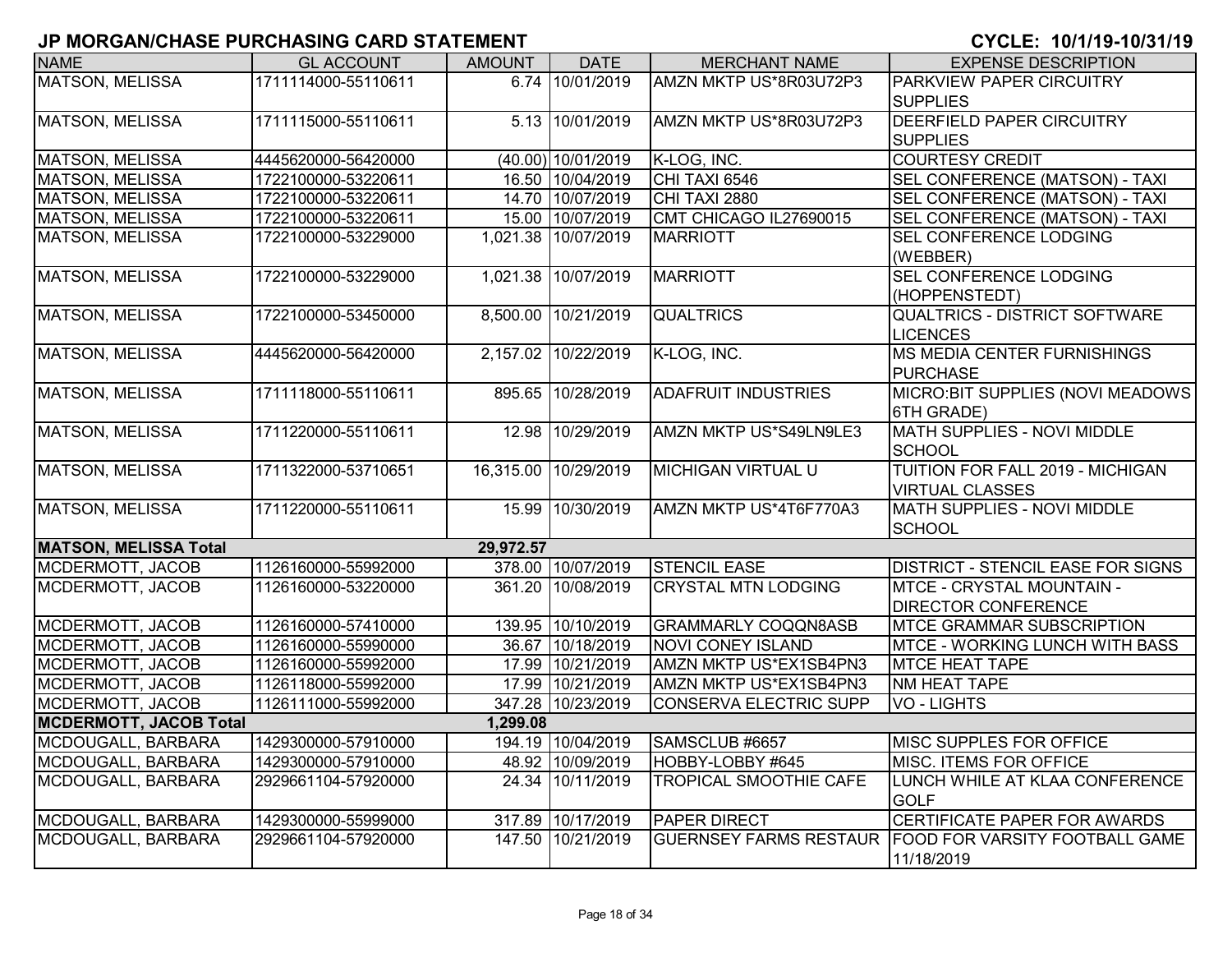| <b>NAME</b>                   | <b>GL ACCOUNT</b>   | <b>AMOUNT</b> | <b>DATE</b>          | <b>MERCHANT NAME</b>          | <b>EXPENSE DESCRIPTION</b>                            |
|-------------------------------|---------------------|---------------|----------------------|-------------------------------|-------------------------------------------------------|
| <b>MATSON, MELISSA</b>        | 1711114000-55110611 |               | 6.74 10/01/2019      | AMZN MKTP US*8R03U72P3        | <b>PARKVIEW PAPER CIRCUITRY</b>                       |
|                               |                     |               |                      |                               | <b>SUPPLIES</b>                                       |
| MATSON, MELISSA               | 1711115000-55110611 |               | 5.13 10/01/2019      | AMZN MKTP US*8R03U72P3        | <b>DEERFIELD PAPER CIRCUITRY</b>                      |
|                               |                     |               |                      |                               | <b>SUPPLIES</b>                                       |
| MATSON, MELISSA               | 4445620000-56420000 |               | (40.00) 10/01/2019   | K-LOG, INC.                   | <b>COURTESY CREDIT</b>                                |
| MATSON, MELISSA               | 1722100000-53220611 |               | 16.50 10/04/2019     | CHI TAXI 6546                 | SEL CONFERENCE (MATSON) - TAXI                        |
| MATSON, MELISSA               | 1722100000-53220611 |               | 14.70 10/07/2019     | CHI TAXI 2880                 | SEL CONFERENCE (MATSON) - TAXI                        |
| MATSON, MELISSA               | 1722100000-53220611 |               | 15.00 10/07/2019     | CMT CHICAGO IL27690015        | SEL CONFERENCE (MATSON) - TAXI                        |
| <b>MATSON, MELISSA</b>        | 1722100000-53229000 | 1,021.38      | 10/07/2019           | <b>MARRIOTT</b>               | SEL CONFERENCE LODGING                                |
|                               |                     |               |                      |                               | (WEBBER)                                              |
| MATSON, MELISSA               | 1722100000-53229000 | 1,021.38      | 10/07/2019           | <b>MARRIOTT</b>               | <b>SEL CONFERENCE LODGING</b>                         |
|                               |                     |               |                      |                               | (HOPPENSTEDT)                                         |
| MATSON, MELISSA               | 1722100000-53450000 | 8,500.00      | 10/21/2019           | <b>QUALTRICS</b>              | <b>QUALTRICS - DISTRICT SOFTWARE</b>                  |
|                               |                     |               |                      |                               | <b>LICENCES</b>                                       |
| <b>MATSON, MELISSA</b>        | 4445620000-56420000 | 2,157.02      | 10/22/2019           | K-LOG, INC.                   | <b>MS MEDIA CENTER FURNISHINGS</b>                    |
|                               |                     |               |                      |                               | <b>PURCHASE</b>                                       |
| MATSON, MELISSA               | 1711118000-55110611 | 895.65        | 10/28/2019           | <b>ADAFRUIT INDUSTRIES</b>    | MICRO: BIT SUPPLIES (NOVI MEADOWS                     |
|                               |                     |               |                      |                               | 6TH GRADE)                                            |
| <b>MATSON, MELISSA</b>        | 1711220000-55110611 |               | 12.98 10/29/2019     | AMZN MKTP US*S49LN9LE3        | <b>MATH SUPPLIES - NOVI MIDDLE</b>                    |
|                               |                     |               |                      |                               | <b>SCHOOL</b>                                         |
| MATSON, MELISSA               | 1711322000-53710651 |               | 16,315.00 10/29/2019 | <b>MICHIGAN VIRTUAL U</b>     | TUITION FOR FALL 2019 - MICHIGAN                      |
|                               |                     |               |                      |                               | <b>VIRTUAL CLASSES</b>                                |
| MATSON, MELISSA               | 1711220000-55110611 |               | 15.99 10/30/2019     | AMZN MKTP US*4T6F770A3        | MATH SUPPLIES - NOVI MIDDLE                           |
|                               |                     |               |                      |                               | <b>SCHOOL</b>                                         |
| <b>MATSON, MELISSA Total</b>  |                     | 29,972.57     |                      |                               |                                                       |
| MCDERMOTT, JACOB              | 1126160000-55992000 |               | 378.00 10/07/2019    | <b>STENCIL EASE</b>           | <b>DISTRICT - STENCIL EASE FOR SIGNS</b>              |
| MCDERMOTT, JACOB              | 1126160000-53220000 |               | 361.20 10/08/2019    | <b>CRYSTAL MTN LODGING</b>    | <b>MTCE - CRYSTAL MOUNTAIN -</b>                      |
|                               |                     |               |                      |                               | <b>DIRECTOR CONFERENCE</b>                            |
| MCDERMOTT, JACOB              | 1126160000-57410000 |               | 139.95 10/10/2019    | <b>GRAMMARLY COQQN8ASB</b>    | <b>IMTCE GRAMMAR SUBSCRIPTION</b>                     |
| MCDERMOTT, JACOB              | 1126160000-55990000 |               | 36.67 10/18/2019     | <b>NOVI CONEY ISLAND</b>      | <b>MTCE - WORKING LUNCH WITH BASS</b>                 |
| MCDERMOTT, JACOB              | 1126160000-55992000 | 17.99         | 10/21/2019           | AMZN MKTP US*EX1SB4PN3        | <b>MTCE HEAT TAPE</b>                                 |
| MCDERMOTT, JACOB              | 1126118000-55992000 |               | 17.99 10/21/2019     | AMZN MKTP US*EX1SB4PN3        | NM HEAT TAPE                                          |
| MCDERMOTT, JACOB              | 1126111000-55992000 | 347.28        | 10/23/2019           | <b>CONSERVA ELECTRIC SUPP</b> | <b>VO - LIGHTS</b>                                    |
| <b>MCDERMOTT, JACOB Total</b> |                     | 1,299.08      |                      |                               |                                                       |
| MCDOUGALL, BARBARA            | 1429300000-57910000 |               | 194.19 10/04/2019    | SAMSCLUB #6657                | <b>MISC SUPPLES FOR OFFICE</b>                        |
| MCDOUGALL, BARBARA            | 1429300000-57910000 |               | 48.92 10/09/2019     | HOBBY-LOBBY #645              | <b>MISC. ITEMS FOR OFFICE</b>                         |
| MCDOUGALL, BARBARA            | 2929661104-57920000 | 24.34         | 10/11/2019           | <b>TROPICAL SMOOTHIE CAFE</b> | LUNCH WHILE AT KLAA CONFERENCE                        |
|                               |                     |               |                      |                               | <b>GOLF</b>                                           |
| MCDOUGALL, BARBARA            | 1429300000-55999000 |               | 317.89 10/17/2019    | <b>PAPER DIRECT</b>           | CERTIFICATE PAPER FOR AWARDS                          |
| MCDOUGALL, BARBARA            | 2929661104-57920000 |               | 147.50 10/21/2019    |                               | GUERNSEY FARMS RESTAUR FOOD FOR VARSITY FOOTBALL GAME |
|                               |                     |               |                      |                               | 11/18/2019                                            |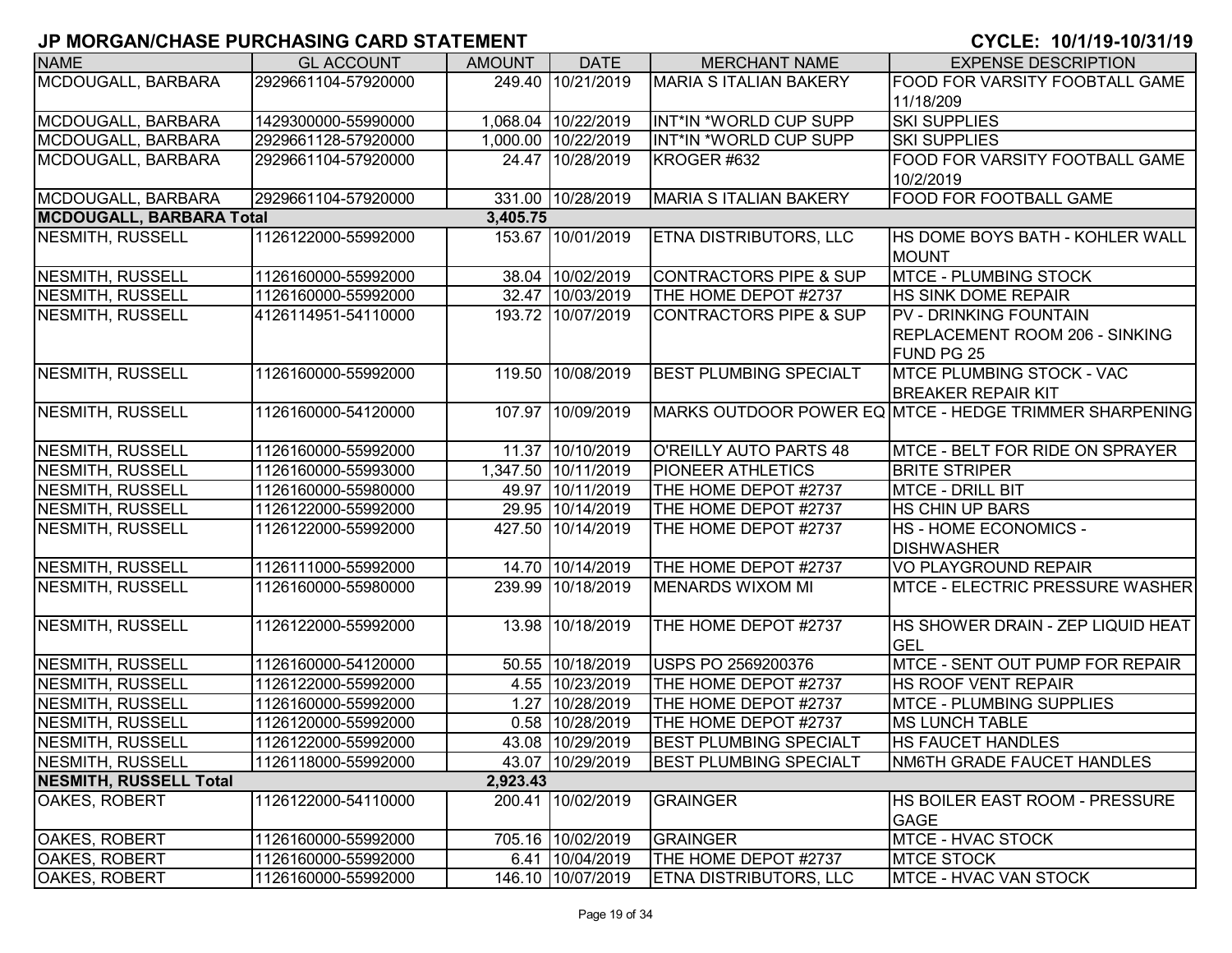| <b>NAME</b>                     | <b>GL ACCOUNT</b>   | <b>AMOUNT</b> | <b>DATE</b>         | <b>MERCHANT NAME</b>              | <b>EXPENSE DESCRIPTION</b>                             |
|---------------------------------|---------------------|---------------|---------------------|-----------------------------------|--------------------------------------------------------|
| MCDOUGALL, BARBARA              | 2929661104-57920000 |               | 249.40 10/21/2019   | <b>MARIA S ITALIAN BAKERY</b>     | FOOD FOR VARSITY FOOBTALL GAME                         |
|                                 |                     |               |                     |                                   | 11/18/209                                              |
| MCDOUGALL, BARBARA              | 1429300000-55990000 |               | 1,068.04 10/22/2019 | INT*IN *WORLD CUP SUPP            | <b>SKI SUPPLIES</b>                                    |
| MCDOUGALL, BARBARA              | 2929661128-57920000 |               | 1,000.00 10/22/2019 | INT*IN *WORLD CUP SUPP            | <b>SKI SUPPLIES</b>                                    |
| MCDOUGALL, BARBARA              | 2929661104-57920000 |               | 24.47 10/28/2019    | KROGER #632                       | FOOD FOR VARSITY FOOTBALL GAME                         |
|                                 |                     |               |                     |                                   | 10/2/2019                                              |
| MCDOUGALL, BARBARA              | 2929661104-57920000 |               | 331.00 10/28/2019   | <b>MARIA S ITALIAN BAKERY</b>     | FOOD FOR FOOTBALL GAME                                 |
| <b>MCDOUGALL, BARBARA Total</b> |                     | 3,405.75      |                     |                                   |                                                        |
| <b>NESMITH, RUSSELL</b>         | 1126122000-55992000 |               | 153.67 10/01/2019   | ETNA DISTRIBUTORS, LLC            | HS DOME BOYS BATH - KOHLER WALL                        |
|                                 |                     |               |                     |                                   | <b>MOUNT</b>                                           |
| NESMITH, RUSSELL                | 1126160000-55992000 |               | 38.04 10/02/2019    | <b>CONTRACTORS PIPE &amp; SUP</b> | <b>MTCE - PLUMBING STOCK</b>                           |
| <b>NESMITH, RUSSELL</b>         | 1126160000-55992000 |               | 32.47 10/03/2019    | THE HOME DEPOT #2737              | HS SINK DOME REPAIR                                    |
| NESMITH, RUSSELL                | 4126114951-54110000 |               | 193.72 10/07/2019   | <b>CONTRACTORS PIPE &amp; SUP</b> | PV - DRINKING FOUNTAIN                                 |
|                                 |                     |               |                     |                                   | REPLACEMENT ROOM 206 - SINKING                         |
|                                 |                     |               |                     |                                   | FUND PG 25                                             |
| NESMITH, RUSSELL                | 1126160000-55992000 | 119.50        | 10/08/2019          | <b>BEST PLUMBING SPECIALT</b>     | <b>MTCE PLUMBING STOCK - VAC</b>                       |
|                                 |                     |               |                     |                                   | <b>BREAKER REPAIR KIT</b>                              |
| NESMITH, RUSSELL                | 1126160000-54120000 |               | 107.97 10/09/2019   |                                   | MARKS OUTDOOR POWER EQ MTCE - HEDGE TRIMMER SHARPENING |
|                                 |                     |               |                     |                                   |                                                        |
| NESMITH, RUSSELL                | 1126160000-55992000 |               | 11.37 10/10/2019    | <b>O'REILLY AUTO PARTS 48</b>     | MTCE - BELT FOR RIDE ON SPRAYER                        |
| <b>NESMITH, RUSSELL</b>         | 1126160000-55993000 |               | 1,347.50 10/11/2019 | <b>PIONEER ATHLETICS</b>          | <b>BRITE STRIPER</b>                                   |
| <b>NESMITH, RUSSELL</b>         | 1126160000-55980000 |               | 49.97 10/11/2019    | THE HOME DEPOT #2737              | <b>MTCE - DRILL BIT</b>                                |
| <b>NESMITH, RUSSELL</b>         | 1126122000-55992000 |               | 29.95 10/14/2019    | THE HOME DEPOT #2737              | HS CHIN UP BARS                                        |
| <b>NESMITH, RUSSELL</b>         | 1126122000-55992000 |               | 427.50 10/14/2019   | THE HOME DEPOT #2737              | HS - HOME ECONOMICS -                                  |
|                                 |                     |               |                     |                                   | <b>DISHWASHER</b>                                      |
| NESMITH, RUSSELL                | 1126111000-55992000 |               | 14.70 10/14/2019    | THE HOME DEPOT #2737              | <b>VO PLAYGROUND REPAIR</b>                            |
| NESMITH, RUSSELL                | 1126160000-55980000 |               | 239.99 10/18/2019   | <b>MENARDS WIXOM MI</b>           | <b>MTCE - ELECTRIC PRESSURE WASHER</b>                 |
|                                 |                     |               |                     |                                   |                                                        |
| NESMITH, RUSSELL                | 1126122000-55992000 | 13.98         | 10/18/2019          | THE HOME DEPOT #2737              | HS SHOWER DRAIN - ZEP LIQUID HEAT                      |
|                                 |                     |               |                     |                                   | <b>GEL</b>                                             |
| NESMITH, RUSSELL                | 1126160000-54120000 |               | 50.55 10/18/2019    | USPS PO 2569200376                | MTCE - SENT OUT PUMP FOR REPAIR                        |
| NESMITH, RUSSELL                | 1126122000-55992000 |               | 4.55 10/23/2019     | THE HOME DEPOT #2737              | HS ROOF VENT REPAIR                                    |
| NESMITH, RUSSELL                | 1126160000-55992000 |               | 1.27 10/28/2019     | THE HOME DEPOT #2737              | MTCE - PLUMBING SUPPLIES                               |
| <b>NESMITH, RUSSELL</b>         | 1126120000-55992000 |               | 0.58 10/28/2019     | THE HOME DEPOT #2737              | <b>MS LUNCH TABLE</b>                                  |
| NESMITH, RUSSELL                | 1126122000-55992000 |               | 43.08 10/29/2019    | <b>BEST PLUMBING SPECIALT</b>     | <b>HS FAUCET HANDLES</b>                               |
| NESMITH, RUSSELL                | 1126118000-55992000 |               | 43.07 10/29/2019    | <b>BEST PLUMBING SPECIALT</b>     | NM6TH GRADE FAUCET HANDLES                             |
| <b>NESMITH, RUSSELL Total</b>   |                     | 2,923.43      |                     |                                   |                                                        |
| <b>OAKES, ROBERT</b>            | 1126122000-54110000 |               | 200.41 10/02/2019   | <b>GRAINGER</b>                   | HS BOILER EAST ROOM - PRESSURE                         |
|                                 |                     |               |                     |                                   | <b>GAGE</b>                                            |
| <b>OAKES, ROBERT</b>            | 1126160000-55992000 |               | 705.16 10/02/2019   | <b>GRAINGER</b>                   | <b>MTCE - HVAC STOCK</b>                               |
| <b>OAKES, ROBERT</b>            | 1126160000-55992000 |               | 6.41 10/04/2019     | THE HOME DEPOT #2737              | <b>MTCE STOCK</b>                                      |
| OAKES, ROBERT                   | 1126160000-55992000 |               | 146.10 10/07/2019   | <b>ETNA DISTRIBUTORS, LLC</b>     | MTCE - HVAC VAN STOCK                                  |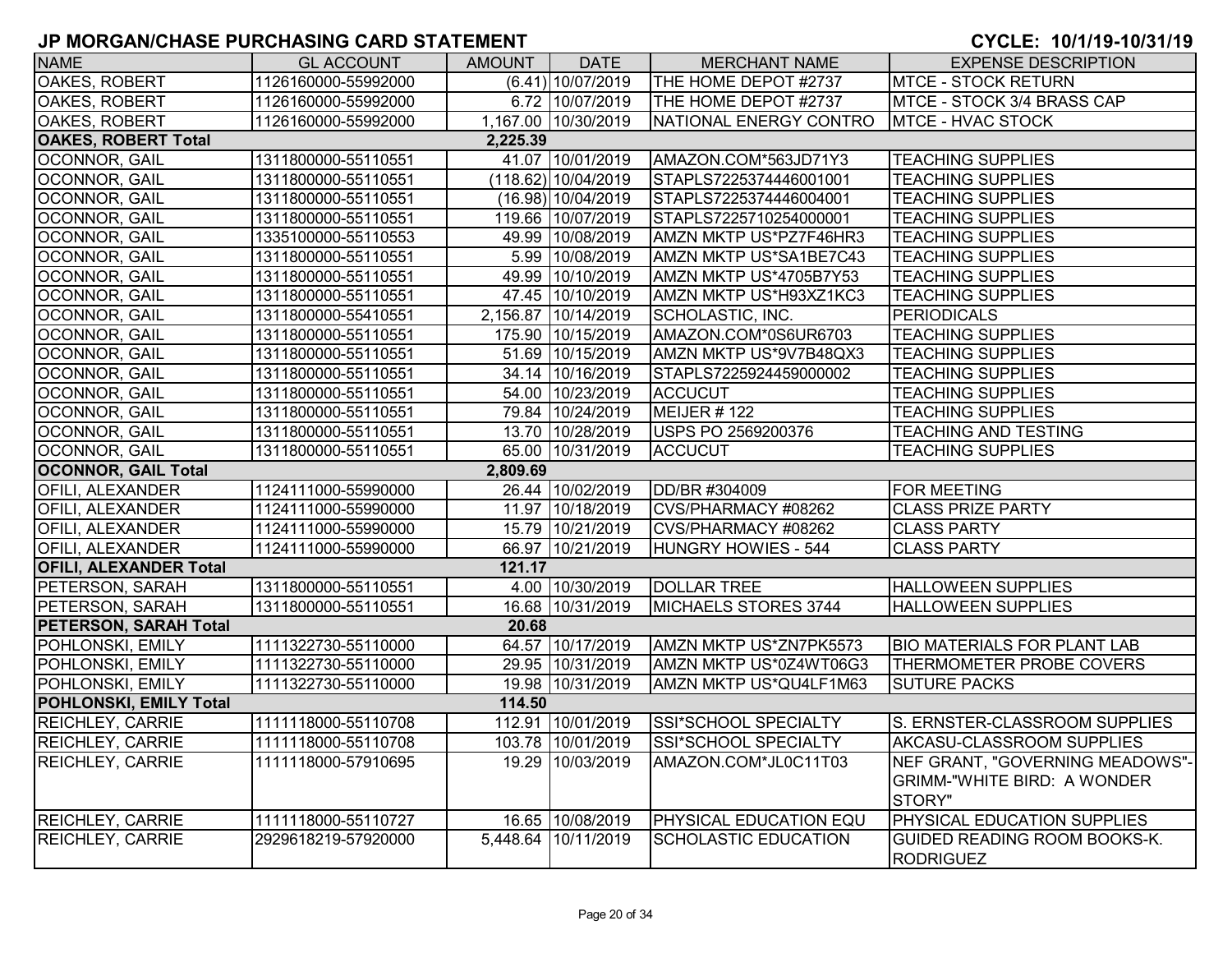| <b>NAME</b>                   | <b>GL ACCOUNT</b>   | AMOUNT   | <b>DATE</b>           | <b>MERCHANT NAME</b>        | <b>EXPENSE DESCRIPTION</b>                              |
|-------------------------------|---------------------|----------|-----------------------|-----------------------------|---------------------------------------------------------|
| <b>OAKES, ROBERT</b>          | 1126160000-55992000 |          | $(6.41)$ 10/07/2019   | THE HOME DEPOT #2737        | <b>MTCE - STOCK RETURN</b>                              |
| OAKES, ROBERT                 | 1126160000-55992000 |          | 6.72 10/07/2019       | THE HOME DEPOT #2737        | MTCE - STOCK 3/4 BRASS CAP                              |
| OAKES, ROBERT                 | 1126160000-55992000 |          | 1,167.00 10/30/2019   | NATIONAL ENERGY CONTRO      | MTCE - HVAC STOCK                                       |
| <b>OAKES, ROBERT Total</b>    |                     | 2,225.39 |                       |                             |                                                         |
| OCONNOR, GAIL                 | 1311800000-55110551 |          | 41.07 10/01/2019      | AMAZON.COM*563JD71Y3        | <b>TEACHING SUPPLIES</b>                                |
| OCONNOR, GAIL                 | 1311800000-55110551 |          | $(118.62)$ 10/04/2019 | STAPLS7225374446001001      | <b>TEACHING SUPPLIES</b>                                |
| OCONNOR, GAIL                 | 1311800000-55110551 |          | $(16.98)$ 10/04/2019  | STAPLS7225374446004001      | <b>TEACHING SUPPLIES</b>                                |
| OCONNOR, GAIL                 | 1311800000-55110551 |          | 119.66 10/07/2019     | STAPLS7225710254000001      | <b>TEACHING SUPPLIES</b>                                |
| OCONNOR, GAIL                 | 1335100000-55110553 |          | 49.99 10/08/2019      | AMZN MKTP US*PZ7F46HR3      | <b>TEACHING SUPPLIES</b>                                |
| OCONNOR, GAIL                 | 1311800000-55110551 |          | 5.99 10/08/2019       | AMZN MKTP US*SA1BE7C43      | <b>TEACHING SUPPLIES</b>                                |
| OCONNOR, GAIL                 | 1311800000-55110551 |          | 49.99 10/10/2019      | AMZN MKTP US*4705B7Y53      | <b>TEACHING SUPPLIES</b>                                |
| OCONNOR, GAIL                 | 1311800000-55110551 |          | 47.45 10/10/2019      | AMZN MKTP US*H93XZ1KC3      | <b>TEACHING SUPPLIES</b>                                |
| OCONNOR, GAIL                 | 1311800000-55410551 |          | 2,156.87 10/14/2019   | SCHOLASTIC, INC.            | <b>PERIODICALS</b>                                      |
| OCONNOR, GAIL                 | 1311800000-55110551 |          | 175.90 10/15/2019     | AMAZON.COM*0S6UR6703        | <b>TEACHING SUPPLIES</b>                                |
| OCONNOR, GAIL                 | 1311800000-55110551 |          | 51.69 10/15/2019      | AMZN MKTP US*9V7B48QX3      | <b>TEACHING SUPPLIES</b>                                |
| OCONNOR, GAIL                 | 1311800000-55110551 |          | 34.14 10/16/2019      | STAPLS7225924459000002      | <b>TEACHING SUPPLIES</b>                                |
| OCONNOR, GAIL                 | 1311800000-55110551 |          | 54.00 10/23/2019      | <b>ACCUCUT</b>              | <b>TEACHING SUPPLIES</b>                                |
| OCONNOR, GAIL                 | 1311800000-55110551 |          | 79.84 10/24/2019      | MEIJER #122                 | <b>TEACHING SUPPLIES</b>                                |
| OCONNOR, GAIL                 | 1311800000-55110551 |          | 13.70 10/28/2019      | USPS PO 2569200376          | <b>TEACHING AND TESTING</b>                             |
| OCONNOR, GAIL                 | 1311800000-55110551 |          | 65.00 10/31/2019      | <b>ACCUCUT</b>              | <b>TEACHING SUPPLIES</b>                                |
| <b>OCONNOR, GAIL Total</b>    |                     | 2,809.69 |                       |                             |                                                         |
| <b>OFILI, ALEXANDER</b>       | 1124111000-55990000 |          | 26.44 10/02/2019      | DD/BR #304009               | <b>FOR MEETING</b>                                      |
| <b>OFILI, ALEXANDER</b>       | 1124111000-55990000 |          | 11.97 10/18/2019      | CVS/PHARMACY #08262         | <b>CLASS PRIZE PARTY</b>                                |
| <b>OFILI, ALEXANDER</b>       | 1124111000-55990000 |          | 15.79 10/21/2019      | CVS/PHARMACY #08262         | <b>CLASS PARTY</b>                                      |
| OFILI, ALEXANDER              | 1124111000-55990000 |          | 66.97 10/21/2019      | <b>HUNGRY HOWIES - 544</b>  | <b>CLASS PARTY</b>                                      |
| <b>OFILI, ALEXANDER Total</b> |                     | 121.17   |                       |                             |                                                         |
| PETERSON, SARAH               | 1311800000-55110551 |          | 4.00 10/30/2019       | <b>DOLLAR TREE</b>          | <b>HALLOWEEN SUPPLIES</b>                               |
| PETERSON, SARAH               | 1311800000-55110551 |          | 16.68 10/31/2019      | MICHAELS STORES 3744        | <b>HALLOWEEN SUPPLIES</b>                               |
| <b>PETERSON, SARAH Total</b>  |                     | 20.68    |                       |                             |                                                         |
| POHLONSKI, EMILY              | 1111322730-55110000 |          | 64.57 10/17/2019      | AMZN MKTP US*ZN7PK5573      | <b>BIO MATERIALS FOR PLANT LAB</b>                      |
| POHLONSKI, EMILY              | 1111322730-55110000 |          | 29.95 10/31/2019      | AMZN MKTP US*0Z4WT06G3      | <b>THERMOMETER PROBE COVERS</b>                         |
| POHLONSKI, EMILY              | 1111322730-55110000 |          | 19.98 10/31/2019      | AMZN MKTP US*QU4LF1M63      | <b>SUTURE PACKS</b>                                     |
| <b>POHLONSKI, EMILY Total</b> |                     | 114.50   |                       |                             |                                                         |
| <b>REICHLEY, CARRIE</b>       | 1111118000-55110708 |          | 112.91 10/01/2019     | SSI*SCHOOL SPECIALTY        | S. ERNSTER-CLASSROOM SUPPLIES                           |
| <b>REICHLEY, CARRIE</b>       | 1111118000-55110708 |          | 103.78 10/01/2019     | SSI*SCHOOL SPECIALTY        | AKCASU-CLASSROOM SUPPLIES                               |
| <b>REICHLEY, CARRIE</b>       | 1111118000-57910695 |          | 19.29 10/03/2019      | AMAZON.COM*JL0C11T03        | NEF GRANT, "GOVERNING MEADOWS"-                         |
|                               |                     |          |                       |                             | <b>GRIMM-"WHITE BIRD: A WONDER</b>                      |
|                               |                     |          |                       |                             | STORY"                                                  |
| <b>REICHLEY, CARRIE</b>       | 1111118000-55110727 |          | 16.65 10/08/2019      | PHYSICAL EDUCATION EQU      | <b>PHYSICAL EDUCATION SUPPLIES</b>                      |
| <b>REICHLEY, CARRIE</b>       | 2929618219-57920000 |          | 5,448.64 10/11/2019   | <b>SCHOLASTIC EDUCATION</b> | <b>GUIDED READING ROOM BOOKS-K.</b><br><b>RODRIGUEZ</b> |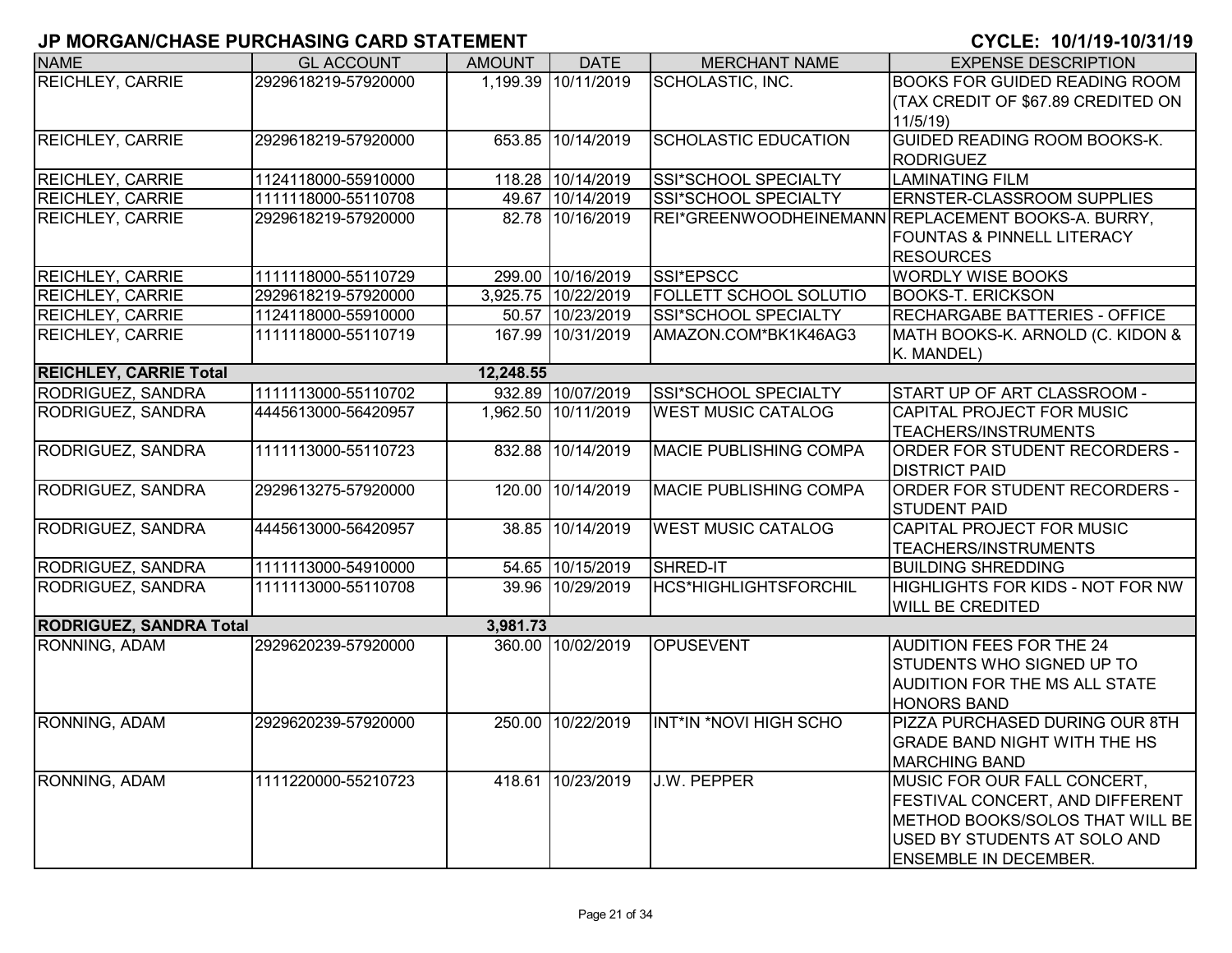| <b>NAME</b>                    | <b>GL ACCOUNT</b>   | <b>AMOUNT</b> | <b>DATE</b>         | <b>MERCHANT NAME</b>          | <b>EXPENSE DESCRIPTION</b>                         |
|--------------------------------|---------------------|---------------|---------------------|-------------------------------|----------------------------------------------------|
| <b>REICHLEY, CARRIE</b>        | 2929618219-57920000 |               | 1,199.39 10/11/2019 | SCHOLASTIC, INC.              | <b>BOOKS FOR GUIDED READING ROOM</b>               |
|                                |                     |               |                     |                               | (TAX CREDIT OF \$67.89 CREDITED ON                 |
|                                |                     |               |                     |                               | 11/5/19                                            |
| <b>REICHLEY, CARRIE</b>        | 2929618219-57920000 |               | 653.85 10/14/2019   | <b>SCHOLASTIC EDUCATION</b>   | GUIDED READING ROOM BOOKS-K.                       |
|                                |                     |               |                     |                               | <b>RODRIGUEZ</b>                                   |
| <b>REICHLEY, CARRIE</b>        | 1124118000-55910000 |               | 118.28 10/14/2019   | SSI*SCHOOL SPECIALTY          | <b>LAMINATING FILM</b>                             |
| <b>REICHLEY, CARRIE</b>        | 1111118000-55110708 |               | 49.67 10/14/2019    | <b>SSI*SCHOOL SPECIALTY</b>   | <b>ERNSTER-CLASSROOM SUPPLIES</b>                  |
| <b>REICHLEY, CARRIE</b>        | 2929618219-57920000 |               | 82.78 10/16/2019    |                               | REI*GREENWOODHEINEMANN REPLACEMENT BOOKS-A. BURRY, |
|                                |                     |               |                     |                               | <b>FOUNTAS &amp; PINNELL LITERACY</b>              |
|                                |                     |               |                     |                               | <b>RESOURCES</b>                                   |
| <b>REICHLEY, CARRIE</b>        | 1111118000-55110729 |               | 299.00 10/16/2019   | SSI*EPSCC                     | <b>WORDLY WISE BOOKS</b>                           |
| <b>REICHLEY, CARRIE</b>        | 2929618219-57920000 |               | 3,925.75 10/22/2019 | <b>FOLLETT SCHOOL SOLUTIO</b> | <b>BOOKS-T. ERICKSON</b>                           |
| <b>REICHLEY, CARRIE</b>        | 1124118000-55910000 |               | 50.57 10/23/2019    | SSI*SCHOOL SPECIALTY          | RECHARGABE BATTERIES - OFFICE                      |
| <b>REICHLEY, CARRIE</b>        | 1111118000-55110719 |               | 167.99 10/31/2019   | AMAZON.COM*BK1K46AG3          | MATH BOOKS-K. ARNOLD (C. KIDON &                   |
|                                |                     |               |                     |                               | K. MANDEL)                                         |
| <b>REICHLEY, CARRIE Total</b>  |                     | 12,248.55     |                     |                               |                                                    |
| RODRIGUEZ, SANDRA              | 1111113000-55110702 |               | 932.89 10/07/2019   | SSI*SCHOOL SPECIALTY          | START UP OF ART CLASSROOM -                        |
| RODRIGUEZ, SANDRA              | 4445613000-56420957 |               | 1,962.50 10/11/2019 | <b>WEST MUSIC CATALOG</b>     | CAPITAL PROJECT FOR MUSIC                          |
|                                |                     |               |                     |                               | TEACHERS/INSTRUMENTS                               |
| RODRIGUEZ, SANDRA              | 1111113000-55110723 |               | 832.88 10/14/2019   | <b>MACIE PUBLISHING COMPA</b> | ORDER FOR STUDENT RECORDERS -                      |
|                                |                     |               |                     |                               | <b>DISTRICT PAID</b>                               |
| RODRIGUEZ, SANDRA              | 2929613275-57920000 | 120.00        | 10/14/2019          | <b>MACIE PUBLISHING COMPA</b> | <b>ORDER FOR STUDENT RECORDERS -</b>               |
|                                |                     |               |                     |                               | <b>STUDENT PAID</b>                                |
| RODRIGUEZ, SANDRA              | 4445613000-56420957 |               | 38.85 10/14/2019    | <b>WEST MUSIC CATALOG</b>     | CAPITAL PROJECT FOR MUSIC                          |
|                                |                     |               |                     |                               | <b>TEACHERS/INSTRUMENTS</b>                        |
| RODRIGUEZ, SANDRA              | 1111113000-54910000 |               | 54.65 10/15/2019    | SHRED-IT                      | <b>BUILDING SHREDDING</b>                          |
| RODRIGUEZ, SANDRA              | 1111113000-55110708 |               | 39.96 10/29/2019    | <b>HCS*HIGHLIGHTSFORCHIL</b>  | HIGHLIGHTS FOR KIDS - NOT FOR NW                   |
|                                |                     |               |                     |                               | <b>WILL BE CREDITED</b>                            |
| <b>RODRIGUEZ, SANDRA Total</b> |                     | 3,981.73      |                     |                               |                                                    |
| RONNING, ADAM                  | 2929620239-57920000 |               | 360.00 10/02/2019   | <b>OPUSEVENT</b>              | <b>AUDITION FEES FOR THE 24</b>                    |
|                                |                     |               |                     |                               | STUDENTS WHO SIGNED UP TO                          |
|                                |                     |               |                     |                               | AUDITION FOR THE MS ALL STATE                      |
|                                |                     |               |                     |                               | <b>HONORS BAND</b>                                 |
| RONNING, ADAM                  | 2929620239-57920000 |               | 250.00 10/22/2019   | INT*IN *NOVI HIGH SCHO        | PIZZA PURCHASED DURING OUR 8TH                     |
|                                |                     |               |                     |                               | <b>GRADE BAND NIGHT WITH THE HS</b>                |
|                                |                     |               |                     |                               | <b>MARCHING BAND</b>                               |
| RONNING, ADAM                  | 1111220000-55210723 |               | 418.61 10/23/2019   | J.W. PEPPER                   | MUSIC FOR OUR FALL CONCERT,                        |
|                                |                     |               |                     |                               | <b>FESTIVAL CONCERT, AND DIFFERENT</b>             |
|                                |                     |               |                     |                               | METHOD BOOKS/SOLOS THAT WILL BE                    |
|                                |                     |               |                     |                               | USED BY STUDENTS AT SOLO AND                       |
|                                |                     |               |                     |                               | <b>ENSEMBLE IN DECEMBER.</b>                       |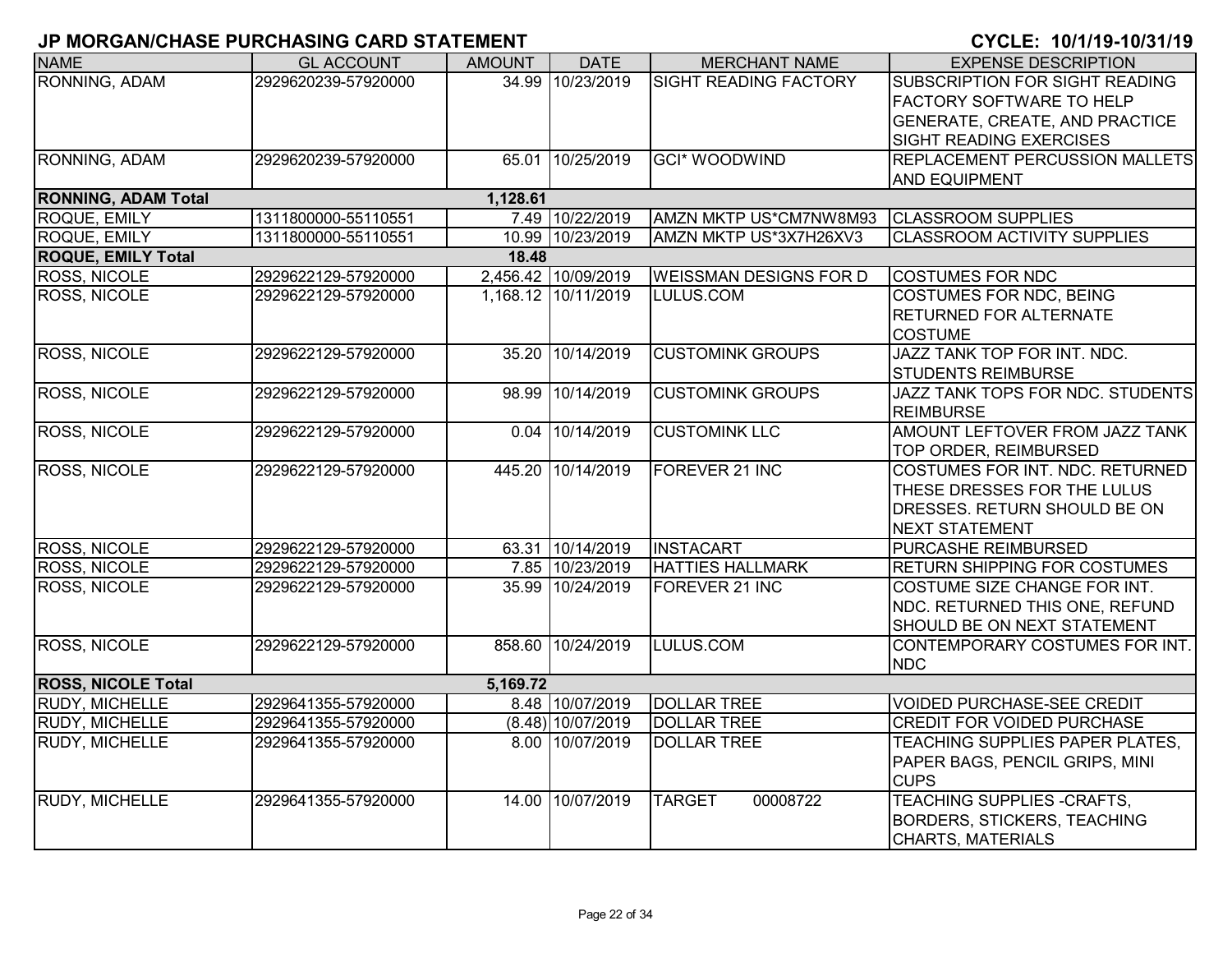| <b>NAME</b>                | <b>GL ACCOUNT</b>   | <b>AMOUNT</b> | <b>DATE</b>         | <b>MERCHANT NAME</b>          | <b>EXPENSE DESCRIPTION</b>            |
|----------------------------|---------------------|---------------|---------------------|-------------------------------|---------------------------------------|
| RONNING, ADAM              | 2929620239-57920000 |               | 34.99 10/23/2019    | <b>SIGHT READING FACTORY</b>  | SUBSCRIPTION FOR SIGHT READING        |
|                            |                     |               |                     |                               | <b>FACTORY SOFTWARE TO HELP</b>       |
|                            |                     |               |                     |                               | <b>GENERATE, CREATE, AND PRACTICE</b> |
|                            |                     |               |                     |                               | <b>SIGHT READING EXERCISES</b>        |
| RONNING, ADAM              | 2929620239-57920000 |               | 65.01 10/25/2019    | <b>GCI* WOODWIND</b>          | <b>REPLACEMENT PERCUSSION MALLETS</b> |
|                            |                     |               |                     |                               | <b>AND EQUIPMENT</b>                  |
| <b>RONNING, ADAM Total</b> |                     | 1,128.61      |                     |                               |                                       |
| ROQUE, EMILY               | 1311800000-55110551 |               | 7.49 10/22/2019     | AMZN MKTP US*CM7NW8M93        | <b>CLASSROOM SUPPLIES</b>             |
| ROQUE, EMILY               | 1311800000-55110551 |               | 10.99 10/23/2019    | AMZN MKTP US*3X7H26XV3        | <b>CLASSROOM ACTIVITY SUPPLIES</b>    |
| <b>ROQUE, EMILY Total</b>  |                     | 18.48         |                     |                               |                                       |
| ROSS, NICOLE               | 2929622129-57920000 |               | 2,456.42 10/09/2019 | <b>WEISSMAN DESIGNS FOR D</b> | <b>COSTUMES FOR NDC</b>               |
| <b>ROSS, NICOLE</b>        | 2929622129-57920000 |               | 1,168.12 10/11/2019 | LULUS.COM                     | <b>COSTUMES FOR NDC, BEING</b>        |
|                            |                     |               |                     |                               | <b>RETURNED FOR ALTERNATE</b>         |
|                            |                     |               |                     |                               | <b>COSTUME</b>                        |
| <b>ROSS, NICOLE</b>        | 2929622129-57920000 | 35.20         | 10/14/2019          | <b>CUSTOMINK GROUPS</b>       | JAZZ TANK TOP FOR INT. NDC.           |
|                            |                     |               |                     |                               | <b>STUDENTS REIMBURSE</b>             |
| <b>ROSS, NICOLE</b>        | 2929622129-57920000 | 98.99         | 10/14/2019          | <b>CUSTOMINK GROUPS</b>       | JAZZ TANK TOPS FOR NDC. STUDENTS      |
|                            |                     |               |                     |                               | <b>REIMBURSE</b>                      |
| <b>ROSS, NICOLE</b>        | 2929622129-57920000 |               | 0.04 10/14/2019     | <b>CUSTOMINK LLC</b>          | <b>AMOUNT LEFTOVER FROM JAZZ TANK</b> |
|                            |                     |               |                     |                               | TOP ORDER, REIMBURSED                 |
| <b>ROSS, NICOLE</b>        | 2929622129-57920000 | 445.20        | 10/14/2019          | FOREVER 21 INC                | COSTUMES FOR INT. NDC. RETURNED       |
|                            |                     |               |                     |                               | THESE DRESSES FOR THE LULUS           |
|                            |                     |               |                     |                               | DRESSES. RETURN SHOULD BE ON          |
|                            |                     |               |                     |                               | <b>NEXT STATEMENT</b>                 |
| <b>ROSS, NICOLE</b>        | 2929622129-57920000 |               | 63.31 10/14/2019    | <b>INSTACART</b>              | <b>PURCASHE REIMBURSED</b>            |
| <b>ROSS, NICOLE</b>        | 2929622129-57920000 |               | 7.85 10/23/2019     | <b>HATTIES HALLMARK</b>       | <b>RETURN SHIPPING FOR COSTUMES</b>   |
| <b>ROSS, NICOLE</b>        | 2929622129-57920000 |               | 35.99 10/24/2019    | FOREVER 21 INC                | COSTUME SIZE CHANGE FOR INT.          |
|                            |                     |               |                     |                               | NDC. RETURNED THIS ONE, REFUND        |
|                            |                     |               |                     |                               | SHOULD BE ON NEXT STATEMENT           |
| <b>ROSS, NICOLE</b>        | 2929622129-57920000 |               | 858.60 10/24/2019   | LULUS.COM                     | CONTEMPORARY COSTUMES FOR INT.        |
|                            |                     |               |                     |                               | <b>NDC</b>                            |
| <b>ROSS, NICOLE Total</b>  |                     | 5,169.72      |                     |                               |                                       |
| <b>RUDY, MICHELLE</b>      | 2929641355-57920000 |               | 8.48 10/07/2019     | <b>DOLLAR TREE</b>            | <b>VOIDED PURCHASE-SEE CREDIT</b>     |
| <b>RUDY, MICHELLE</b>      | 2929641355-57920000 |               | $(8.48)$ 10/07/2019 | <b>DOLLAR TREE</b>            | <b>CREDIT FOR VOIDED PURCHASE</b>     |
| <b>RUDY, MICHELLE</b>      | 2929641355-57920000 |               | 8.00 10/07/2019     | <b>DOLLAR TREE</b>            | TEACHING SUPPLIES PAPER PLATES,       |
|                            |                     |               |                     |                               | PAPER BAGS, PENCIL GRIPS, MINI        |
|                            |                     |               |                     |                               | <b>CUPS</b>                           |
| <b>RUDY, MICHELLE</b>      | 2929641355-57920000 | 14.00         | 10/07/2019          | <b>TARGET</b><br>00008722     | <b>TEACHING SUPPLIES -CRAFTS,</b>     |
|                            |                     |               |                     |                               | <b>BORDERS, STICKERS, TEACHING</b>    |
|                            |                     |               |                     |                               | CHARTS, MATERIALS                     |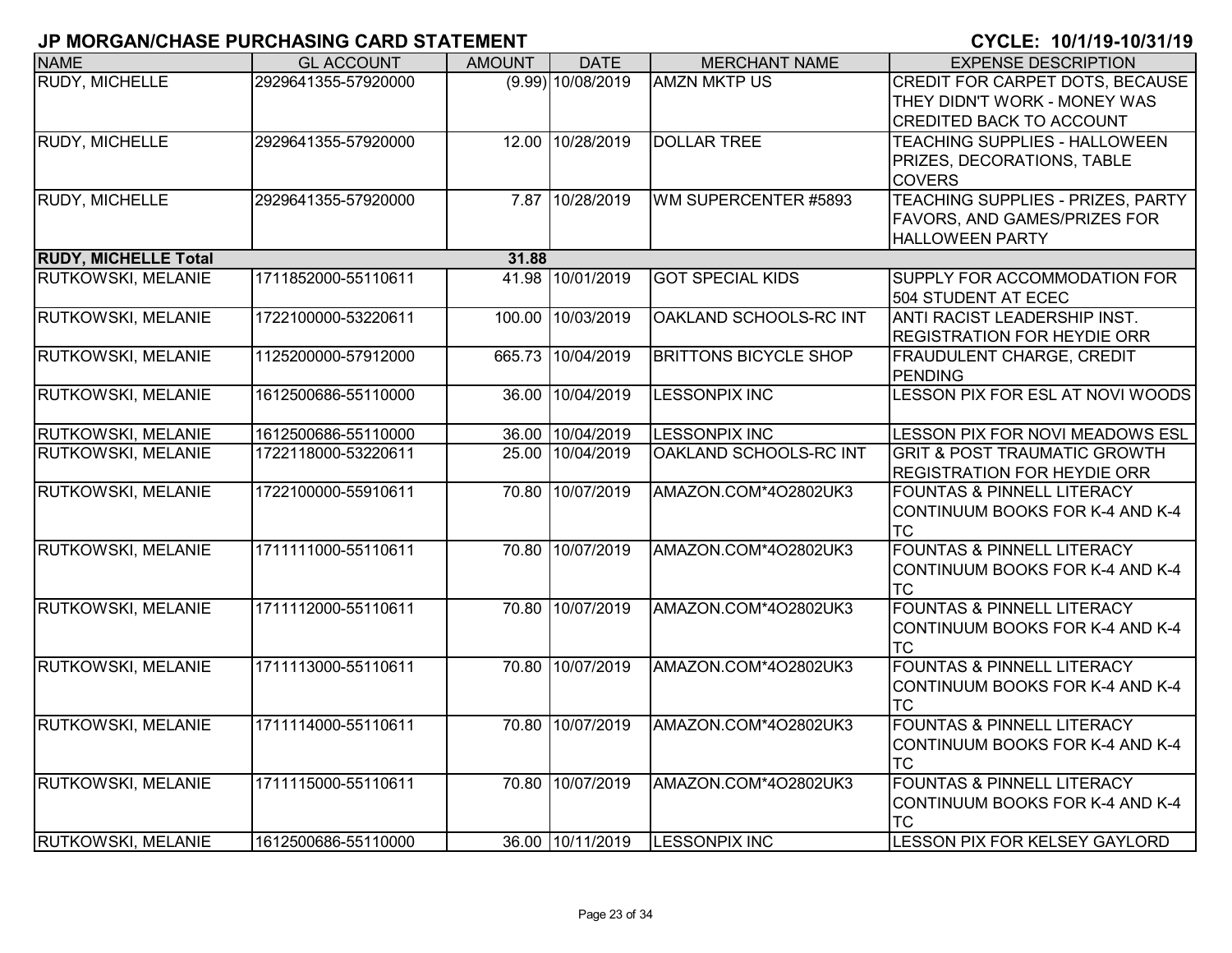| <b>NAME</b>                 | <b>GL ACCOUNT</b>   | <b>AMOUNT</b> | <b>DATE</b>       | <b>MERCHANT NAME</b>         | <b>EXPENSE DESCRIPTION</b>              |
|-----------------------------|---------------------|---------------|-------------------|------------------------------|-----------------------------------------|
| RUDY, MICHELLE              | 2929641355-57920000 |               | (9.99) 10/08/2019 | <b>AMZN MKTP US</b>          | CREDIT FOR CARPET DOTS, BECAUSE         |
|                             |                     |               |                   |                              | THEY DIDN'T WORK - MONEY WAS            |
|                             |                     |               |                   |                              | <b>CREDITED BACK TO ACCOUNT</b>         |
| RUDY, MICHELLE              | 2929641355-57920000 |               | 12.00 10/28/2019  | <b>DOLLAR TREE</b>           | <b>TEACHING SUPPLIES - HALLOWEEN</b>    |
|                             |                     |               |                   |                              | PRIZES, DECORATIONS, TABLE              |
|                             |                     |               |                   |                              | <b>COVERS</b>                           |
| <b>RUDY, MICHELLE</b>       | 2929641355-57920000 |               | 7.87 10/28/2019   | WM SUPERCENTER #5893         | TEACHING SUPPLIES - PRIZES, PARTY       |
|                             |                     |               |                   |                              | FAVORS, AND GAMES/PRIZES FOR            |
|                             |                     |               |                   |                              | <b>HALLOWEEN PARTY</b>                  |
| <b>RUDY, MICHELLE Total</b> |                     | 31.88         |                   |                              |                                         |
| RUTKOWSKI, MELANIE          | 1711852000-55110611 |               | 41.98 10/01/2019  | <b>GOT SPECIAL KIDS</b>      | SUPPLY FOR ACCOMMODATION FOR            |
|                             |                     |               |                   |                              | 504 STUDENT AT ECEC                     |
| RUTKOWSKI, MELANIE          | 1722100000-53220611 | 100.00        | 10/03/2019        | OAKLAND SCHOOLS-RC INT       | ANTI RACIST LEADERSHIP INST.            |
|                             |                     |               |                   |                              | <b>REGISTRATION FOR HEYDIE ORR</b>      |
| RUTKOWSKI, MELANIE          | 1125200000-57912000 | 665.73        | 10/04/2019        | <b>BRITTONS BICYCLE SHOP</b> | <b>FRAUDULENT CHARGE, CREDIT</b>        |
|                             |                     |               |                   |                              | <b>PENDING</b>                          |
| RUTKOWSKI, MELANIE          | 1612500686-55110000 | 36.00         | 10/04/2019        | <b>LESSONPIX INC</b>         | LESSON PIX FOR ESL AT NOVI WOODS        |
|                             |                     |               |                   |                              |                                         |
| RUTKOWSKI, MELANIE          | 1612500686-55110000 |               | 36.00 10/04/2019  | <b>LESSONPIX INC</b>         | LESSON PIX FOR NOVI MEADOWS ESL         |
| RUTKOWSKI, MELANIE          | 1722118000-53220611 | 25.00         | 10/04/2019        | OAKLAND SCHOOLS-RC INT       | <b>GRIT &amp; POST TRAUMATIC GROWTH</b> |
|                             |                     |               |                   |                              | <b>REGISTRATION FOR HEYDIE ORR</b>      |
| RUTKOWSKI, MELANIE          | 1722100000-55910611 |               | 70.80 10/07/2019  | AMAZON.COM*4O2802UK3         | <b>FOUNTAS &amp; PINNELL LITERACY</b>   |
|                             |                     |               |                   |                              | CONTINUUM BOOKS FOR K-4 AND K-4         |
|                             |                     |               |                   |                              | <b>TC</b>                               |
| RUTKOWSKI, MELANIE          | 1711111000-55110611 |               | 70.80 10/07/2019  | AMAZON.COM*4O2802UK3         | <b>FOUNTAS &amp; PINNELL LITERACY</b>   |
|                             |                     |               |                   |                              | CONTINUUM BOOKS FOR K-4 AND K-4         |
|                             |                     |               |                   |                              | <b>TC</b>                               |
| RUTKOWSKI, MELANIE          | 1711112000-55110611 | 70.80         | 10/07/2019        | AMAZON.COM*4O2802UK3         | <b>FOUNTAS &amp; PINNELL LITERACY</b>   |
|                             |                     |               |                   |                              | CONTINUUM BOOKS FOR K-4 AND K-4         |
|                             |                     |               |                   |                              | <b>TC</b>                               |
| RUTKOWSKI, MELANIE          | 1711113000-55110611 |               | 70.80 10/07/2019  | AMAZON.COM*4O2802UK3         | <b>FOUNTAS &amp; PINNELL LITERACY</b>   |
|                             |                     |               |                   |                              | CONTINUUM BOOKS FOR K-4 AND K-4         |
|                             |                     |               |                   |                              | <b>TC</b>                               |
| <b>RUTKOWSKI, MELANIE</b>   | 1711114000-55110611 |               | 70.80 10/07/2019  | AMAZON.COM*4O2802UK3         | <b>FOUNTAS &amp; PINNELL LITERACY</b>   |
|                             |                     |               |                   |                              | CONTINUUM BOOKS FOR K-4 AND K-4         |
|                             |                     |               |                   |                              | <b>TC</b>                               |
| RUTKOWSKI, MELANIE          | 1711115000-55110611 | 70.80         | 10/07/2019        | AMAZON.COM*4O2802UK3         | <b>FOUNTAS &amp; PINNELL LITERACY</b>   |
|                             |                     |               |                   |                              | CONTINUUM BOOKS FOR K-4 AND K-4         |
|                             |                     |               |                   |                              | <b>TC</b>                               |
| <b>RUTKOWSKI, MELANIE</b>   | 1612500686-55110000 |               | 36.00 10/11/2019  | <b>LESSONPIX INC</b>         | LESSON PIX FOR KELSEY GAYLORD           |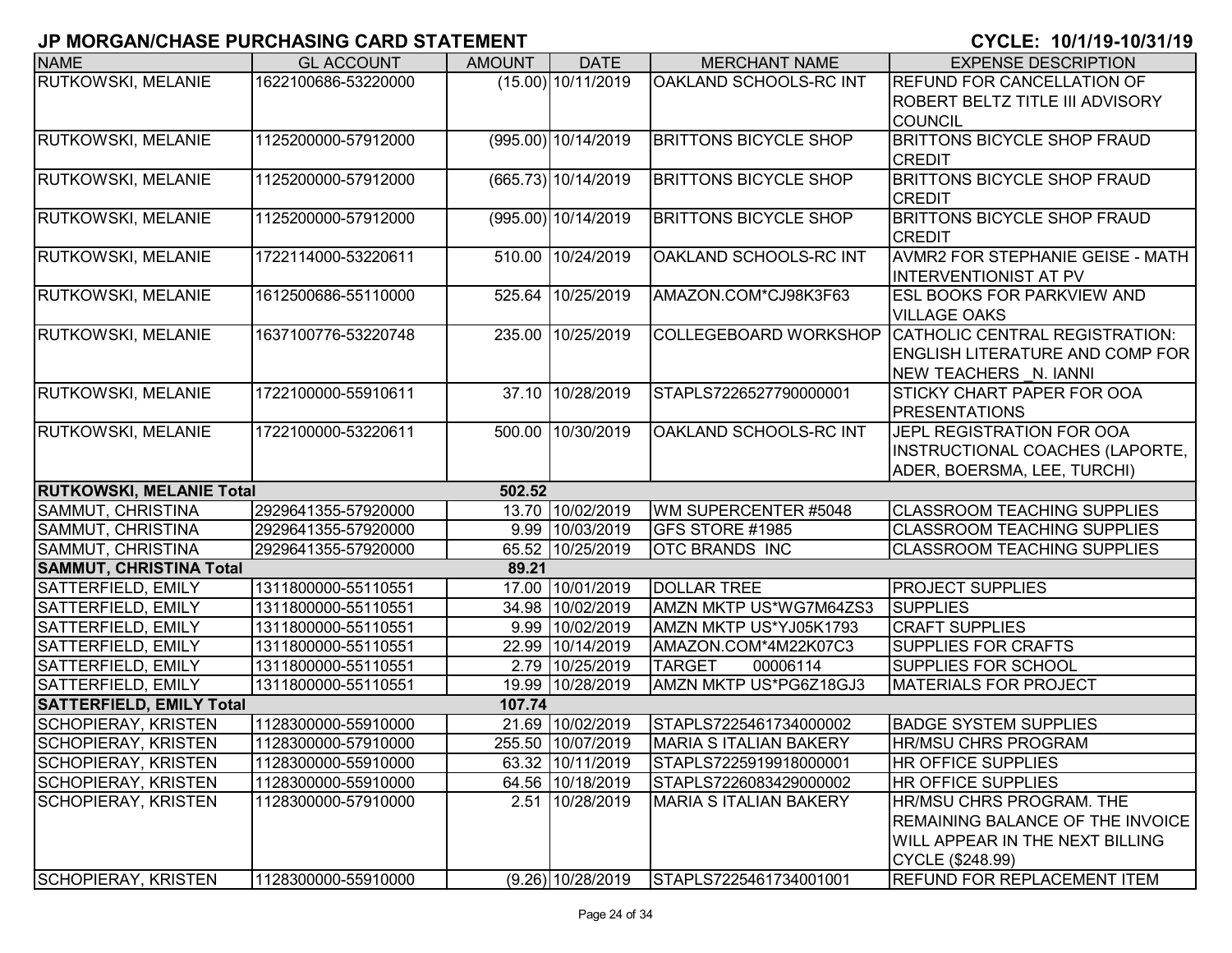| <b>NAME</b>                     | <b>GL ACCOUNT</b>   | <b>AMOUNT</b> | <b>DATE</b>          | <b>MERCHANT NAME</b>           | <b>EXPENSE DESCRIPTION</b>                           |
|---------------------------------|---------------------|---------------|----------------------|--------------------------------|------------------------------------------------------|
| RUTKOWSKI, MELANIE              | 1622100686-53220000 |               | $(15.00)$ 10/11/2019 | OAKLAND SCHOOLS-RC INT         | <b>REFUND FOR CANCELLATION OF</b>                    |
|                                 |                     |               |                      |                                | ROBERT BELTZ TITLE III ADVISORY                      |
|                                 |                     |               |                      |                                | <b>COUNCIL</b>                                       |
| RUTKOWSKI, MELANIE              | 1125200000-57912000 |               | (995.00) 10/14/2019  | <b>BRITTONS BICYCLE SHOP</b>   | <b>BRITTONS BICYCLE SHOP FRAUD</b>                   |
|                                 |                     |               |                      |                                | <b>CREDIT</b>                                        |
| <b>RUTKOWSKI, MELANIE</b>       | 1125200000-57912000 |               | (665.73) 10/14/2019  | <b>BRITTONS BICYCLE SHOP</b>   | <b>BRITTONS BICYCLE SHOP FRAUD</b>                   |
|                                 |                     |               |                      |                                | <b>CREDIT</b>                                        |
| <b>RUTKOWSKI, MELANIE</b>       | 1125200000-57912000 |               | (995.00) 10/14/2019  | <b>BRITTONS BICYCLE SHOP</b>   | <b>BRITTONS BICYCLE SHOP FRAUD</b>                   |
|                                 |                     |               |                      |                                | <b>CREDIT</b>                                        |
| <b>RUTKOWSKI, MELANIE</b>       | 1722114000-53220611 | 510.00        | 10/24/2019           | OAKLAND SCHOOLS-RC INT         | AVMR2 FOR STEPHANIE GEISE - MATH                     |
|                                 |                     |               |                      |                                | <b>INTERVENTIONIST AT PV</b>                         |
| <b>RUTKOWSKI, MELANIE</b>       | 1612500686-55110000 | 525.64        | 10/25/2019           | AMAZON.COM*CJ98K3F63           | <b>ESL BOOKS FOR PARKVIEW AND</b>                    |
|                                 |                     |               |                      |                                | <b>VILLAGE OAKS</b>                                  |
| <b>RUTKOWSKI, MELANIE</b>       | 1637100776-53220748 | 235.00        | 10/25/2019           |                                | COLLEGEBOARD WORKSHOP CATHOLIC CENTRAL REGISTRATION: |
|                                 |                     |               |                      |                                | <b>ENGLISH LITERATURE AND COMP FOR</b>               |
|                                 |                     |               |                      |                                | NEW TEACHERS N. IANNI                                |
| <b>RUTKOWSKI, MELANIE</b>       | 1722100000-55910611 |               | 37.10 10/28/2019     | STAPLS7226527790000001         | <b>STICKY CHART PAPER FOR OOA</b>                    |
|                                 |                     |               |                      |                                | <b>PRESENTATIONS</b>                                 |
| RUTKOWSKI, MELANIE              | 1722100000-53220611 |               | 500.00 10/30/2019    | OAKLAND SCHOOLS-RC INT         | JEPL REGISTRATION FOR OOA                            |
|                                 |                     |               |                      |                                | INSTRUCTIONAL COACHES (LAPORTE,                      |
|                                 |                     |               |                      |                                | ADER, BOERSMA, LEE, TURCHI)                          |
| <b>RUTKOWSKI, MELANIE Total</b> |                     | 502.52        |                      |                                |                                                      |
| <b>SAMMUT, CHRISTINA</b>        | 2929641355-57920000 |               | 13.70 10/02/2019     | WM SUPERCENTER #5048           | <b>CLASSROOM TEACHING SUPPLIES</b>                   |
| SAMMUT, CHRISTINA               | 2929641355-57920000 |               | 9.99 10/03/2019      | GFS STORE #1985                | <b>CLASSROOM TEACHING SUPPLIES</b>                   |
| SAMMUT, CHRISTINA               | 2929641355-57920000 |               | 65.52 10/25/2019     | <b>OTC BRANDS INC</b>          | <b>CLASSROOM TEACHING SUPPLIES</b>                   |
| <b>SAMMUT, CHRISTINA Total</b>  |                     | 89.21         |                      |                                |                                                      |
| SATTERFIELD, EMILY              | 1311800000-55110551 |               | 17.00 10/01/2019     | <b>DOLLAR TREE</b>             | <b>PROJECT SUPPLIES</b>                              |
| <b>SATTERFIELD, EMILY</b>       | 1311800000-55110551 |               | 34.98 10/02/2019     | AMZN MKTP US*WG7M64ZS3         | <b>SUPPLIES</b>                                      |
| <b>SATTERFIELD, EMILY</b>       | 1311800000-55110551 |               | 9.99 10/02/2019      | AMZN MKTP US*YJ05K1793         | <b>CRAFT SUPPLIES</b>                                |
| <b>SATTERFIELD, EMILY</b>       | 1311800000-55110551 |               | 22.99 10/14/2019     | AMAZON.COM*4M22K07C3           | <b>SUPPLIES FOR CRAFTS</b>                           |
| SATTERFIELD, EMILY              | 1311800000-55110551 |               | 2.79 10/25/2019      | <b>TARGET</b><br>00006114      | <b>SUPPLIES FOR SCHOOL</b>                           |
| <b>SATTERFIELD, EMILY</b>       | 1311800000-55110551 |               | 19.99 10/28/2019     | AMZN MKTP US*PG6Z18GJ3         | <b>MATERIALS FOR PROJECT</b>                         |
| <b>SATTERFIELD, EMILY Total</b> |                     | 107.74        |                      |                                |                                                      |
| <b>SCHOPIERAY, KRISTEN</b>      | 1128300000-55910000 |               | 21.69 10/02/2019     | STAPLS7225461734000002         | <b>BADGE SYSTEM SUPPLIES</b>                         |
| SCHOPIERAY, KRISTEN             | 1128300000-57910000 |               | 255.50 10/07/2019    | <b>IMARIA S ITALIAN BAKERY</b> | IHR/MSU CHRS PROGRAM                                 |
| <b>SCHOPIERAY, KRISTEN</b>      | 1128300000-55910000 |               | 63.32 10/11/2019     | STAPLS7225919918000001         | <b>HR OFFICE SUPPLIES</b>                            |
| <b>SCHOPIERAY, KRISTEN</b>      | 1128300000-55910000 |               | 64.56 10/18/2019     | STAPLS7226083429000002         | <b>HR OFFICE SUPPLIES</b>                            |
| <b>SCHOPIERAY, KRISTEN</b>      | 1128300000-57910000 |               | 2.51 10/28/2019      | <b>MARIA S ITALIAN BAKERY</b>  | <b>HR/MSU CHRS PROGRAM. THE</b>                      |
|                                 |                     |               |                      |                                | <b>REMAINING BALANCE OF THE INVOICE</b>              |
|                                 |                     |               |                      |                                | <b>WILL APPEAR IN THE NEXT BILLING</b>               |
|                                 |                     |               |                      |                                | CYCLE (\$248.99)                                     |
| <b>SCHOPIERAY, KRISTEN</b>      | 1128300000-55910000 |               | $(9.26)$ 10/28/2019  | STAPLS7225461734001001         | <b>REFUND FOR REPLACEMENT ITEM</b>                   |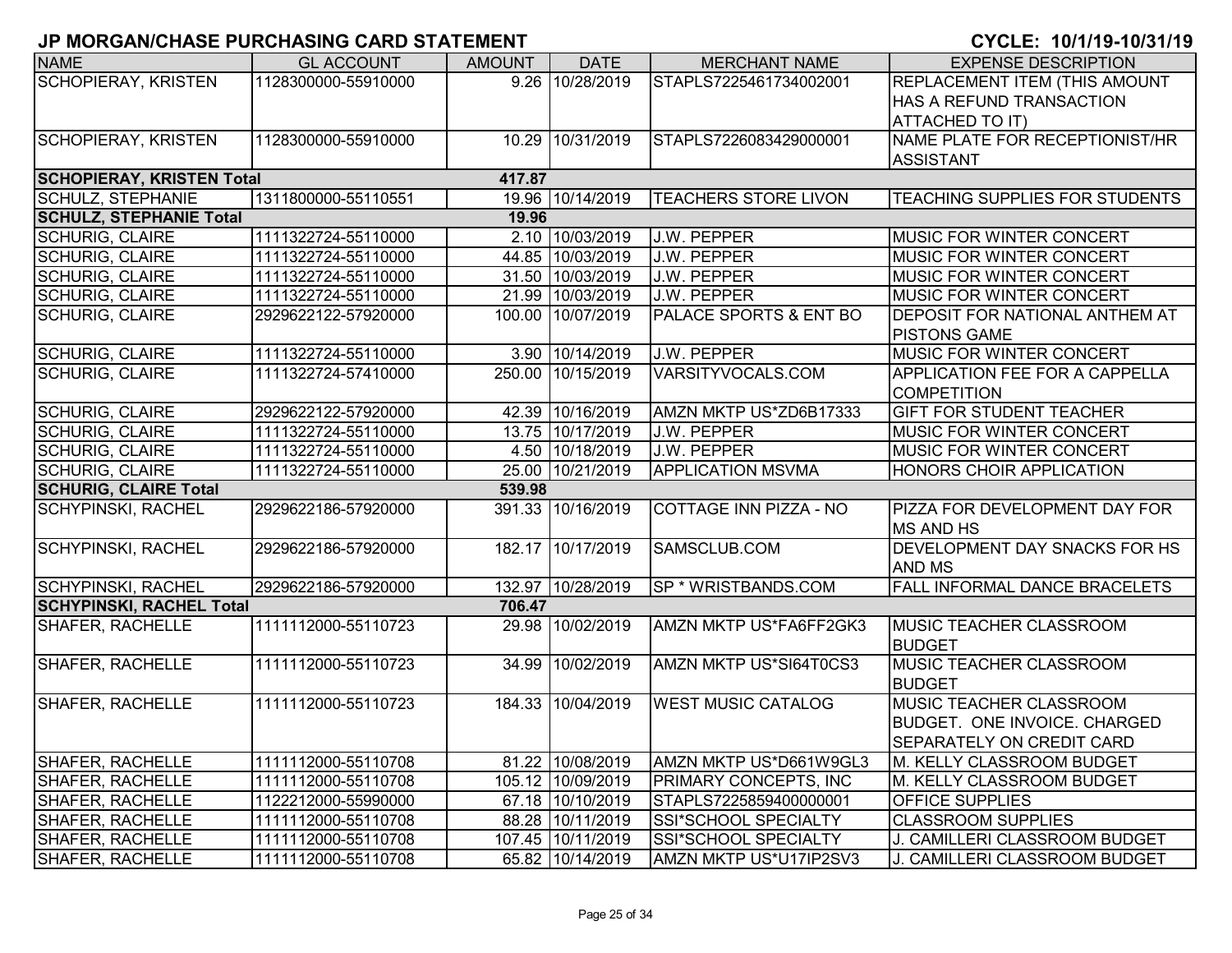| <b>NAME</b>                      | <b>GL ACCOUNT</b>   | <b>AMOUNT</b> | <b>DATE</b>       | <b>MERCHANT NAME</b>         | <b>EXPENSE DESCRIPTION</b>            |
|----------------------------------|---------------------|---------------|-------------------|------------------------------|---------------------------------------|
| <b>SCHOPIERAY, KRISTEN</b>       | 1128300000-55910000 |               | 9.26 10/28/2019   | STAPLS7225461734002001       | <b>REPLACEMENT ITEM (THIS AMOUNT</b>  |
|                                  |                     |               |                   |                              | <b>HAS A REFUND TRANSACTION</b>       |
|                                  |                     |               |                   |                              | <b>ATTACHED TO IT)</b>                |
| <b>SCHOPIERAY, KRISTEN</b>       | 1128300000-55910000 |               | 10.29 10/31/2019  | STAPLS7226083429000001       | NAME PLATE FOR RECEPTIONIST/HR        |
|                                  |                     |               |                   |                              | <b>ASSISTANT</b>                      |
| <b>SCHOPIERAY, KRISTEN Total</b> |                     | 417.87        |                   |                              |                                       |
| <b>SCHULZ, STEPHANIE</b>         | 1311800000-55110551 |               | 19.96 10/14/2019  | <b>TEACHERS STORE LIVON</b>  | TEACHING SUPPLIES FOR STUDENTS        |
| <b>SCHULZ, STEPHANIE Total</b>   |                     | 19.96         |                   |                              |                                       |
| <b>SCHURIG, CLAIRE</b>           | 1111322724-55110000 |               | 2.10 10/03/2019   | J.W. PEPPER                  | <b>MUSIC FOR WINTER CONCERT</b>       |
| <b>SCHURIG, CLAIRE</b>           | 1111322724-55110000 |               | 44.85 10/03/2019  | J.W. PEPPER                  | <b>MUSIC FOR WINTER CONCERT</b>       |
| <b>SCHURIG, CLAIRE</b>           | 1111322724-55110000 |               | 31.50 10/03/2019  | J.W. PEPPER                  | <b>MUSIC FOR WINTER CONCERT</b>       |
| <b>SCHURIG, CLAIRE</b>           | 1111322724-55110000 |               | 21.99 10/03/2019  | J.W. PEPPER                  | <b>MUSIC FOR WINTER CONCERT</b>       |
| <b>SCHURIG, CLAIRE</b>           | 2929622122-57920000 |               | 100.00 10/07/2019 | PALACE SPORTS & ENT BO       | <b>DEPOSIT FOR NATIONAL ANTHEM AT</b> |
|                                  |                     |               |                   |                              | <b>PISTONS GAME</b>                   |
| <b>SCHURIG, CLAIRE</b>           | 1111322724-55110000 |               | 3.90 10/14/2019   | J.W. PEPPER                  | <b>MUSIC FOR WINTER CONCERT</b>       |
| <b>SCHURIG, CLAIRE</b>           | 1111322724-57410000 |               | 250.00 10/15/2019 | VARSITYVOCALS.COM            | <b>APPLICATION FEE FOR A CAPPELLA</b> |
|                                  |                     |               |                   |                              | COMPETITION                           |
| <b>SCHURIG, CLAIRE</b>           | 2929622122-57920000 |               | 42.39 10/16/2019  | AMZN MKTP US*ZD6B17333       | <b>GIFT FOR STUDENT TEACHER</b>       |
| <b>SCHURIG, CLAIRE</b>           | 1111322724-55110000 |               | 13.75 10/17/2019  | <b>J.W. PEPPER</b>           | <b>MUSIC FOR WINTER CONCERT</b>       |
| <b>SCHURIG, CLAIRE</b>           | 1111322724-55110000 |               | 4.50 10/18/2019   | J.W. PEPPER                  | <b>MUSIC FOR WINTER CONCERT</b>       |
| <b>SCHURIG, CLAIRE</b>           | 1111322724-55110000 |               | 25.00 10/21/2019  | <b>APPLICATION MSVMA</b>     | <b>HONORS CHOIR APPLICATION</b>       |
| <b>SCHURIG, CLAIRE Total</b>     |                     | 539.98        |                   |                              |                                       |
| <b>SCHYPINSKI, RACHEL</b>        | 2929622186-57920000 |               | 391.33 10/16/2019 | COTTAGE INN PIZZA - NO       | PIZZA FOR DEVELOPMENT DAY FOR         |
|                                  |                     |               |                   |                              | <b>MS AND HS</b>                      |
| SCHYPINSKI, RACHEL               | 2929622186-57920000 |               | 182.17 10/17/2019 | SAMSCLUB.COM                 | <b>DEVELOPMENT DAY SNACKS FOR HS</b>  |
|                                  |                     |               |                   |                              | <b>AND MS</b>                         |
| <b>SCHYPINSKI, RACHEL</b>        | 2929622186-57920000 |               | 132.97 10/28/2019 | SP * WRISTBANDS.COM          | <b>FALL INFORMAL DANCE BRACELETS</b>  |
| <b>SCHYPINSKI, RACHEL Total</b>  |                     | 706.47        |                   |                              |                                       |
| <b>SHAFER, RACHELLE</b>          | 1111112000-55110723 |               | 29.98 10/02/2019  | AMZN MKTP US*FA6FF2GK3       | <b>MUSIC TEACHER CLASSROOM</b>        |
|                                  |                     |               |                   |                              | <b>BUDGET</b>                         |
| SHAFER, RACHELLE                 | 1111112000-55110723 |               | 34.99 10/02/2019  | AMZN MKTP US*SI64T0CS3       | <b>MUSIC TEACHER CLASSROOM</b>        |
|                                  |                     |               |                   |                              | <b>BUDGET</b>                         |
| SHAFER, RACHELLE                 | 1111112000-55110723 |               | 184.33 10/04/2019 | <b>WEST MUSIC CATALOG</b>    | MUSIC TEACHER CLASSROOM               |
|                                  |                     |               |                   |                              | BUDGET. ONE INVOICE. CHARGED          |
|                                  |                     |               |                   |                              | <b>SEPARATELY ON CREDIT CARD</b>      |
| SHAFER, RACHELLE                 | 1111112000-55110708 |               | 81.22 10/08/2019  | AMZN MKTP US*D661W9GL3       | M. KELLY CLASSROOM BUDGET             |
| <b>SHAFER, RACHELLE</b>          | 1111112000-55110708 |               | 105.12 10/09/2019 | <b>PRIMARY CONCEPTS, INC</b> | M. KELLY CLASSROOM BUDGET             |
| SHAFER, RACHELLE                 | 1122212000-55990000 |               | 67.18 10/10/2019  | STAPLS7225859400000001       | <b>OFFICE SUPPLIES</b>                |
| <b>SHAFER, RACHELLE</b>          | 1111112000-55110708 |               | 88.28 10/11/2019  | SSI*SCHOOL SPECIALTY         | <b>CLASSROOM SUPPLIES</b>             |
| SHAFER, RACHELLE                 | 1111112000-55110708 |               | 107.45 10/11/2019 | SSI*SCHOOL SPECIALTY         | J. CAMILLERI CLASSROOM BUDGET         |
| SHAFER, RACHELLE                 | 1111112000-55110708 |               | 65.82 10/14/2019  | AMZN MKTP US*U17IP2SV3       | J. CAMILLERI CLASSROOM BUDGET         |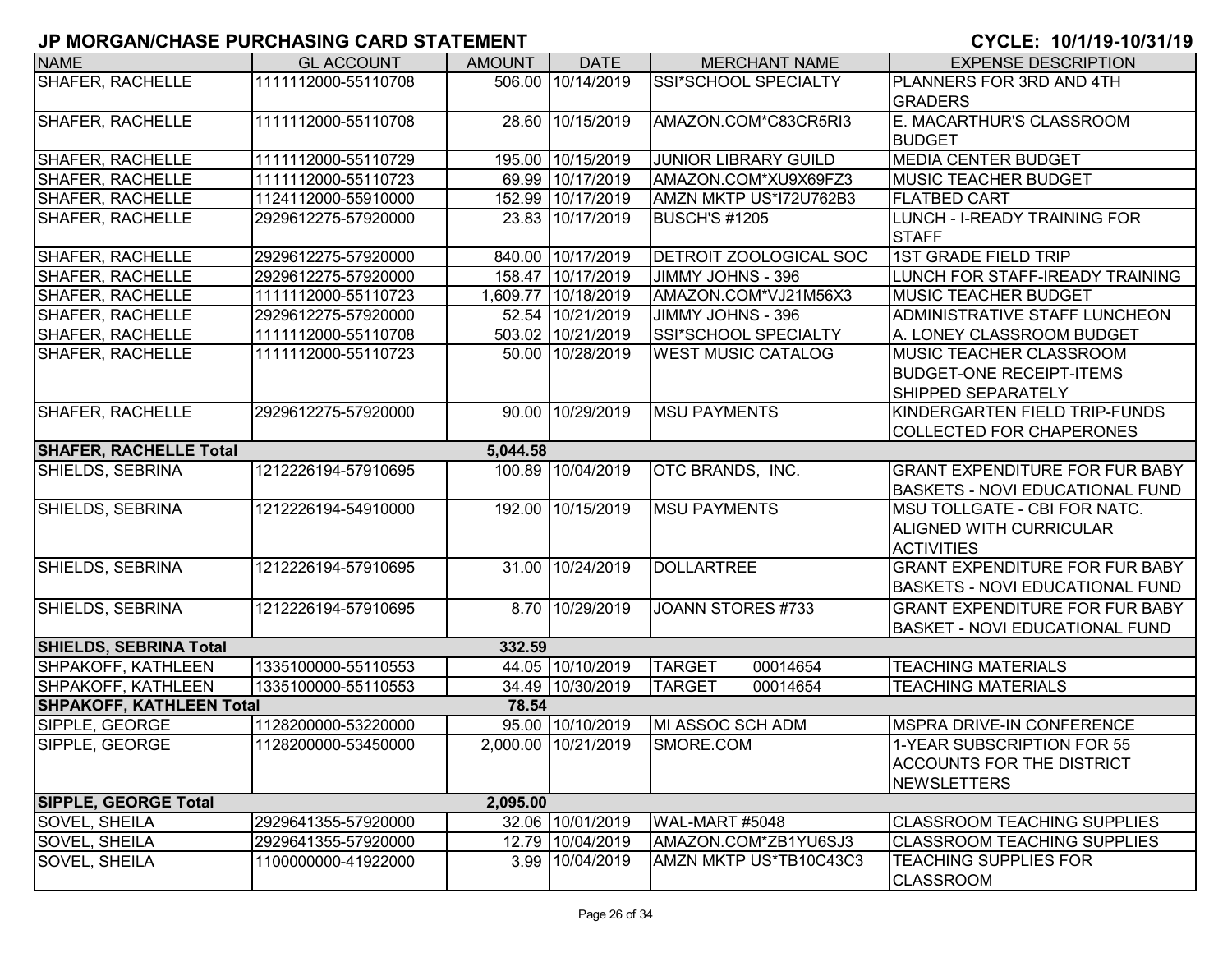| <b>NAME</b>                     | <b>GL ACCOUNT</b>   | <b>AMOUNT</b> | <b>DATE</b>         | <b>MERCHANT NAME</b>          | <b>EXPENSE DESCRIPTION</b>             |
|---------------------------------|---------------------|---------------|---------------------|-------------------------------|----------------------------------------|
| <b>SHAFER, RACHELLE</b>         | 1111112000-55110708 |               | 506.00 10/14/2019   | SSI*SCHOOL SPECIALTY          | PLANNERS FOR 3RD AND 4TH               |
|                                 |                     |               |                     |                               | <b>GRADERS</b>                         |
| <b>SHAFER, RACHELLE</b>         | 1111112000-55110708 |               | 28.60 10/15/2019    | AMAZON.COM*C83CR5RI3          | E. MACARTHUR'S CLASSROOM               |
|                                 |                     |               |                     |                               | <b>BUDGET</b>                          |
| <b>SHAFER, RACHELLE</b>         | 1111112000-55110729 |               | 195.00 10/15/2019   | <b>JUNIOR LIBRARY GUILD</b>   | <b>MEDIA CENTER BUDGET</b>             |
| <b>SHAFER, RACHELLE</b>         | 1111112000-55110723 |               | 69.99 10/17/2019    | AMAZON.COM*XU9X69FZ3          | <b>MUSIC TEACHER BUDGET</b>            |
| <b>SHAFER, RACHELLE</b>         | 1124112000-55910000 | 152.99        | 10/17/2019          | AMZN MKTP US*I72U762B3        | <b>FLATBED CART</b>                    |
| <b>SHAFER, RACHELLE</b>         | 2929612275-57920000 |               | 23.83 10/17/2019    | BUSCH'S #1205                 | LUNCH - I-READY TRAINING FOR           |
|                                 |                     |               |                     |                               | <b>STAFF</b>                           |
| <b>SHAFER, RACHELLE</b>         | 2929612275-57920000 |               | 840.00 10/17/2019   | <b>DETROIT ZOOLOGICAL SOC</b> | <b>1ST GRADE FIELD TRIP</b>            |
| <b>SHAFER, RACHELLE</b>         | 2929612275-57920000 |               | 158.47 10/17/2019   | JIMMY JOHNS - 396             | LUNCH FOR STAFF-IREADY TRAINING        |
| <b>SHAFER, RACHELLE</b>         | 1111112000-55110723 |               | 1,609.77 10/18/2019 | AMAZON.COM*VJ21M56X3          | <b>MUSIC TEACHER BUDGET</b>            |
| SHAFER, RACHELLE                | 2929612275-57920000 |               | 52.54 10/21/2019    | JIMMY JOHNS - 396             | ADMINISTRATIVE STAFF LUNCHEON          |
| SHAFER, RACHELLE                | 1111112000-55110708 |               | 503.02 10/21/2019   | SSI*SCHOOL SPECIALTY          | A. LONEY CLASSROOM BUDGET              |
| SHAFER, RACHELLE                | 1111112000-55110723 |               | 50.00 10/28/2019    | <b>WEST MUSIC CATALOG</b>     | <b>MUSIC TEACHER CLASSROOM</b>         |
|                                 |                     |               |                     |                               | <b>BUDGET-ONE RECEIPT-ITEMS</b>        |
|                                 |                     |               |                     |                               | SHIPPED SEPARATELY                     |
| <b>SHAFER, RACHELLE</b>         | 2929612275-57920000 |               | 90.00 10/29/2019    | <b>MSU PAYMENTS</b>           | KINDERGARTEN FIELD TRIP-FUNDS          |
|                                 |                     |               |                     |                               | <b>COLLECTED FOR CHAPERONES</b>        |
| <b>SHAFER, RACHELLE Total</b>   |                     | 5,044.58      |                     |                               |                                        |
| SHIELDS, SEBRINA                | 1212226194-57910695 |               | 100.89 10/04/2019   | OTC BRANDS, INC.              | <b>GRANT EXPENDITURE FOR FUR BABY</b>  |
|                                 |                     |               |                     |                               | <b>BASKETS - NOVI EDUCATIONAL FUND</b> |
| SHIELDS, SEBRINA                | 1212226194-54910000 |               | 192.00 10/15/2019   | <b>MSU PAYMENTS</b>           | MSU TOLLGATE - CBI FOR NATC.           |
|                                 |                     |               |                     |                               | <b>ALIGNED WITH CURRICULAR</b>         |
|                                 |                     |               |                     |                               | <b>ACTIVITIES</b>                      |
| SHIELDS, SEBRINA                | 1212226194-57910695 |               | 31.00 10/24/2019    | <b>DOLLARTREE</b>             | <b>GRANT EXPENDITURE FOR FUR BABY</b>  |
|                                 |                     |               |                     |                               | <b>BASKETS - NOVI EDUCATIONAL FUND</b> |
| SHIELDS, SEBRINA                | 1212226194-57910695 |               | 8.70 10/29/2019     | JOANN STORES #733             | <b>GRANT EXPENDITURE FOR FUR BABY</b>  |
|                                 |                     |               |                     |                               | <b>BASKET - NOVI EDUCATIONAL FUND</b>  |
| <b>SHIELDS, SEBRINA Total</b>   |                     | 332.59        |                     |                               |                                        |
| <b>SHPAKOFF, KATHLEEN</b>       | 1335100000-55110553 |               | 44.05 10/10/2019    | <b>TARGET</b><br>00014654     | <b>TEACHING MATERIALS</b>              |
| <b>SHPAKOFF, KATHLEEN</b>       | 1335100000-55110553 |               | 34.49 10/30/2019    | <b>TARGET</b><br>00014654     | <b>TEACHING MATERIALS</b>              |
| <b>SHPAKOFF, KATHLEEN Total</b> |                     | 78.54         |                     |                               |                                        |
| SIPPLE, GEORGE                  | 1128200000-53220000 |               | 95.00 10/10/2019    | MI ASSOC SCH ADM              | <b>IMSPRA DRIVE-IN CONFERENCE</b>      |
| SIPPLE, GEORGE                  | 1128200000-53450000 |               | 2,000.00 10/21/2019 | SMORE.COM                     | 11-YEAR SUBSCRIPTION FOR 55            |
|                                 |                     |               |                     |                               | <b>ACCOUNTS FOR THE DISTRICT</b>       |
|                                 |                     |               |                     |                               | NEWSLETTERS                            |
| <b>SIPPLE, GEORGE Total</b>     |                     | 2,095.00      |                     |                               |                                        |
| SOVEL, SHEILA                   | 2929641355-57920000 |               | 32.06 10/01/2019    | WAL-MART #5048                | <b>CLASSROOM TEACHING SUPPLIES</b>     |
| SOVEL, SHEILA                   | 2929641355-57920000 |               | 12.79 10/04/2019    | AMAZON.COM*ZB1YU6SJ3          | <b>CLASSROOM TEACHING SUPPLIES</b>     |
| <b>SOVEL, SHEILA</b>            | 1100000000-41922000 |               | 3.99 10/04/2019     | AMZN MKTP US*TB10C43C3        | <b>TEACHING SUPPLIES FOR</b>           |
|                                 |                     |               |                     |                               | <b>CLASSROOM</b>                       |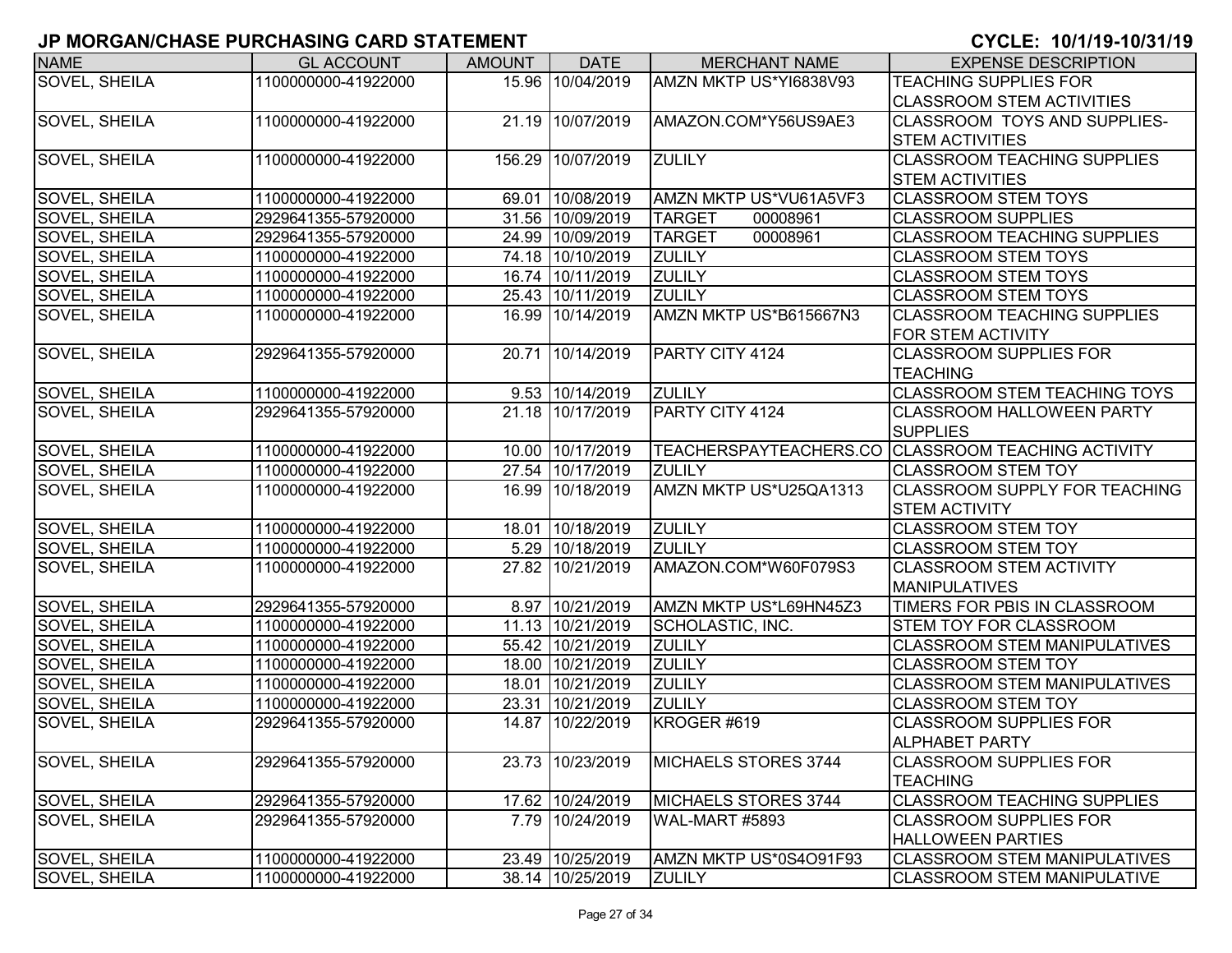| <b>NAME</b>          | <b>GL ACCOUNT</b>   | <b>AMOUNT</b> | <b>DATE</b>       | <b>MERCHANT NAME</b>        | <b>EXPENSE DESCRIPTION</b>                         |
|----------------------|---------------------|---------------|-------------------|-----------------------------|----------------------------------------------------|
| <b>SOVEL, SHEILA</b> | 1100000000-41922000 |               | 15.96 10/04/2019  | AMZN MKTP US*YI6838V93      | <b>TEACHING SUPPLIES FOR</b>                       |
|                      |                     |               |                   |                             | <b>CLASSROOM STEM ACTIVITIES</b>                   |
| <b>SOVEL, SHEILA</b> | 1100000000-41922000 |               | 21.19 10/07/2019  | AMAZON.COM*Y56US9AE3        | <b>CLASSROOM TOYS AND SUPPLIES-</b>                |
|                      |                     |               |                   |                             | <b>STEM ACTIVITIES</b>                             |
| <b>SOVEL, SHEILA</b> | 1100000000-41922000 |               | 156.29 10/07/2019 | <b>ZULILY</b>               | <b>CLASSROOM TEACHING SUPPLIES</b>                 |
|                      |                     |               |                   |                             | <b>STEM ACTIVITIES</b>                             |
| SOVEL, SHEILA        | 1100000000-41922000 |               | 69.01 10/08/2019  | AMZN MKTP US*VU61A5VF3      | <b>CLASSROOM STEM TOYS</b>                         |
| <b>SOVEL, SHEILA</b> | 2929641355-57920000 |               | 31.56 10/09/2019  | <b>TARGET</b><br>00008961   | <b>CLASSROOM SUPPLIES</b>                          |
| SOVEL, SHEILA        | 2929641355-57920000 |               | 24.99 10/09/2019  | <b>TARGET</b><br>00008961   | <b>CLASSROOM TEACHING SUPPLIES</b>                 |
| SOVEL, SHEILA        | 1100000000-41922000 |               | 74.18 10/10/2019  | <b>ZULILY</b>               | <b>CLASSROOM STEM TOYS</b>                         |
| SOVEL, SHEILA        | 1100000000-41922000 |               | 16.74 10/11/2019  | <b>ZULILY</b>               | <b>CLASSROOM STEM TOYS</b>                         |
| SOVEL, SHEILA        | 1100000000-41922000 |               | 25.43 10/11/2019  | <b>ZULILY</b>               | <b>CLASSROOM STEM TOYS</b>                         |
| <b>SOVEL, SHEILA</b> | 1100000000-41922000 |               | 16.99 10/14/2019  | AMZN MKTP US*B615667N3      | <b>CLASSROOM TEACHING SUPPLIES</b>                 |
|                      |                     |               |                   |                             | <b>FOR STEM ACTIVITY</b>                           |
| <b>SOVEL, SHEILA</b> | 2929641355-57920000 |               | 20.71 10/14/2019  | PARTY CITY 4124             | <b>CLASSROOM SUPPLIES FOR</b>                      |
|                      |                     |               |                   |                             | <b>TEACHING</b>                                    |
| SOVEL, SHEILA        | 1100000000-41922000 |               | 9.53 10/14/2019   | <b>ZULILY</b>               | <b>CLASSROOM STEM TEACHING TOYS</b>                |
| <b>SOVEL, SHEILA</b> | 2929641355-57920000 |               | 21.18 10/17/2019  | PARTY CITY 4124             | <b>CLASSROOM HALLOWEEN PARTY</b>                   |
|                      |                     |               |                   |                             | <b>SUPPLIES</b>                                    |
| SOVEL, SHEILA        | 1100000000-41922000 |               | 10.00 10/17/2019  |                             | TEACHERSPAYTEACHERS.CO CLASSROOM TEACHING ACTIVITY |
| <b>SOVEL, SHEILA</b> | 1100000000-41922000 |               | 27.54 10/17/2019  | <b>ZULILY</b>               | <b>CLASSROOM STEM TOY</b>                          |
| SOVEL, SHEILA        | 1100000000-41922000 |               | 16.99 10/18/2019  | AMZN MKTP US*U25QA1313      | <b>CLASSROOM SUPPLY FOR TEACHING</b>               |
|                      |                     |               |                   |                             | <b>STEM ACTIVITY</b>                               |
| SOVEL, SHEILA        | 1100000000-41922000 |               | 18.01 10/18/2019  | <b>ZULILY</b>               | <b>CLASSROOM STEM TOY</b>                          |
| SOVEL, SHEILA        | 1100000000-41922000 |               | 5.29 10/18/2019   | <b>ZULILY</b>               | <b>CLASSROOM STEM TOY</b>                          |
| <b>SOVEL, SHEILA</b> | 1100000000-41922000 |               | 27.82 10/21/2019  | AMAZON.COM*W60F079S3        | <b>CLASSROOM STEM ACTIVITY</b>                     |
|                      |                     |               |                   |                             | <b>MANIPULATIVES</b>                               |
| SOVEL, SHEILA        | 2929641355-57920000 |               | 8.97 10/21/2019   | AMZN MKTP US*L69HN45Z3      | TIMERS FOR PBIS IN CLASSROOM                       |
| SOVEL, SHEILA        | 1100000000-41922000 |               | 11.13 10/21/2019  | SCHOLASTIC, INC.            | <b>STEM TOY FOR CLASSROOM</b>                      |
| SOVEL, SHEILA        | 1100000000-41922000 |               | 55.42 10/21/2019  | <b>ZULILY</b>               | <b>CLASSROOM STEM MANIPULATIVES</b>                |
| <b>SOVEL, SHEILA</b> | 1100000000-41922000 |               | 18.00 10/21/2019  | <b>ZULILY</b>               | <b>CLASSROOM STEM TOY</b>                          |
| SOVEL, SHEILA        | 1100000000-41922000 |               | 18.01 10/21/2019  | <b>ZULILY</b>               | <b>CLASSROOM STEM MANIPULATIVES</b>                |
| SOVEL, SHEILA        | 1100000000-41922000 |               | 23.31 10/21/2019  | <b>ZULILY</b>               | <b>CLASSROOM STEM TOY</b>                          |
| SOVEL, SHEILA        | 2929641355-57920000 |               | 14.87 10/22/2019  | KROGER #619                 | <b>CLASSROOM SUPPLIES FOR</b>                      |
|                      |                     |               |                   |                             | <b>ALPHABET PARTY</b>                              |
| SOVEL, SHEILA        | 2929641355-57920000 |               | 23.73 10/23/2019  | MICHAELS STORES 3744        | <b>CLASSROOM SUPPLIES FOR</b>                      |
|                      |                     |               |                   |                             | <b>TEACHING</b>                                    |
| <b>SOVEL, SHEILA</b> | 2929641355-57920000 |               | 17.62 10/24/2019  | <b>MICHAELS STORES 3744</b> | <b>CLASSROOM TEACHING SUPPLIES</b>                 |
| <b>SOVEL, SHEILA</b> | 2929641355-57920000 |               | 7.79 10/24/2019   | WAL-MART #5893              | <b>CLASSROOM SUPPLIES FOR</b>                      |
|                      |                     |               |                   |                             | <b>HALLOWEEN PARTIES</b>                           |
| SOVEL, SHEILA        | 1100000000-41922000 |               | 23.49 10/25/2019  | AMZN MKTP US*0S4O91F93      | <b>CLASSROOM STEM MANIPULATIVES</b>                |
| SOVEL, SHEILA        | 1100000000-41922000 |               | 38.14 10/25/2019  | <b>ZULILY</b>               | <b>CLASSROOM STEM MANIPULATIVE</b>                 |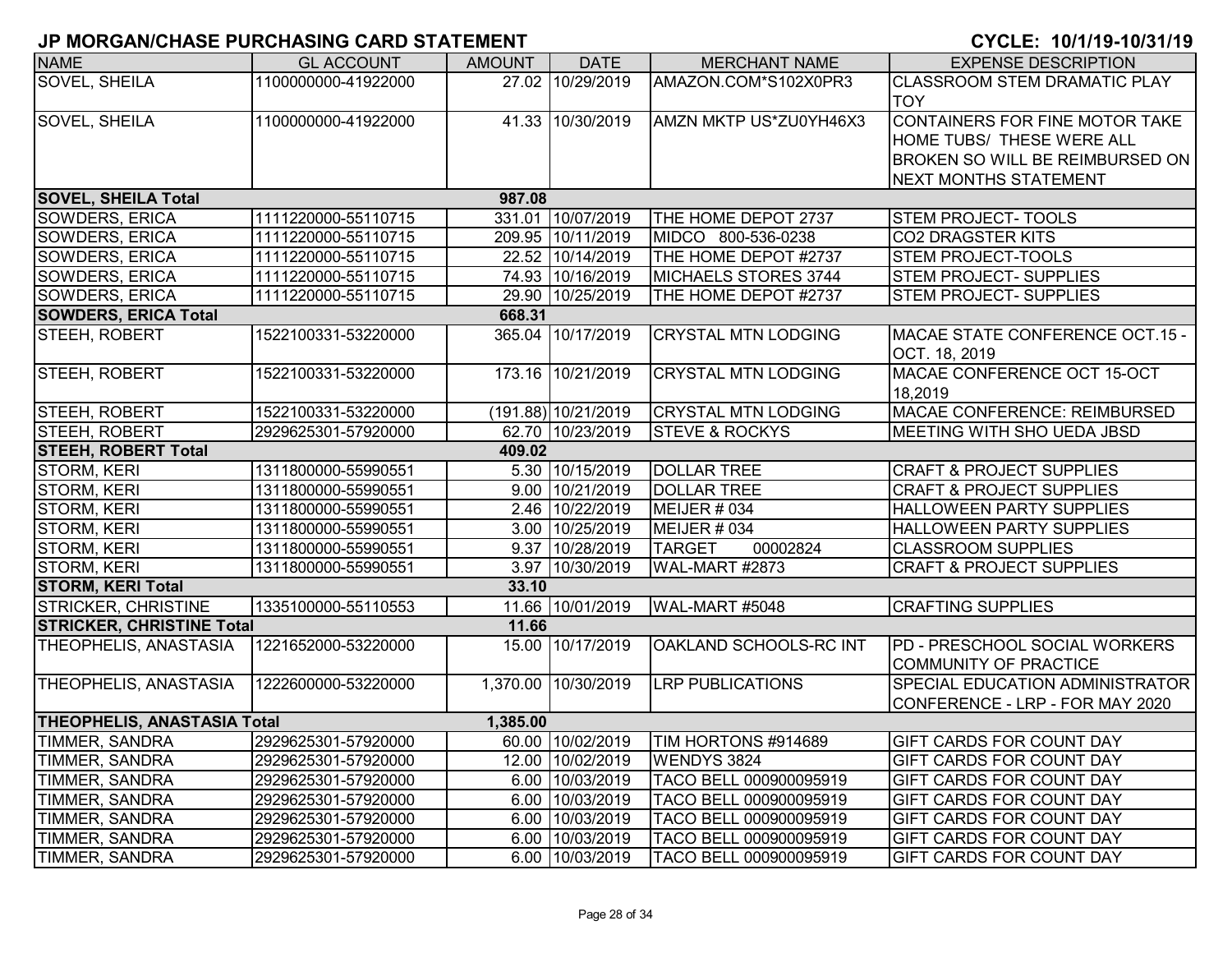| <b>NAME</b>                        | <b>GL ACCOUNT</b>   | <b>AMOUNT</b> | <b>DATE</b>         | <b>MERCHANT NAME</b>        | <b>EXPENSE DESCRIPTION</b>             |
|------------------------------------|---------------------|---------------|---------------------|-----------------------------|----------------------------------------|
| SOVEL, SHEILA                      | 1100000000-41922000 |               | 27.02 10/29/2019    | AMAZON.COM*S102X0PR3        | <b>CLASSROOM STEM DRAMATIC PLAY</b>    |
|                                    |                     |               |                     |                             | <b>TOY</b>                             |
| SOVEL, SHEILA                      | 1100000000-41922000 |               | 41.33 10/30/2019    | AMZN MKTP US*ZU0YH46X3      | CONTAINERS FOR FINE MOTOR TAKE         |
|                                    |                     |               |                     |                             | HOME TUBS/ THESE WERE ALL              |
|                                    |                     |               |                     |                             | BROKEN SO WILL BE REIMBURSED ON        |
|                                    |                     |               |                     |                             | <b>NEXT MONTHS STATEMENT</b>           |
| <b>SOVEL, SHEILA Total</b>         |                     | 987.08        |                     |                             |                                        |
| <b>SOWDERS, ERICA</b>              | 1111220000-55110715 |               | 331.01 10/07/2019   | THE HOME DEPOT 2737         | <b>STEM PROJECT-TOOLS</b>              |
| SOWDERS, ERICA                     | 1111220000-55110715 |               | 209.95 10/11/2019   | MIDCO 800-536-0238          | CO2 DRAGSTER KITS                      |
| SOWDERS, ERICA                     | 1111220000-55110715 |               | 22.52 10/14/2019    | THE HOME DEPOT #2737        | <b>STEM PROJECT-TOOLS</b>              |
| <b>SOWDERS, ERICA</b>              | 1111220000-55110715 |               | 74.93 10/16/2019    | <b>MICHAELS STORES 3744</b> | <b>STEM PROJECT- SUPPLIES</b>          |
| <b>SOWDERS, ERICA</b>              | 1111220000-55110715 |               | 29.90 10/25/2019    | THE HOME DEPOT #2737        | <b>STEM PROJECT- SUPPLIES</b>          |
| <b>SOWDERS, ERICA Total</b>        |                     | 668.31        |                     |                             |                                        |
| <b>STEEH, ROBERT</b>               | 1522100331-53220000 |               | 365.04 10/17/2019   | <b>CRYSTAL MTN LODGING</b>  | MACAE STATE CONFERENCE OCT.15 -        |
|                                    |                     |               |                     |                             | OCT. 18, 2019                          |
| STEEH, ROBERT                      | 1522100331-53220000 |               | 173.16 10/21/2019   | <b>CRYSTAL MTN LODGING</b>  | MACAE CONFERENCE OCT 15-OCT            |
|                                    |                     |               |                     |                             | 18.2019                                |
| STEEH, ROBERT                      | 1522100331-53220000 |               | (191.88) 10/21/2019 | <b>CRYSTAL MTN LODGING</b>  | MACAE CONFERENCE: REIMBURSED           |
| STEEH, ROBERT                      | 2929625301-57920000 |               | 62.70 10/23/2019    | <b>STEVE &amp; ROCKYS</b>   | <b>MEETING WITH SHO UEDA JBSD</b>      |
| <b>STEEH, ROBERT Total</b>         |                     | 409.02        |                     |                             |                                        |
| STORM, KERI                        | 1311800000-55990551 |               | 5.30 10/15/2019     | <b>DOLLAR TREE</b>          | <b>CRAFT &amp; PROJECT SUPPLIES</b>    |
| STORM, KERI                        | 1311800000-55990551 |               | 9.00 10/21/2019     | <b>DOLLAR TREE</b>          | <b>CRAFT &amp; PROJECT SUPPLIES</b>    |
| STORM, KERI                        | 1311800000-55990551 |               | 2.46 10/22/2019     | MEIJER # 034                | <b>HALLOWEEN PARTY SUPPLIES</b>        |
| <b>STORM, KERI</b>                 | 1311800000-55990551 |               | 3.00 10/25/2019     | MEIJER # 034                | <b>HALLOWEEN PARTY SUPPLIES</b>        |
| <b>STORM, KERI</b>                 | 1311800000-55990551 |               | 9.37 10/28/2019     | <b>TARGET</b><br>00002824   | <b>CLASSROOM SUPPLIES</b>              |
| <b>STORM, KERI</b>                 | 1311800000-55990551 |               | 3.97 10/30/2019     | WAL-MART #2873              | <b>CRAFT &amp; PROJECT SUPPLIES</b>    |
| <b>STORM, KERI Total</b>           |                     | 33.10         |                     |                             |                                        |
| <b>STRICKER, CHRISTINE</b>         | 1335100000-55110553 |               | 11.66 10/01/2019    | WAL-MART #5048              | <b>CRAFTING SUPPLIES</b>               |
| <b>STRICKER, CHRISTINE Total</b>   |                     | 11.66         |                     |                             |                                        |
| THEOPHELIS, ANASTASIA              | 1221652000-53220000 |               | 15.00 10/17/2019    | OAKLAND SCHOOLS-RC INT      | PD - PRESCHOOL SOCIAL WORKERS          |
|                                    |                     |               |                     |                             | COMMUNITY OF PRACTICE                  |
| THEOPHELIS, ANASTASIA              | 1222600000-53220000 |               | 1,370.00 10/30/2019 | <b>LRP PUBLICATIONS</b>     | <b>SPECIAL EDUCATION ADMINISTRATOR</b> |
|                                    |                     |               |                     |                             | CONFERENCE - LRP - FOR MAY 2020        |
| <b>THEOPHELIS, ANASTASIA Total</b> |                     | 1,385.00      |                     |                             |                                        |
| <b>TIMMER, SANDRA</b>              | 2929625301-57920000 |               | 60.00 10/02/2019    | TIM HORTONS #914689         | <b>GIFT CARDS FOR COUNT DAY</b>        |
| <b>TIMMER, SANDRA</b>              | 2929625301-57920000 |               | 12.00 10/02/2019    | <b>WENDYS 3824</b>          | <b>GIFT CARDS FOR COUNT DAY</b>        |
| <b>TIMMER, SANDRA</b>              | 2929625301-57920000 |               | 6.00 10/03/2019     | TACO BELL 000900095919      | <b>GIFT CARDS FOR COUNT DAY</b>        |
| <b>TIMMER, SANDRA</b>              | 2929625301-57920000 |               | 6.00 10/03/2019     | TACO BELL 000900095919      | <b>GIFT CARDS FOR COUNT DAY</b>        |
| <b>TIMMER, SANDRA</b>              | 2929625301-57920000 |               | 6.00 10/03/2019     | TACO BELL 000900095919      | <b>GIFT CARDS FOR COUNT DAY</b>        |
| <b>TIMMER, SANDRA</b>              | 2929625301-57920000 |               | 6.00 10/03/2019     | TACO BELL 000900095919      | <b>GIFT CARDS FOR COUNT DAY</b>        |
| <b>TIMMER, SANDRA</b>              | 2929625301-57920000 |               | 6.00 10/03/2019     | TACO BELL 000900095919      | <b>GIFT CARDS FOR COUNT DAY</b>        |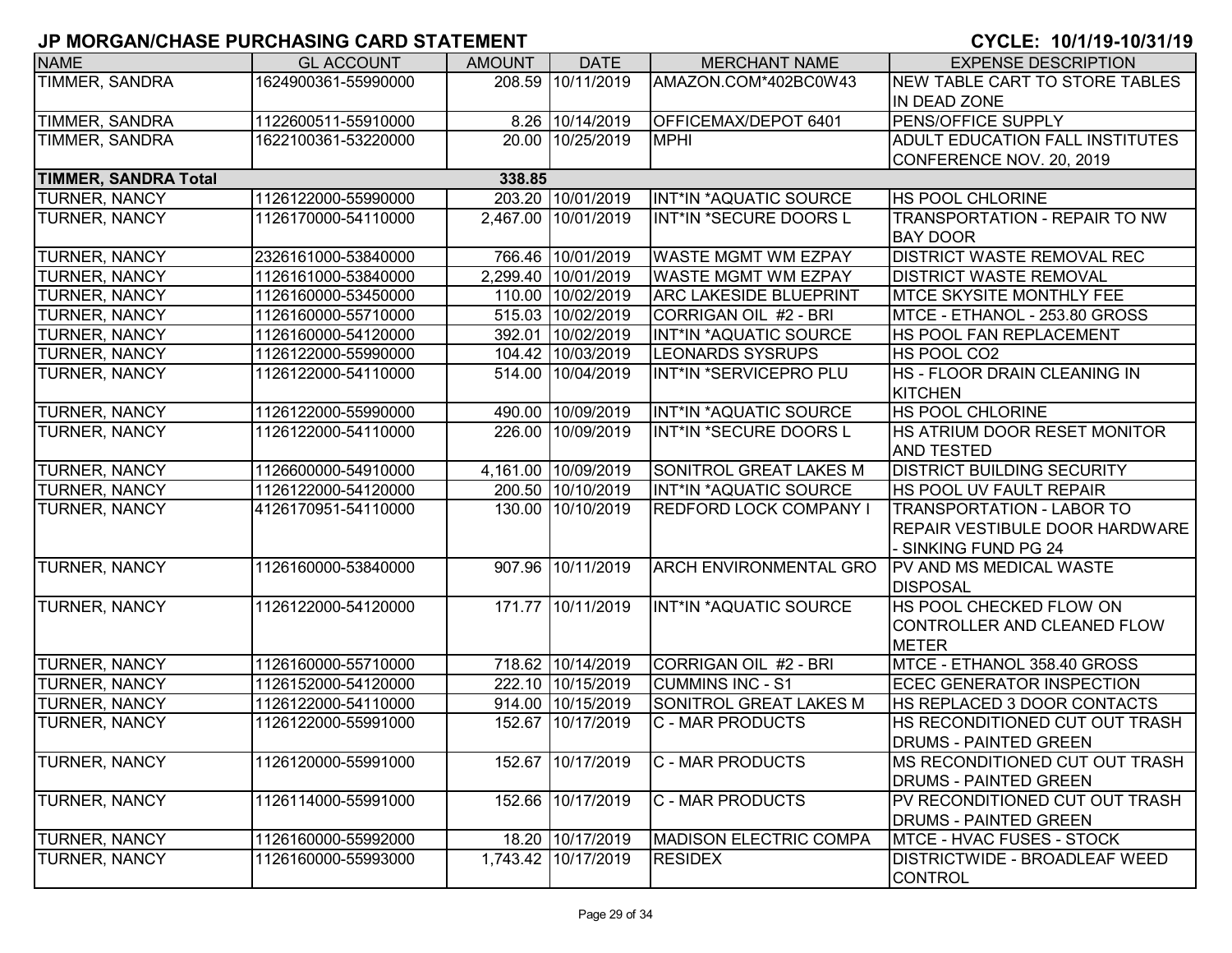| <b>NAME</b>                 | <b>GL ACCOUNT</b>   | <b>AMOUNT</b> | <b>DATE</b>         | <b>MERCHANT NAME</b>          | <b>EXPENSE DESCRIPTION</b>             |
|-----------------------------|---------------------|---------------|---------------------|-------------------------------|----------------------------------------|
| TIMMER, SANDRA              | 1624900361-55990000 |               | 208.59 10/11/2019   | AMAZON.COM*402BC0W43          | NEW TABLE CART TO STORE TABLES         |
|                             |                     |               |                     |                               | IN DEAD ZONE                           |
| TIMMER, SANDRA              | 1122600511-55910000 |               | 8.26 10/14/2019     | <b>OFFICEMAX/DEPOT 6401</b>   | PENS/OFFICE SUPPLY                     |
| <b>TIMMER, SANDRA</b>       | 1622100361-53220000 |               | 20.00 10/25/2019    | <b>MPHI</b>                   | <b>ADULT EDUCATION FALL INSTITUTES</b> |
|                             |                     |               |                     |                               | CONFERENCE NOV. 20, 2019               |
| <b>TIMMER, SANDRA Total</b> |                     | 338.85        |                     |                               |                                        |
| TURNER, NANCY               | 1126122000-55990000 |               | 203.20 10/01/2019   | INT*IN *AQUATIC SOURCE        | <b>HS POOL CHLORINE</b>                |
| TURNER, NANCY               | 1126170000-54110000 |               | 2,467.00 10/01/2019 | INT*IN *SECURE DOORS L        | <b>TRANSPORTATION - REPAIR TO NW</b>   |
|                             |                     |               |                     |                               | <b>BAY DOOR</b>                        |
| TURNER, NANCY               | 2326161000-53840000 |               | 766.46 10/01/2019   | <b>WASTE MGMT WM EZPAY</b>    | <b>DISTRICT WASTE REMOVAL REC</b>      |
| TURNER, NANCY               | 1126161000-53840000 |               | 2,299.40 10/01/2019 | <b>WASTE MGMT WM EZPAY</b>    | <b>DISTRICT WASTE REMOVAL</b>          |
| TURNER, NANCY               | 1126160000-53450000 |               | 110.00 10/02/2019   | <b>ARC LAKESIDE BLUEPRINT</b> | <b>MTCE SKYSITE MONTHLY FEE</b>        |
| TURNER, NANCY               | 1126160000-55710000 |               | 515.03 10/02/2019   | CORRIGAN OIL #2 - BRI         | MTCE - ETHANOL - 253.80 GROSS          |
| TURNER, NANCY               | 1126160000-54120000 |               | 392.01 10/02/2019   | <b>INT*IN *AQUATIC SOURCE</b> | HS POOL FAN REPLACEMENT                |
| TURNER, NANCY               | 1126122000-55990000 |               | 104.42 10/03/2019   | <b>LEONARDS SYSRUPS</b>       | HS POOL CO2                            |
| <b>TURNER, NANCY</b>        | 1126122000-54110000 |               | 514.00 10/04/2019   | IINT*IN *SERVICEPRO PLU       | HS - FLOOR DRAIN CLEANING IN           |
|                             |                     |               |                     |                               | <b>KITCHEN</b>                         |
| <b>TURNER, NANCY</b>        | 1126122000-55990000 |               | 490.00 10/09/2019   | INT*IN *AQUATIC SOURCE        | <b>HS POOL CHLORINE</b>                |
| TURNER, NANCY               | 1126122000-54110000 |               | 226.00 10/09/2019   | INT*IN *SECURE DOORS L        | HS ATRIUM DOOR RESET MONITOR           |
|                             |                     |               |                     |                               | <b>AND TESTED</b>                      |
| TURNER, NANCY               | 1126600000-54910000 |               | 4,161.00 10/09/2019 | SONITROL GREAT LAKES M        | <b>DISTRICT BUILDING SECURITY</b>      |
| TURNER, NANCY               | 1126122000-54120000 |               | 200.50 10/10/2019   | INT*IN *AQUATIC SOURCE        | HS POOL UV FAULT REPAIR                |
| TURNER, NANCY               | 4126170951-54110000 |               | 130.00 10/10/2019   | <b>REDFORD LOCK COMPANY I</b> | TRANSPORTATION - LABOR TO              |
|                             |                     |               |                     |                               | REPAIR VESTIBULE DOOR HARDWARE         |
|                             |                     |               |                     |                               | SINKING FUND PG 24                     |
| <b>TURNER, NANCY</b>        | 1126160000-53840000 |               | 907.96 10/11/2019   | <b>ARCH ENVIRONMENTAL GRO</b> | <b>PV AND MS MEDICAL WASTE</b>         |
|                             |                     |               |                     |                               | <b>DISPOSAL</b>                        |
| <b>TURNER, NANCY</b>        | 1126122000-54120000 |               | 171.77 10/11/2019   | INT*IN *AQUATIC SOURCE        | HS POOL CHECKED FLOW ON                |
|                             |                     |               |                     |                               | CONTROLLER AND CLEANED FLOW            |
|                             |                     |               |                     |                               | <b>METER</b>                           |
| <b>TURNER, NANCY</b>        | 1126160000-55710000 |               | 718.62 10/14/2019   | CORRIGAN OIL #2 - BRI         | MTCE - ETHANOL 358.40 GROSS            |
| TURNER, NANCY               | 1126152000-54120000 |               | 222.10 10/15/2019   | <b>CUMMINS INC - S1</b>       | <b>ECEC GENERATOR INSPECTION</b>       |
| TURNER, NANCY               | 1126122000-54110000 |               | 914.00 10/15/2019   | SONITROL GREAT LAKES M        | HS REPLACED 3 DOOR CONTACTS            |
| TURNER, NANCY               | 1126122000-55991000 | 152.67        | 10/17/2019          | <b>C - MAR PRODUCTS</b>       | HS RECONDITIONED CUT OUT TRASH         |
|                             |                     |               |                     |                               | <b>DRUMS - PAINTED GREEN</b>           |
|                             | 1126120000-55991000 |               |                     | <b>C - MAR PRODUCTS</b>       |                                        |
| <b>TURNER, NANCY</b>        |                     |               | 152.67 10/17/2019   |                               | MS RECONDITIONED CUT OUT TRASH         |
|                             |                     |               |                     |                               | <b>DRUMS - PAINTED GREEN</b>           |
| <b>TURNER, NANCY</b>        | 1126114000-55991000 |               | 152.66 10/17/2019   | C - MAR PRODUCTS              | PV RECONDITIONED CUT OUT TRASH         |
|                             |                     |               |                     |                               | <b>DRUMS - PAINTED GREEN</b>           |
| <b>TURNER, NANCY</b>        | 1126160000-55992000 |               | 18.20 10/17/2019    | <b>MADISON ELECTRIC COMPA</b> | MTCE - HVAC FUSES - STOCK              |
| TURNER, NANCY               | 1126160000-55993000 |               | 1,743.42 10/17/2019 | <b>RESIDEX</b>                | <b>DISTRICTWIDE - BROADLEAF WEED</b>   |
|                             |                     |               |                     |                               | <b>CONTROL</b>                         |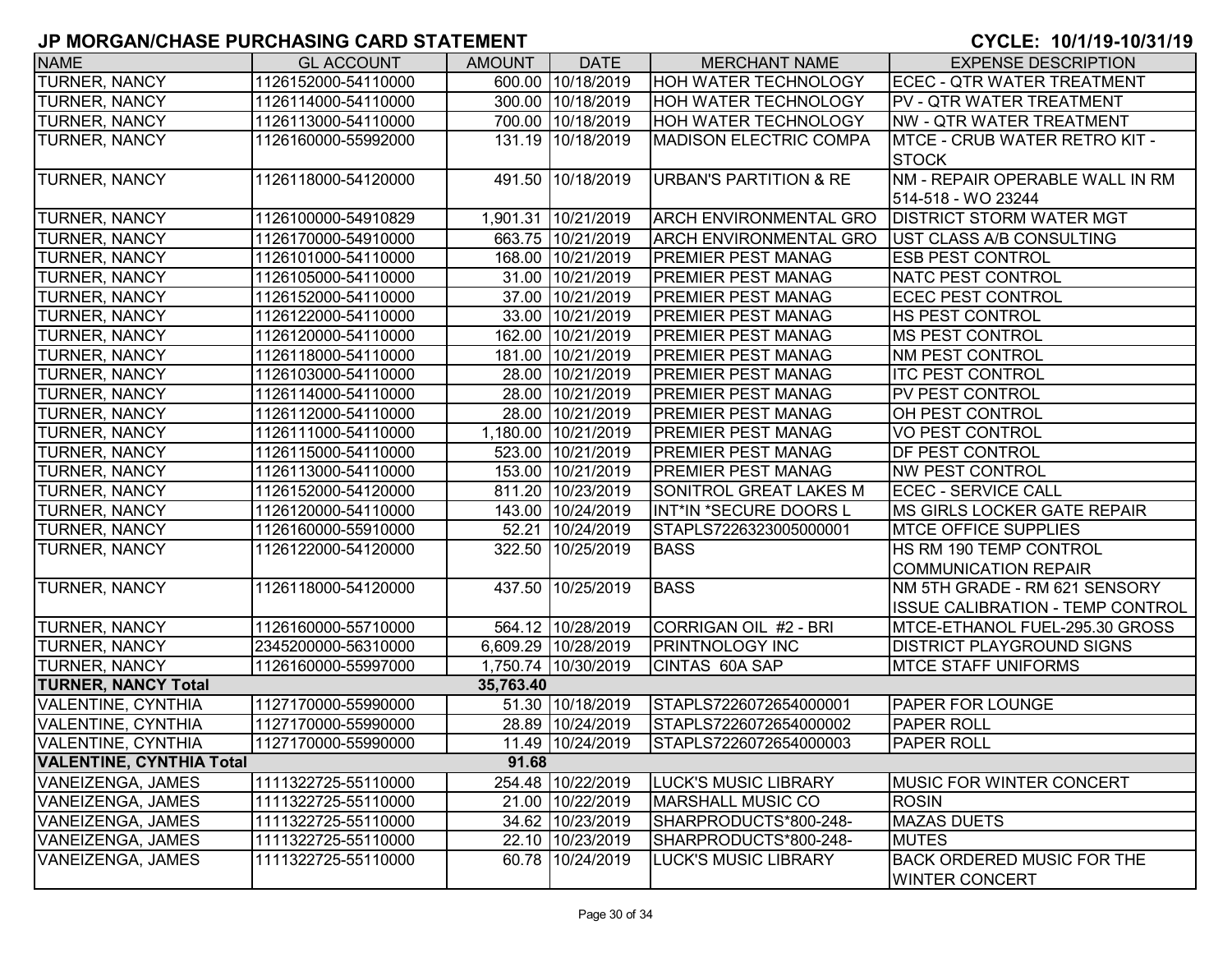| <b>NAME</b>                     | <b>GL ACCOUNT</b>   | <b>AMOUNT</b> | <b>DATE</b>         | <b>MERCHANT NAME</b>              | <b>EXPENSE DESCRIPTION</b>                                 |
|---------------------------------|---------------------|---------------|---------------------|-----------------------------------|------------------------------------------------------------|
| <b>TURNER, NANCY</b>            | 1126152000-54110000 |               | 600.00 10/18/2019   | <b>HOH WATER TECHNOLOGY</b>       | <b>ECEC - QTR WATER TREATMENT</b>                          |
| <b>TURNER, NANCY</b>            | 1126114000-54110000 |               | 300.00 10/18/2019   | HOH WATER TECHNOLOGY              | PV - QTR WATER TREATMENT                                   |
| TURNER, NANCY                   | 1126113000-54110000 |               | 700.00 10/18/2019   | HOH WATER TECHNOLOGY              | <b>NW - QTR WATER TREATMENT</b>                            |
| TURNER, NANCY                   | 1126160000-55992000 |               | 131.19 10/18/2019   | <b>MADISON ELECTRIC COMPA</b>     | <b>MTCE - CRUB WATER RETRO KIT -</b>                       |
|                                 |                     |               |                     |                                   | <b>STOCK</b>                                               |
| <b>TURNER, NANCY</b>            | 1126118000-54120000 |               | 491.50 10/18/2019   | <b>URBAN'S PARTITION &amp; RE</b> | NM - REPAIR OPERABLE WALL IN RM                            |
|                                 |                     |               |                     |                                   | 514-518 - WO 23244                                         |
| <b>TURNER, NANCY</b>            | 1126100000-54910829 |               | 1,901.31 10/21/2019 | <b>ARCH ENVIRONMENTAL GRO</b>     | <b>DISTRICT STORM WATER MGT</b>                            |
| TURNER, NANCY                   | 1126170000-54910000 |               | 663.75 10/21/2019   | <b>ARCH ENVIRONMENTAL GRO</b>     | UST CLASS A/B CONSULTING                                   |
| TURNER, NANCY                   | 1126101000-54110000 |               | 168.00 10/21/2019   | PREMIER PEST MANAG                | <b>ESB PEST CONTROL</b>                                    |
| TURNER, NANCY                   | 1126105000-54110000 |               | 31.00 10/21/2019    | <b>PREMIER PEST MANAG</b>         | <b>NATC PEST CONTROL</b>                                   |
| <b>TURNER, NANCY</b>            | 1126152000-54110000 |               | 37.00 10/21/2019    | <b>PREMIER PEST MANAG</b>         | <b>ECEC PEST CONTROL</b>                                   |
| TURNER, NANCY                   | 1126122000-54110000 |               | 33.00 10/21/2019    | <b>PREMIER PEST MANAG</b>         | HS PEST CONTROL                                            |
| TURNER, NANCY                   | 1126120000-54110000 |               | 162.00 10/21/2019   | PREMIER PEST MANAG                | <b>MS PEST CONTROL</b>                                     |
| <b>TURNER, NANCY</b>            | 1126118000-54110000 | 181.00        | 10/21/2019          | PREMIER PEST MANAG                | NM PEST CONTROL                                            |
| TURNER, NANCY                   | 1126103000-54110000 | 28.00         | 10/21/2019          | PREMIER PEST MANAG                | <b>ITC PEST CONTROL</b>                                    |
| TURNER, NANCY                   | 1126114000-54110000 | 28.00         | 10/21/2019          | PREMIER PEST MANAG                | PV PEST CONTROL                                            |
| <b>TURNER, NANCY</b>            | 1126112000-54110000 |               | 28.00 10/21/2019    | <b>PREMIER PEST MANAG</b>         | OH PEST CONTROL                                            |
| TURNER, NANCY                   | 1126111000-54110000 |               | 1,180.00 10/21/2019 | <b>PREMIER PEST MANAG</b>         | <b>VO PEST CONTROL</b>                                     |
| TURNER, NANCY                   | 1126115000-54110000 |               | 523.00 10/21/2019   | <b>PREMIER PEST MANAG</b>         | <b>DF PEST CONTROL</b>                                     |
| <b>TURNER, NANCY</b>            | 1126113000-54110000 |               | 153.00 10/21/2019   | PREMIER PEST MANAG                | <b>NW PEST CONTROL</b>                                     |
| <b>TURNER, NANCY</b>            | 1126152000-54120000 |               | 811.20 10/23/2019   | SONITROL GREAT LAKES M            | <b>ECEC - SERVICE CALL</b>                                 |
| <b>TURNER, NANCY</b>            | 1126120000-54110000 |               | 143.00 10/24/2019   | INT*IN *SECURE DOORS L            | <b>MS GIRLS LOCKER GATE REPAIR</b>                         |
| <b>TURNER, NANCY</b>            | 1126160000-55910000 |               | 52.21 10/24/2019    | STAPLS7226323005000001            | <b>MTCE OFFICE SUPPLIES</b>                                |
| TURNER, NANCY                   | 1126122000-54120000 | 322.50        | 10/25/2019          | <b>BASS</b>                       | HS RM 190 TEMP CONTROL                                     |
|                                 |                     |               |                     |                                   | <b>COMMUNICATION REPAIR</b>                                |
| TURNER, NANCY                   | 1126118000-54120000 | 437.50        | 10/25/2019          | <b>BASS</b>                       | NM 5TH GRADE - RM 621 SENSORY                              |
|                                 |                     |               |                     |                                   | <b>ISSUE CALIBRATION - TEMP CONTROL</b>                    |
| TURNER, NANCY                   | 1126160000-55710000 |               | 564.12 10/28/2019   | CORRIGAN OIL #2 - BRI             | MTCE-ETHANOL FUEL-295.30 GROSS                             |
| TURNER, NANCY                   | 2345200000-56310000 |               | 6,609.29 10/28/2019 | PRINTNOLOGY INC                   | <b>DISTRICT PLAYGROUND SIGNS</b>                           |
| TURNER, NANCY                   | 1126160000-55997000 |               | 1,750.74 10/30/2019 | CINTAS 60A SAP                    | <b>MTCE STAFF UNIFORMS</b>                                 |
| <b>TURNER, NANCY Total</b>      |                     | 35,763.40     |                     |                                   |                                                            |
| <b>VALENTINE, CYNTHIA</b>       | 1127170000-55990000 |               | 51.30 10/18/2019    | STAPLS7226072654000001            | <b>PAPER FOR LOUNGE</b>                                    |
| <b>VALENTINE, CYNTHIA</b>       | 1127170000-55990000 |               | 28.89 10/24/2019    | STAPLS7226072654000002            | <b>PAPER ROLL</b>                                          |
| <b>VALENTINE, CYNTHIA</b>       | 1127170000-55990000 |               | 11.49 10/24/2019    | STAPLS7226072654000003            | <b>PAPER ROLL</b>                                          |
| <b>VALENTINE, CYNTHIA Total</b> |                     | 91.68         |                     |                                   |                                                            |
| VANEIZENGA, JAMES               | 1111322725-55110000 |               | 254.48 10/22/2019   | <b>LUCK'S MUSIC LIBRARY</b>       | <b>MUSIC FOR WINTER CONCERT</b>                            |
| VANEIZENGA, JAMES               | 1111322725-55110000 |               | 21.00 10/22/2019    | <b>MARSHALL MUSIC CO</b>          | <b>ROSIN</b>                                               |
| <b>VANEIZENGA, JAMES</b>        | 1111322725-55110000 |               | 34.62 10/23/2019    | SHARPRODUCTS*800-248-             | <b>MAZAS DUETS</b>                                         |
| VANEIZENGA, JAMES               | 1111322725-55110000 |               | 22.10 10/23/2019    | SHARPRODUCTS*800-248-             | <b>MUTES</b>                                               |
| VANEIZENGA, JAMES               | 1111322725-55110000 |               | 60.78 10/24/2019    | <b>LUCK'S MUSIC LIBRARY</b>       | <b>BACK ORDERED MUSIC FOR THE</b><br><b>WINTER CONCERT</b> |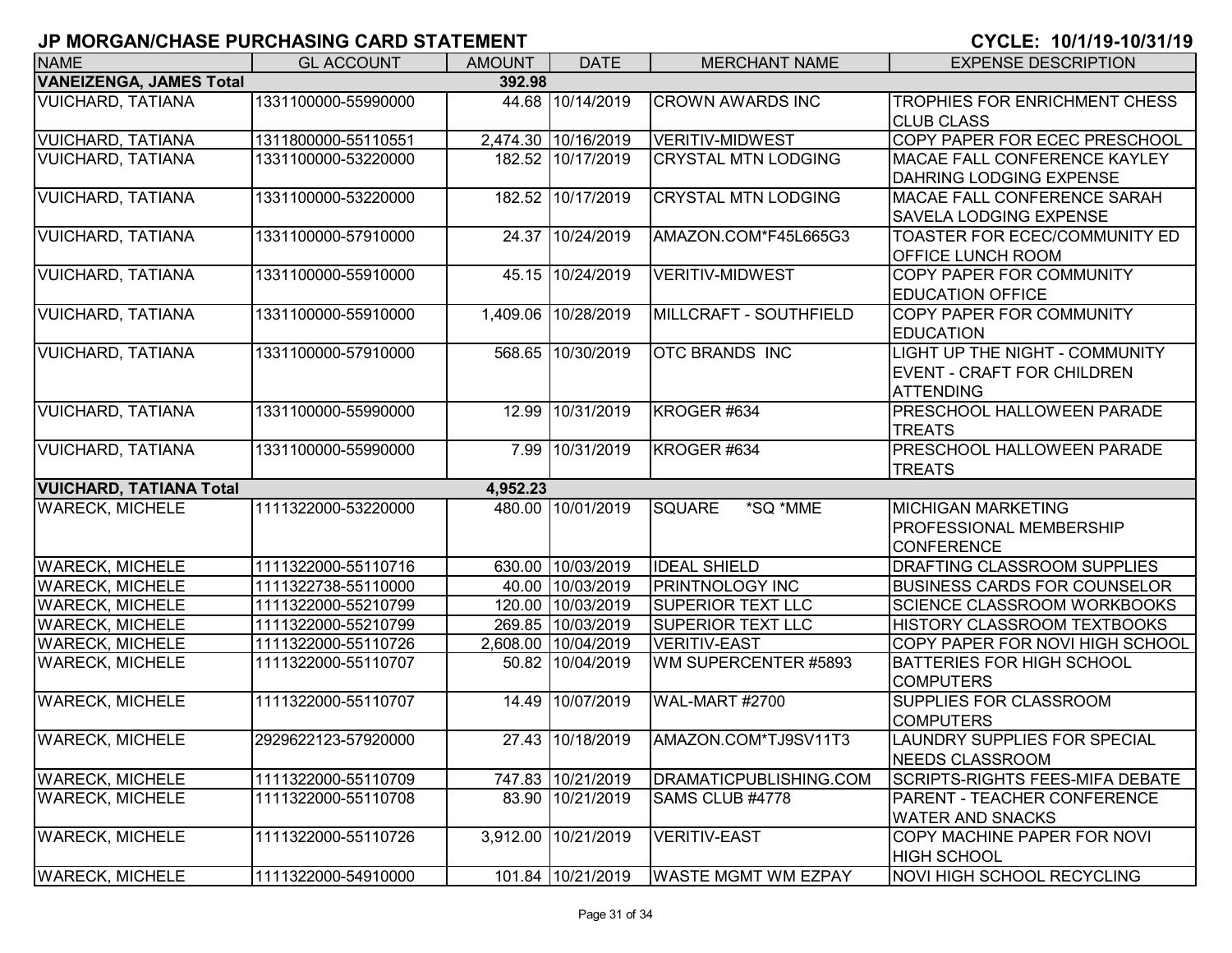| <b>NAME</b>                    | <b>GL ACCOUNT</b>   | <b>AMOUNT</b> | <b>DATE</b>         | <b>MERCHANT NAME</b>       | <b>EXPENSE DESCRIPTION</b>             |
|--------------------------------|---------------------|---------------|---------------------|----------------------------|----------------------------------------|
| <b>VANEIZENGA, JAMES Total</b> |                     | 392.98        |                     |                            |                                        |
| <b>VUICHARD, TATIANA</b>       | 1331100000-55990000 |               | 44.68 10/14/2019    | <b>CROWN AWARDS INC</b>    | TROPHIES FOR ENRICHMENT CHESS          |
|                                |                     |               |                     |                            | <b>CLUB CLASS</b>                      |
| <b>VUICHARD, TATIANA</b>       | 1311800000-55110551 |               | 2,474.30 10/16/2019 | <b>VERITIV-MIDWEST</b>     | <b>COPY PAPER FOR ECEC PRESCHOOL</b>   |
| <b>VUICHARD, TATIANA</b>       | 1331100000-53220000 |               | 182.52 10/17/2019   | <b>CRYSTAL MTN LODGING</b> | MACAE FALL CONFERENCE KAYLEY           |
|                                |                     |               |                     |                            | <b>DAHRING LODGING EXPENSE</b>         |
| <b>VUICHARD, TATIANA</b>       | 1331100000-53220000 |               | 182.52 10/17/2019   | <b>CRYSTAL MTN LODGING</b> | MACAE FALL CONFERENCE SARAH            |
|                                |                     |               |                     |                            | <b>SAVELA LODGING EXPENSE</b>          |
| <b>VUICHARD, TATIANA</b>       | 1331100000-57910000 |               | 24.37 10/24/2019    | AMAZON.COM*F45L665G3       | <b>TOASTER FOR ECEC/COMMUNITY ED</b>   |
|                                |                     |               |                     |                            | <b>OFFICE LUNCH ROOM</b>               |
| <b>VUICHARD, TATIANA</b>       | 1331100000-55910000 |               | 45.15 10/24/2019    | <b>VERITIV-MIDWEST</b>     | COPY PAPER FOR COMMUNITY               |
|                                |                     |               |                     |                            | <b>EDUCATION OFFICE</b>                |
| <b>VUICHARD, TATIANA</b>       | 1331100000-55910000 |               | 1,409.06 10/28/2019 | MILLCRAFT - SOUTHFIELD     | <b>COPY PAPER FOR COMMUNITY</b>        |
|                                |                     |               |                     |                            | <b>IEDUCATION</b>                      |
| <b>VUICHARD, TATIANA</b>       | 1331100000-57910000 |               | 568.65 10/30/2019   | <b>OTC BRANDS INC</b>      | LIGHT UP THE NIGHT - COMMUNITY         |
|                                |                     |               |                     |                            | <b>EVENT - CRAFT FOR CHILDREN</b>      |
|                                |                     |               |                     |                            | <b>ATTENDING</b>                       |
| <b>VUICHARD, TATIANA</b>       | 1331100000-55990000 |               | 12.99 10/31/2019    | KROGER #634                | <b>PRESCHOOL HALLOWEEN PARADE</b>      |
|                                |                     |               |                     |                            | <b>TREATS</b>                          |
| <b>VUICHARD, TATIANA</b>       | 1331100000-55990000 |               | 7.99 10/31/2019     | KROGER #634                | <b>PRESCHOOL HALLOWEEN PARADE</b>      |
|                                |                     |               |                     |                            | <b>TREATS</b>                          |
| <b>VUICHARD, TATIANA Total</b> |                     | 4,952.23      |                     |                            |                                        |
| <b>WARECK, MICHELE</b>         | 1111322000-53220000 |               | 480.00 10/01/2019   | <b>SQUARE</b><br>*SQ *MME  | <b>MICHIGAN MARKETING</b>              |
|                                |                     |               |                     |                            | <b>PROFESSIONAL MEMBERSHIP</b>         |
|                                |                     |               |                     |                            | <b>CONFERENCE</b>                      |
| <b>WARECK, MICHELE</b>         | 1111322000-55110716 |               | 630.00 10/03/2019   | <b>IDEAL SHIELD</b>        | <b>DRAFTING CLASSROOM SUPPLIES</b>     |
| <b>WARECK, MICHELE</b>         | 1111322738-55110000 |               | 40.00 10/03/2019    | <b>PRINTNOLOGY INC</b>     | <b>BUSINESS CARDS FOR COUNSELOR</b>    |
| <b>WARECK, MICHELE</b>         | 1111322000-55210799 |               | 120.00 10/03/2019   | <b>SUPERIOR TEXT LLC</b>   | <b>SCIENCE CLASSROOM WORKBOOKS</b>     |
| <b>WARECK, MICHELE</b>         | 1111322000-55210799 |               | 269.85 10/03/2019   | <b>SUPERIOR TEXT LLC</b>   | HISTORY CLASSROOM TEXTBOOKS            |
| <b>WARECK, MICHELE</b>         | 1111322000-55110726 |               | 2,608.00 10/04/2019 | <b>VERITIV-EAST</b>        | COPY PAPER FOR NOVI HIGH SCHOOL        |
| <b>WARECK, MICHELE</b>         | 1111322000-55110707 |               | 50.82 10/04/2019    | WM SUPERCENTER #5893       | <b>BATTERIES FOR HIGH SCHOOL</b>       |
|                                |                     |               |                     |                            | <b>COMPUTERS</b>                       |
| <b>WARECK, MICHELE</b>         | 1111322000-55110707 |               | 14.49 10/07/2019    | <b>WAL-MART #2700</b>      | <b>SUPPLIES FOR CLASSROOM</b>          |
|                                |                     |               |                     |                            | <b>COMPUTERS</b>                       |
| <b>WARECK, MICHELE</b>         | 2929622123-57920000 |               | 27.43 10/18/2019    | AMAZON.COM*TJ9SV11T3       | LAUNDRY SUPPLIES FOR SPECIAL           |
|                                |                     |               |                     |                            | NEEDS CLASSROOM                        |
| <b>WARECK, MICHELE</b>         | 1111322000-55110709 |               | 747.83 10/21/2019   | DRAMATICPUBLISHING.COM     | <b>SCRIPTS-RIGHTS FEES-MIFA DEBATE</b> |
| <b>WARECK, MICHELE</b>         | 1111322000-55110708 |               | 83.90 10/21/2019    | SAMS CLUB #4778            | PARENT - TEACHER CONFERENCE            |
|                                |                     |               |                     |                            | <b>WATER AND SNACKS</b>                |
| <b>WARECK, MICHELE</b>         | 1111322000-55110726 | 3,912.00      | 10/21/2019          | <b>VERITIV-EAST</b>        | COPY MACHINE PAPER FOR NOVI            |
|                                |                     |               |                     |                            | <b>HIGH SCHOOL</b>                     |
| <b>WARECK, MICHELE</b>         | 1111322000-54910000 |               | 101.84 10/21/2019   | <b>WASTE MGMT WM EZPAY</b> | NOVI HIGH SCHOOL RECYCLING             |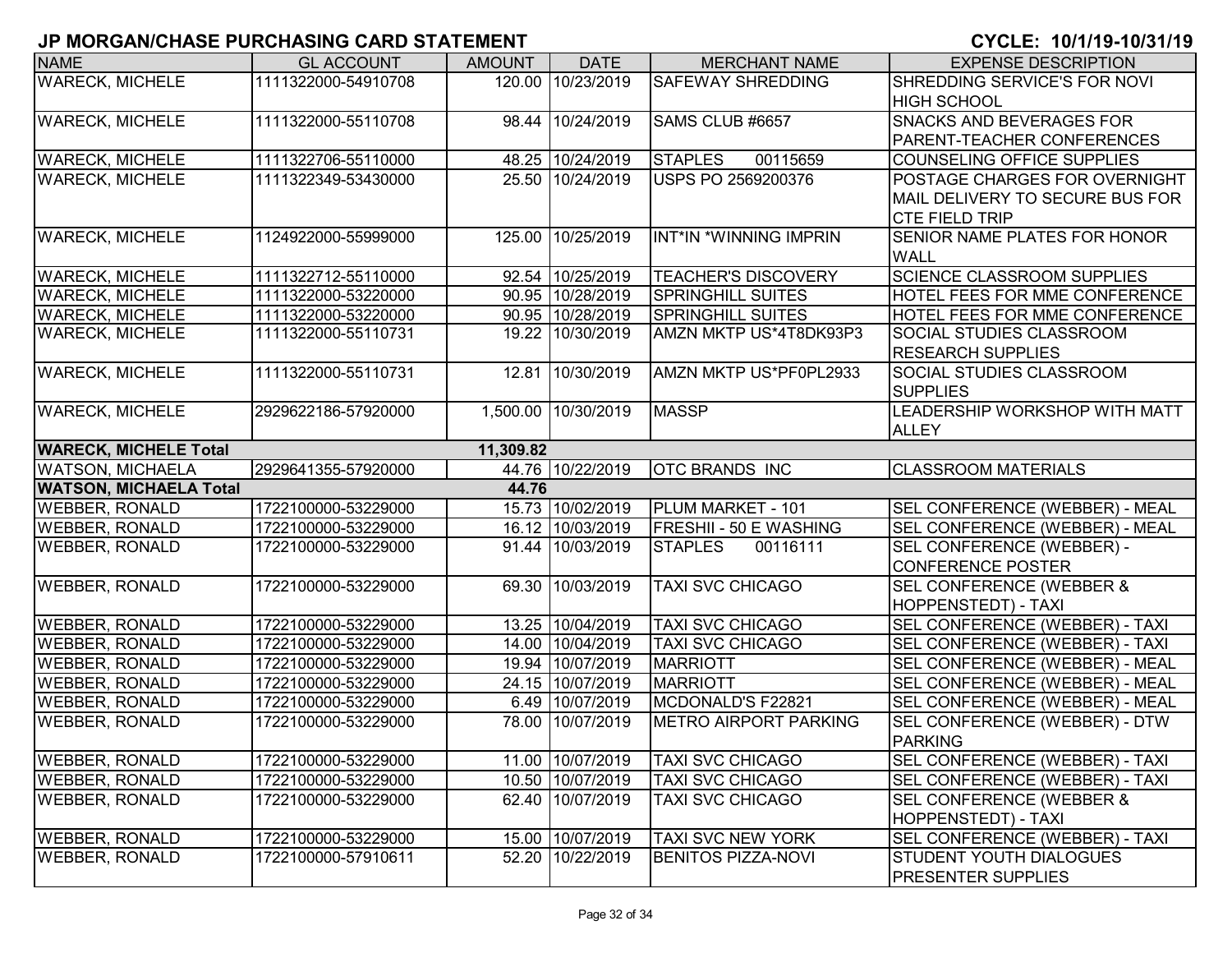| <b>NAME</b>                   | <b>GL ACCOUNT</b>   | <b>AMOUNT</b> | <b>DATE</b>      | <b>MERCHANT NAME</b>          | <b>EXPENSE DESCRIPTION</b>            |
|-------------------------------|---------------------|---------------|------------------|-------------------------------|---------------------------------------|
| <b>WARECK, MICHELE</b>        | 1111322000-54910708 | 120.00        | 10/23/2019       | <b>SAFEWAY SHREDDING</b>      | SHREDDING SERVICE'S FOR NOVI          |
|                               |                     |               |                  |                               | <b>HIGH SCHOOL</b>                    |
| <b>WARECK, MICHELE</b>        | 1111322000-55110708 | 98.44         | 10/24/2019       | SAMS CLUB #6657               | <b>SNACKS AND BEVERAGES FOR</b>       |
|                               |                     |               |                  |                               | PARENT-TEACHER CONFERENCES            |
| <b>WARECK, MICHELE</b>        | 1111322706-55110000 |               | 48.25 10/24/2019 | <b>STAPLES</b><br>00115659    | COUNSELING OFFICE SUPPLIES            |
| <b>WARECK, MICHELE</b>        | 1111322349-53430000 |               | 25.50 10/24/2019 | <b>USPS PO 2569200376</b>     | POSTAGE CHARGES FOR OVERNIGHT         |
|                               |                     |               |                  |                               | MAIL DELIVERY TO SECURE BUS FOR       |
|                               |                     |               |                  |                               | <b>CTE FIELD TRIP</b>                 |
| <b>WARECK, MICHELE</b>        | 1124922000-55999000 | 125.00        | 10/25/2019       | INT*IN *WINNING IMPRIN        | <b>SENIOR NAME PLATES FOR HONOR</b>   |
|                               |                     |               |                  |                               | <b>WALL</b>                           |
| <b>WARECK, MICHELE</b>        | 1111322712-55110000 |               | 92.54 10/25/2019 | <b>TEACHER'S DISCOVERY</b>    | <b>SCIENCE CLASSROOM SUPPLIES</b>     |
| <b>WARECK, MICHELE</b>        | 1111322000-53220000 |               | 90.95 10/28/2019 | <b>SPRINGHILL SUITES</b>      | <b>HOTEL FEES FOR MME CONFERENCE</b>  |
| <b>WARECK, MICHELE</b>        | 1111322000-53220000 |               | 90.95 10/28/2019 | <b>SPRINGHILL SUITES</b>      | HOTEL FEES FOR MME CONFERENCE         |
| <b>WARECK, MICHELE</b>        | 1111322000-55110731 |               | 19.22 10/30/2019 | AMZN MKTP US*4T8DK93P3        | <b>SOCIAL STUDIES CLASSROOM</b>       |
|                               |                     |               |                  |                               | <b>RESEARCH SUPPLIES</b>              |
| <b>WARECK, MICHELE</b>        | 1111322000-55110731 | 12.81         | 10/30/2019       | AMZN MKTP US*PF0PL2933        | <b>SOCIAL STUDIES CLASSROOM</b>       |
|                               |                     |               |                  |                               | <b>SUPPLIES</b>                       |
| <b>WARECK, MICHELE</b>        | 2929622186-57920000 | 1,500.00      | 10/30/2019       | <b>MASSP</b>                  | LEADERSHIP WORKSHOP WITH MATT         |
|                               |                     |               |                  |                               | <b>ALLEY</b>                          |
| <b>WARECK, MICHELE Total</b>  |                     | 11,309.82     |                  |                               |                                       |
| <b>WATSON, MICHAELA</b>       | 2929641355-57920000 |               | 44.76 10/22/2019 | <b>OTC BRANDS INC</b>         | <b>CLASSROOM MATERIALS</b>            |
| <b>WATSON, MICHAELA Total</b> |                     | 44.76         |                  |                               |                                       |
| <b>WEBBER, RONALD</b>         | 1722100000-53229000 |               | 15.73 10/02/2019 | PLUM MARKET - 101             | SEL CONFERENCE (WEBBER) - MEAL        |
| <b>WEBBER, RONALD</b>         | 1722100000-53229000 |               | 16.12 10/03/2019 | <b>FRESHII - 50 E WASHING</b> | SEL CONFERENCE (WEBBER) - MEAL        |
| <b>WEBBER, RONALD</b>         | 1722100000-53229000 |               | 91.44 10/03/2019 | <b>STAPLES</b><br>00116111    | SEL CONFERENCE (WEBBER) -             |
|                               |                     |               |                  |                               | <b>CONFERENCE POSTER</b>              |
| <b>WEBBER, RONALD</b>         | 1722100000-53229000 | 69.30         | 10/03/2019       | <b>TAXI SVC CHICAGO</b>       | <b>SEL CONFERENCE (WEBBER &amp;</b>   |
|                               |                     |               |                  |                               | <b>HOPPENSTEDT) - TAXI</b>            |
| <b>WEBBER, RONALD</b>         | 1722100000-53229000 |               | 13.25 10/04/2019 | <b>TAXI SVC CHICAGO</b>       | <b>SEL CONFERENCE (WEBBER) - TAXI</b> |
| <b>WEBBER, RONALD</b>         | 1722100000-53229000 | 14.00         | 10/04/2019       | <b>TAXI SVC CHICAGO</b>       | SEL CONFERENCE (WEBBER) - TAXI        |
| <b>WEBBER, RONALD</b>         | 1722100000-53229000 |               | 19.94 10/07/2019 | <b>MARRIOTT</b>               | SEL CONFERENCE (WEBBER) - MEAL        |
| <b>WEBBER, RONALD</b>         | 1722100000-53229000 |               | 24.15 10/07/2019 | <b>MARRIOTT</b>               | SEL CONFERENCE (WEBBER) - MEAL        |
| <b>WEBBER, RONALD</b>         | 1722100000-53229000 |               | 6.49 10/07/2019  | MCDONALD'S F22821             | SEL CONFERENCE (WEBBER) - MEAL        |
| <b>WEBBER, RONALD</b>         | 1722100000-53229000 | 78.00         | 10/07/2019       | <b>METRO AIRPORT PARKING</b>  | SEL CONFERENCE (WEBBER) - DTW         |
|                               |                     |               |                  |                               | <b>PARKING</b>                        |
| <b>WEBBER, RONALD</b>         | 1722100000-53229000 |               | 11.00 10/07/2019 | <b>TAXI SVC CHICAGO</b>       | SEL CONFERENCE (WEBBER) - TAXI        |
| <b>WEBBER, RONALD</b>         | 1722100000-53229000 |               | 10.50 10/07/2019 | <b>TAXI SVC CHICAGO</b>       | SEL CONFERENCE (WEBBER) - TAXI        |
| <b>WEBBER, RONALD</b>         | 1722100000-53229000 |               | 62.40 10/07/2019 | <b>TAXI SVC CHICAGO</b>       | SEL CONFERENCE (WEBBER &              |
|                               |                     |               |                  |                               | <b>HOPPENSTEDT) - TAXI</b>            |
| <b>WEBBER, RONALD</b>         | 1722100000-53229000 |               | 15.00 10/07/2019 | TAXI SVC NEW YORK             | SEL CONFERENCE (WEBBER) - TAXI        |
| <b>WEBBER, RONALD</b>         | 1722100000-57910611 |               | 52.20 10/22/2019 | <b>BENITOS PIZZA-NOVI</b>     | <b>STUDENT YOUTH DIALOGUES</b>        |
|                               |                     |               |                  |                               | <b>PRESENTER SUPPLIES</b>             |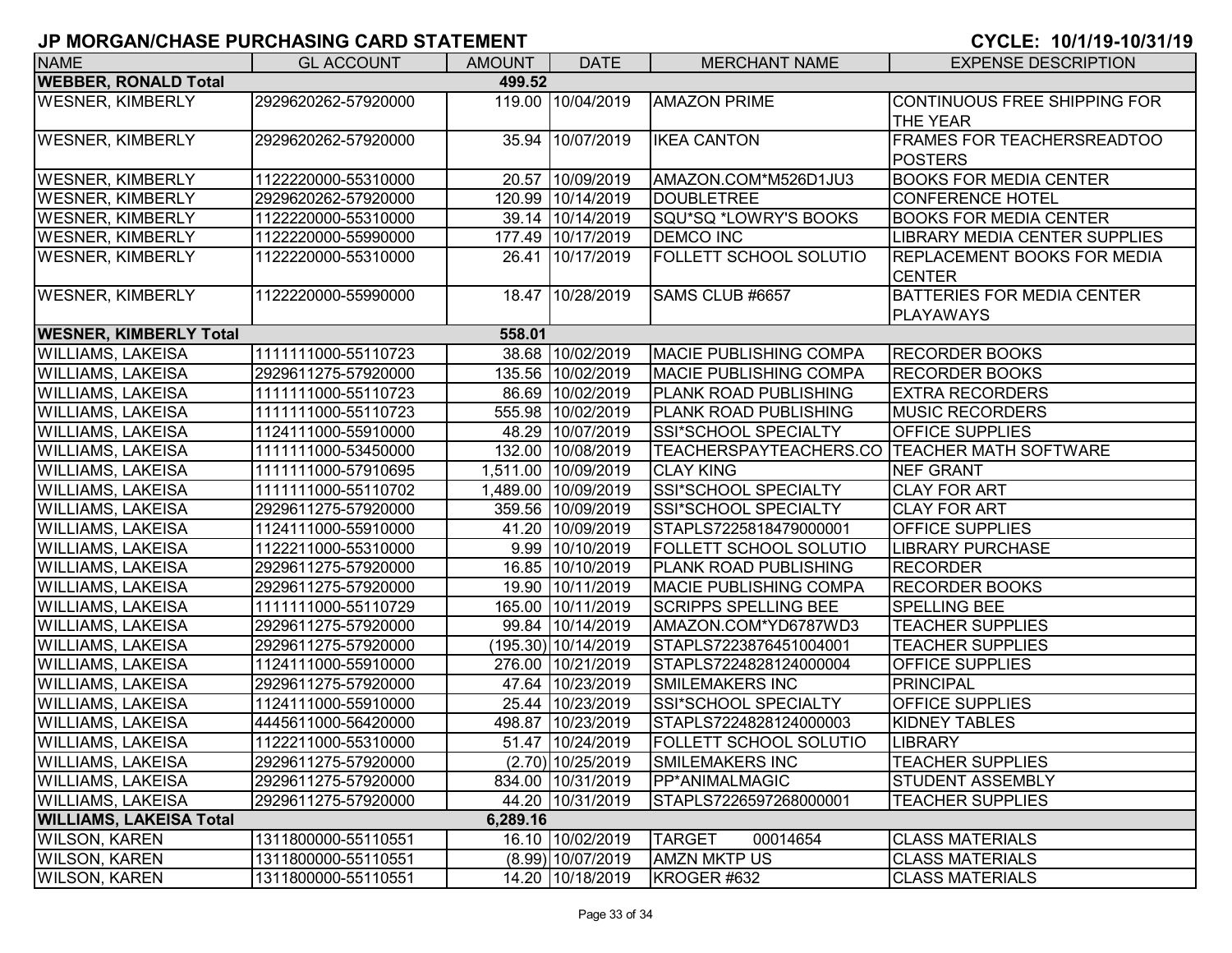| <b>NAME</b>                    | <b>GL ACCOUNT</b>   | <b>AMOUNT</b> | <b>DATE</b>           | <b>MERCHANT NAME</b>          | <b>EXPENSE DESCRIPTION</b>                          |  |  |  |  |
|--------------------------------|---------------------|---------------|-----------------------|-------------------------------|-----------------------------------------------------|--|--|--|--|
| <b>WEBBER, RONALD Total</b>    | 499.52              |               |                       |                               |                                                     |  |  |  |  |
| <b>WESNER, KIMBERLY</b>        | 2929620262-57920000 |               | 119.00 10/04/2019     | <b>AMAZON PRIME</b>           | CONTINUOUS FREE SHIPPING FOR<br><b>THE YEAR</b>     |  |  |  |  |
| <b>WESNER, KIMBERLY</b>        | 2929620262-57920000 |               | 35.94 10/07/2019      | <b>IKEA CANTON</b>            | <b>FRAMES FOR TEACHERSREADTOO</b><br><b>POSTERS</b> |  |  |  |  |
| <b>WESNER, KIMBERLY</b>        | 1122220000-55310000 |               | 20.57 10/09/2019      | AMAZON.COM*M526D1JU3          | <b>BOOKS FOR MEDIA CENTER</b>                       |  |  |  |  |
| <b>WESNER, KIMBERLY</b>        | 2929620262-57920000 |               | 120.99 10/14/2019     | <b>DOUBLETREE</b>             | CONFERENCE HOTEL                                    |  |  |  |  |
| <b>WESNER, KIMBERLY</b>        | 1122220000-55310000 |               | 39.14 10/14/2019      | SQU*SQ *LOWRY'S BOOKS         | <b>BOOKS FOR MEDIA CENTER</b>                       |  |  |  |  |
| <b>WESNER, KIMBERLY</b>        | 1122220000-55990000 |               | 177.49 10/17/2019     | <b>DEMCO INC</b>              | LIBRARY MEDIA CENTER SUPPLIES                       |  |  |  |  |
| <b>WESNER, KIMBERLY</b>        | 1122220000-55310000 |               | 26.41 10/17/2019      | <b>FOLLETT SCHOOL SOLUTIO</b> | <b>REPLACEMENT BOOKS FOR MEDIA</b><br><b>CENTER</b> |  |  |  |  |
| <b>WESNER, KIMBERLY</b>        | 1122220000-55990000 |               | 18.47 10/28/2019      | SAMS CLUB #6657               | <b>BATTERIES FOR MEDIA CENTER</b><br>PLAYAWAYS      |  |  |  |  |
| <b>WESNER, KIMBERLY Total</b>  |                     | 558.01        |                       |                               |                                                     |  |  |  |  |
| <b>WILLIAMS, LAKEISA</b>       | 1111111000-55110723 |               | 38.68 10/02/2019      | <b>MACIE PUBLISHING COMPA</b> | <b>RECORDER BOOKS</b>                               |  |  |  |  |
| <b>WILLIAMS, LAKEISA</b>       | 2929611275-57920000 |               | 135.56 10/02/2019     | <b>MACIE PUBLISHING COMPA</b> | <b>RECORDER BOOKS</b>                               |  |  |  |  |
| <b>WILLIAMS, LAKEISA</b>       | 1111111000-55110723 |               | 86.69 10/02/2019      | <b>PLANK ROAD PUBLISHING</b>  | <b>EXTRA RECORDERS</b>                              |  |  |  |  |
| <b>WILLIAMS, LAKEISA</b>       | 1111111000-55110723 |               | 555.98 10/02/2019     | <b>PLANK ROAD PUBLISHING</b>  | <b>MUSIC RECORDERS</b>                              |  |  |  |  |
| <b>WILLIAMS, LAKEISA</b>       | 1124111000-55910000 |               | 48.29 10/07/2019      | SSI*SCHOOL SPECIALTY          | <b>OFFICE SUPPLIES</b>                              |  |  |  |  |
| <b>WILLIAMS, LAKEISA</b>       | 1111111000-53450000 |               | 132.00 10/08/2019     | TEACHERSPAYTEACHERS.CO        | <b>TEACHER MATH SOFTWARE</b>                        |  |  |  |  |
| <b>WILLIAMS, LAKEISA</b>       | 1111111000-57910695 |               | 1,511.00 10/09/2019   | <b>CLAY KING</b>              | <b>NEF GRANT</b>                                    |  |  |  |  |
| <b>WILLIAMS, LAKEISA</b>       | 1111111000-55110702 |               | 1,489.00 10/09/2019   | SSI*SCHOOL SPECIALTY          | <b>CLAY FOR ART</b>                                 |  |  |  |  |
| <b>WILLIAMS, LAKEISA</b>       | 2929611275-57920000 |               | 359.56 10/09/2019     | SSI*SCHOOL SPECIALTY          | <b>CLAY FOR ART</b>                                 |  |  |  |  |
| <b>WILLIAMS, LAKEISA</b>       | 1124111000-55910000 |               | 41.20 10/09/2019      | STAPLS7225818479000001        | <b>OFFICE SUPPLIES</b>                              |  |  |  |  |
| <b>WILLIAMS, LAKEISA</b>       | 1122211000-55310000 |               | 9.99 10/10/2019       | <b>FOLLETT SCHOOL SOLUTIO</b> | <b>LIBRARY PURCHASE</b>                             |  |  |  |  |
| <b>WILLIAMS, LAKEISA</b>       | 2929611275-57920000 |               | 16.85 10/10/2019      | <b>PLANK ROAD PUBLISHING</b>  | <b>RECORDER</b>                                     |  |  |  |  |
| <b>WILLIAMS, LAKEISA</b>       | 2929611275-57920000 |               | 19.90 10/11/2019      | <b>MACIE PUBLISHING COMPA</b> | <b>RECORDER BOOKS</b>                               |  |  |  |  |
| <b>WILLIAMS, LAKEISA</b>       | 1111111000-55110729 |               | 165.00 10/11/2019     | <b>SCRIPPS SPELLING BEE</b>   | <b>SPELLING BEE</b>                                 |  |  |  |  |
| <b>WILLIAMS, LAKEISA</b>       | 2929611275-57920000 |               | 99.84 10/14/2019      | AMAZON.COM*YD6787WD3          | <b>TEACHER SUPPLIES</b>                             |  |  |  |  |
| <b>WILLIAMS, LAKEISA</b>       | 2929611275-57920000 |               | $(195.30)$ 10/14/2019 | STAPLS7223876451004001        | <b>TEACHER SUPPLIES</b>                             |  |  |  |  |
| <b>WILLIAMS, LAKEISA</b>       | 1124111000-55910000 |               | 276.00 10/21/2019     | STAPLS7224828124000004        | <b>OFFICE SUPPLIES</b>                              |  |  |  |  |
| <b>WILLIAMS, LAKEISA</b>       | 2929611275-57920000 |               | 47.64 10/23/2019      | <b>SMILEMAKERS INC</b>        | PRINCIPAL                                           |  |  |  |  |
| <b>WILLIAMS, LAKEISA</b>       | 1124111000-55910000 |               | 25.44 10/23/2019      | SSI*SCHOOL SPECIALTY          | <b>OFFICE SUPPLIES</b>                              |  |  |  |  |
| <b>WILLIAMS, LAKEISA</b>       | 4445611000-56420000 |               | 498.87 10/23/2019     | STAPLS7224828124000003        | <b>KIDNEY TABLES</b>                                |  |  |  |  |
| <b>WILLIAMS, LAKEISA</b>       | 1122211000-55310000 |               | 51.47 10/24/2019      | <b>FOLLETT SCHOOL SOLUTIO</b> | <b>LIBRARY</b>                                      |  |  |  |  |
| <b>WILLIAMS, LAKEISA</b>       | 2929611275-57920000 |               | $(2.70)$ 10/25/2019   | SMILEMAKERS INC               | <b>TEACHER SUPPLIES</b>                             |  |  |  |  |
| <b>WILLIAMS, LAKEISA</b>       | 2929611275-57920000 |               | 834.00 10/31/2019     | PP*ANIMALMAGIC                | <b>STUDENT ASSEMBLY</b>                             |  |  |  |  |
| <b>WILLIAMS, LAKEISA</b>       | 2929611275-57920000 |               | 44.20 10/31/2019      | STAPLS7226597268000001        | <b>TEACHER SUPPLIES</b>                             |  |  |  |  |
| <b>WILLIAMS, LAKEISA Total</b> |                     | 6,289.16      |                       |                               |                                                     |  |  |  |  |
| <b>WILSON, KAREN</b>           | 1311800000-55110551 |               | 16.10 10/02/2019      | <b>TARGET</b><br>00014654     | <b>CLASS MATERIALS</b>                              |  |  |  |  |
| <b>WILSON, KAREN</b>           | 1311800000-55110551 |               | $(8.99)$ 10/07/2019   | <b>AMZN MKTP US</b>           | <b>CLASS MATERIALS</b>                              |  |  |  |  |
| <b>WILSON, KAREN</b>           | 1311800000-55110551 |               | 14.20 10/18/2019      | KROGER #632                   | <b>CLASS MATERIALS</b>                              |  |  |  |  |